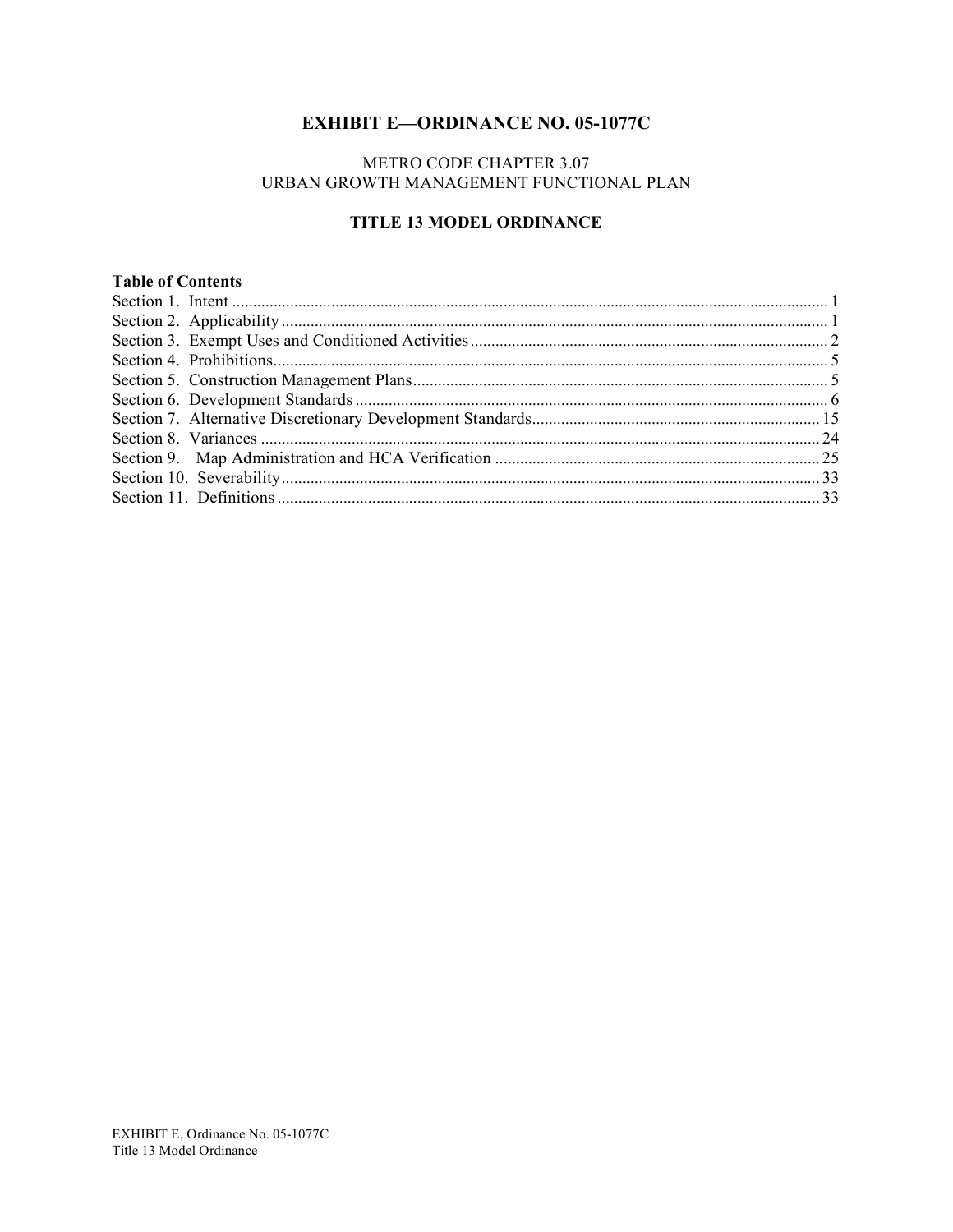# **EXHIBIT E-ORDINANCE NO. 05-1077C**

## METRO CODE CHAPTER 3.07 URBAN GROWTH MANAGEMENT FUNCTIONAL PLAN

## TITLE 13 MODEL ORDINANCE

## **Table of Contents**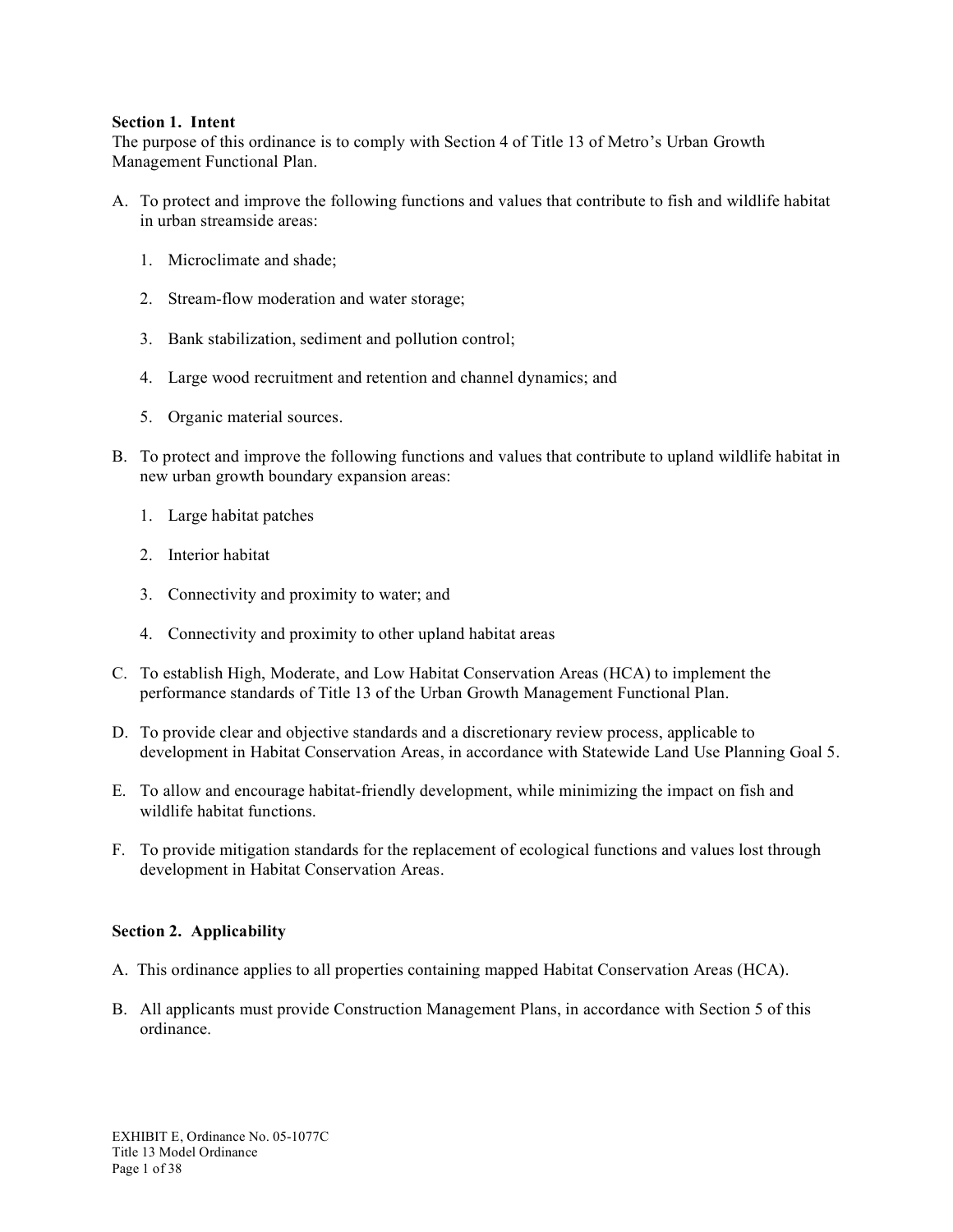#### **Section 1. Intent**

The purpose of this ordinance is to comply with Section 4 of Title 13 of Metro's Urban Growth Management Functional Plan.

- A. To protect and improve the following functions and values that contribute to fish and wildlife habitat in urban streamside areas:
	- 1. Microclimate and shade;
	- 2. Stream-flow moderation and water storage;
	- 3. Bank stabilization, sediment and pollution control;
	- 4. Large wood recruitment and retention and channel dynamics; and
	- 5. Organic material sources.
- B. To protect and improve the following functions and values that contribute to upland wildlife habitat in new urban growth boundary expansion areas:
	- 1. Large habitat patches
	- 2. Interior habitat
	- 3. Connectivity and proximity to water; and
	- 4. Connectivity and proximity to other upland habitat areas
- C. To establish High, Moderate, and Low Habitat Conservation Areas (HCA) to implement the performance standards of Title 13 of the Urban Growth Management Functional Plan.
- D. To provide clear and objective standards and a discretionary review process, applicable to development in Habitat Conservation Areas, in accordance with Statewide Land Use Planning Goal 5.
- E. To allow and encourage habitat-friendly development, while minimizing the impact on fish and wildlife habitat functions.
- F. To provide mitigation standards for the replacement of ecological functions and values lost through development in Habitat Conservation Areas.

#### **Section 2. Applicability**

- A. This ordinance applies to all properties containing mapped Habitat Conservation Areas (HCA).
- B. All applicants must provide Construction Management Plans, in accordance with Section 5 of this ordinance.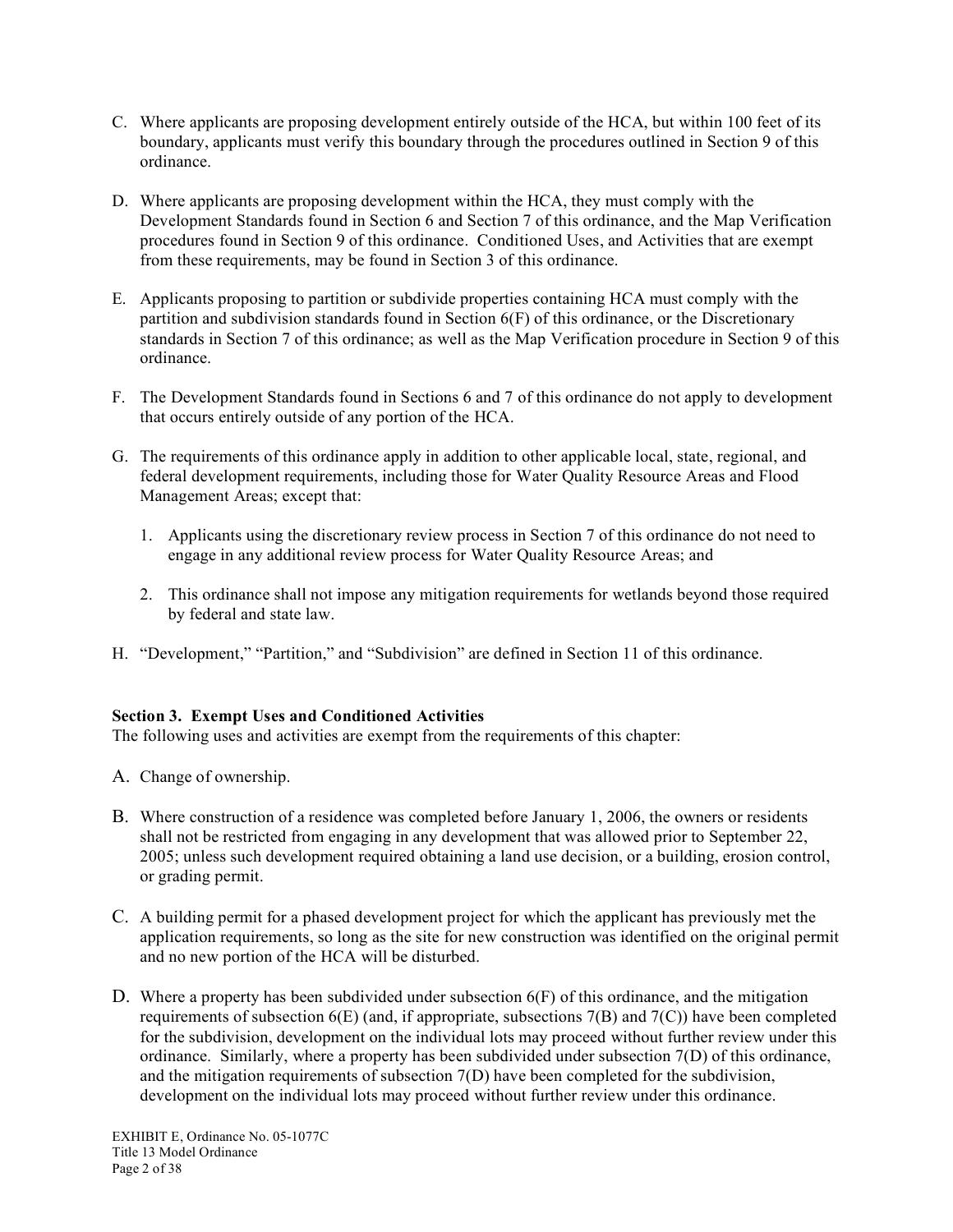- C. Where applicants are proposing development entirely outside of the HCA, but within 100 feet of its boundary, applicants must verify this boundary through the procedures outlined in Section 9 of this ordinance.
- D. Where applicants are proposing development within the HCA, they must comply with the Development Standards found in Section 6 and Section 7 of this ordinance, and the Map Verification procedures found in Section 9 of this ordinance. Conditioned Uses, and Activities that are exempt from these requirements, may be found in Section 3 of this ordinance.
- E. Applicants proposing to partition or subdivide properties containing HCA must comply with the partition and subdivision standards found in Section 6(F) of this ordinance, or the Discretionary standards in Section 7 of this ordinance; as well as the Map Verification procedure in Section 9 of this ordinance.
- F. The Development Standards found in Sections 6 and 7 of this ordinance do not apply to development that occurs entirely outside of any portion of the HCA.
- G. The requirements of this ordinance apply in addition to other applicable local, state, regional, and federal development requirements, including those for Water Quality Resource Areas and Flood Management Areas; except that:
	- 1. Applicants using the discretionary review process in Section 7 of this ordinance do not need to engage in any additional review process for Water Quality Resource Areas; and
	- 2. This ordinance shall not impose any mitigation requirements for wetlands beyond those required by federal and state law.
- H. "Development," "Partition," and "Subdivision" are defined in Section 11 of this ordinance.

### **Section 3. Exempt Uses and Conditioned Activities**

The following uses and activities are exempt from the requirements of this chapter:

- A. Change of ownership.
- B. Where construction of a residence was completed before January 1, 2006, the owners or residents shall not be restricted from engaging in any development that was allowed prior to September 22, 2005; unless such development required obtaining a land use decision, or a building, erosion control, or grading permit.
- C. A building permit for a phased development project for which the applicant has previously met the application requirements, so long as the site for new construction was identified on the original permit and no new portion of the HCA will be disturbed.
- D. Where a property has been subdivided under subsection 6(F) of this ordinance, and the mitigation requirements of subsection  $6(E)$  (and, if appropriate, subsections  $7(B)$  and  $7(C)$ ) have been completed for the subdivision, development on the individual lots may proceed without further review under this ordinance. Similarly, where a property has been subdivided under subsection 7(D) of this ordinance, and the mitigation requirements of subsection 7(D) have been completed for the subdivision, development on the individual lots may proceed without further review under this ordinance.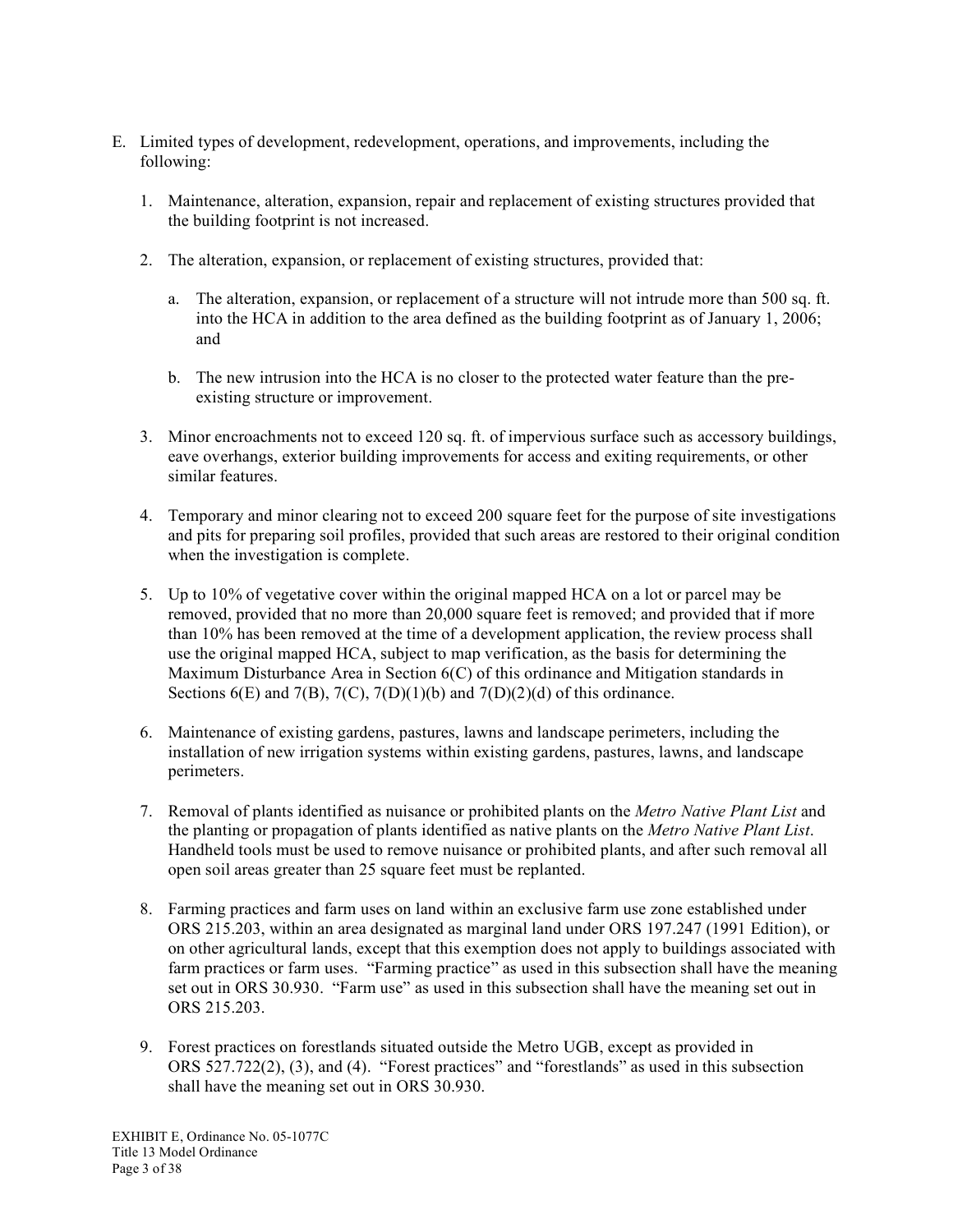- E. Limited types of development, redevelopment, operations, and improvements, including the following:
	- 1. Maintenance, alteration, expansion, repair and replacement of existing structures provided that the building footprint is not increased.
	- 2. The alteration, expansion, or replacement of existing structures, provided that:
		- a. The alteration, expansion, or replacement of a structure will not intrude more than 500 sq. ft. into the HCA in addition to the area defined as the building footprint as of January 1, 2006; and
		- b. The new intrusion into the HCA is no closer to the protected water feature than the preexisting structure or improvement.
	- 3. Minor encroachments not to exceed 120 sq. ft. of impervious surface such as accessory buildings, eave overhangs, exterior building improvements for access and exiting requirements, or other similar features.
	- 4. Temporary and minor clearing not to exceed 200 square feet for the purpose of site investigations and pits for preparing soil profiles, provided that such areas are restored to their original condition when the investigation is complete.
	- 5. Up to 10% of vegetative cover within the original mapped HCA on a lot or parcel may be removed, provided that no more than 20,000 square feet is removed; and provided that if more than 10% has been removed at the time of a development application, the review process shall use the original mapped HCA, subject to map verification, as the basis for determining the Maximum Disturbance Area in Section 6(C) of this ordinance and Mitigation standards in Sections  $6(E)$  and  $7(B)$ ,  $7(C)$ ,  $7(D)(1)(b)$  and  $7(D)(2)(d)$  of this ordinance.
	- 6. Maintenance of existing gardens, pastures, lawns and landscape perimeters, including the installation of new irrigation systems within existing gardens, pastures, lawns, and landscape perimeters.
	- 7. Removal of plants identified as nuisance or prohibited plants on the *Metro Native Plant List* and the planting or propagation of plants identified as native plants on the *Metro Native Plant List*. Handheld tools must be used to remove nuisance or prohibited plants, and after such removal all open soil areas greater than 25 square feet must be replanted.
	- 8. Farming practices and farm uses on land within an exclusive farm use zone established under ORS 215.203, within an area designated as marginal land under ORS 197.247 (1991 Edition), or on other agricultural lands, except that this exemption does not apply to buildings associated with farm practices or farm uses. "Farming practice" as used in this subsection shall have the meaning set out in ORS 30.930. "Farm use" as used in this subsection shall have the meaning set out in ORS 215.203.
	- 9. Forest practices on forestlands situated outside the Metro UGB, except as provided in ORS 527.722(2), (3), and (4). "Forest practices" and "forestlands" as used in this subsection shall have the meaning set out in ORS 30.930.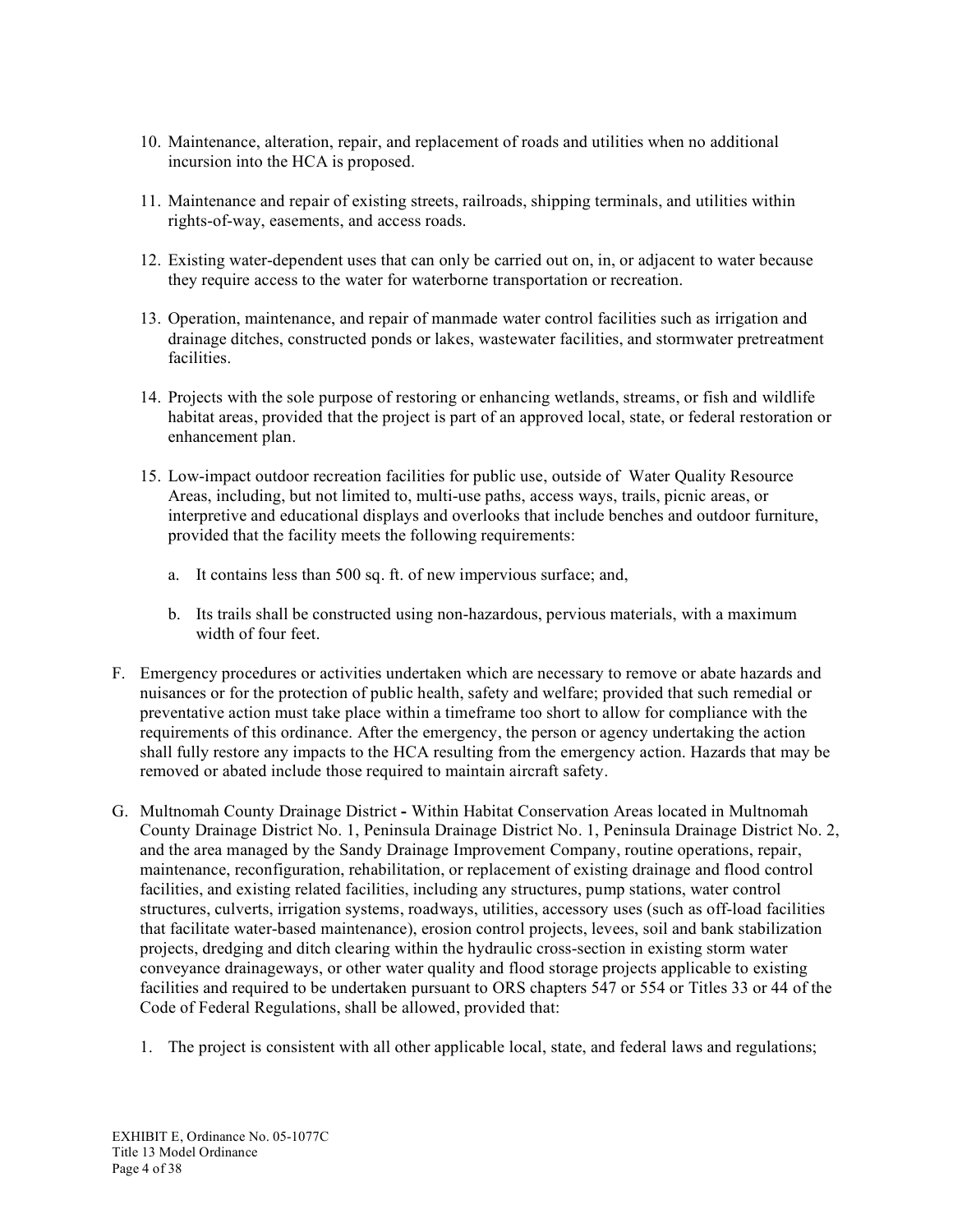- 10. Maintenance, alteration, repair, and replacement of roads and utilities when no additional incursion into the HCA is proposed.
- 11. Maintenance and repair of existing streets, railroads, shipping terminals, and utilities within rights-of-way, easements, and access roads.
- 12. Existing water-dependent uses that can only be carried out on, in, or adjacent to water because they require access to the water for waterborne transportation or recreation.
- 13. Operation, maintenance, and repair of manmade water control facilities such as irrigation and drainage ditches, constructed ponds or lakes, wastewater facilities, and stormwater pretreatment facilities.
- 14. Projects with the sole purpose of restoring or enhancing wetlands, streams, or fish and wildlife habitat areas, provided that the project is part of an approved local, state, or federal restoration or enhancement plan.
- 15. Low-impact outdoor recreation facilities for public use, outside of Water Quality Resource Areas, including, but not limited to, multi-use paths, access ways, trails, picnic areas, or interpretive and educational displays and overlooks that include benches and outdoor furniture, provided that the facility meets the following requirements:
	- a. It contains less than 500 sq. ft. of new impervious surface; and,
	- b. Its trails shall be constructed using non-hazardous, pervious materials, with a maximum width of four feet.
- F. Emergency procedures or activities undertaken which are necessary to remove or abate hazards and nuisances or for the protection of public health, safety and welfare; provided that such remedial or preventative action must take place within a timeframe too short to allow for compliance with the requirements of this ordinance. After the emergency, the person or agency undertaking the action shall fully restore any impacts to the HCA resulting from the emergency action. Hazards that may be removed or abated include those required to maintain aircraft safety.
- G. Multnomah County Drainage District **-** Within Habitat Conservation Areas located in Multnomah County Drainage District No. 1, Peninsula Drainage District No. 1, Peninsula Drainage District No. 2, and the area managed by the Sandy Drainage Improvement Company, routine operations, repair, maintenance, reconfiguration, rehabilitation, or replacement of existing drainage and flood control facilities, and existing related facilities, including any structures, pump stations, water control structures, culverts, irrigation systems, roadways, utilities, accessory uses (such as off-load facilities that facilitate water-based maintenance), erosion control projects, levees, soil and bank stabilization projects, dredging and ditch clearing within the hydraulic cross-section in existing storm water conveyance drainageways, or other water quality and flood storage projects applicable to existing facilities and required to be undertaken pursuant to ORS chapters 547 or 554 or Titles 33 or 44 of the Code of Federal Regulations, shall be allowed, provided that:
	- 1. The project is consistent with all other applicable local, state, and federal laws and regulations;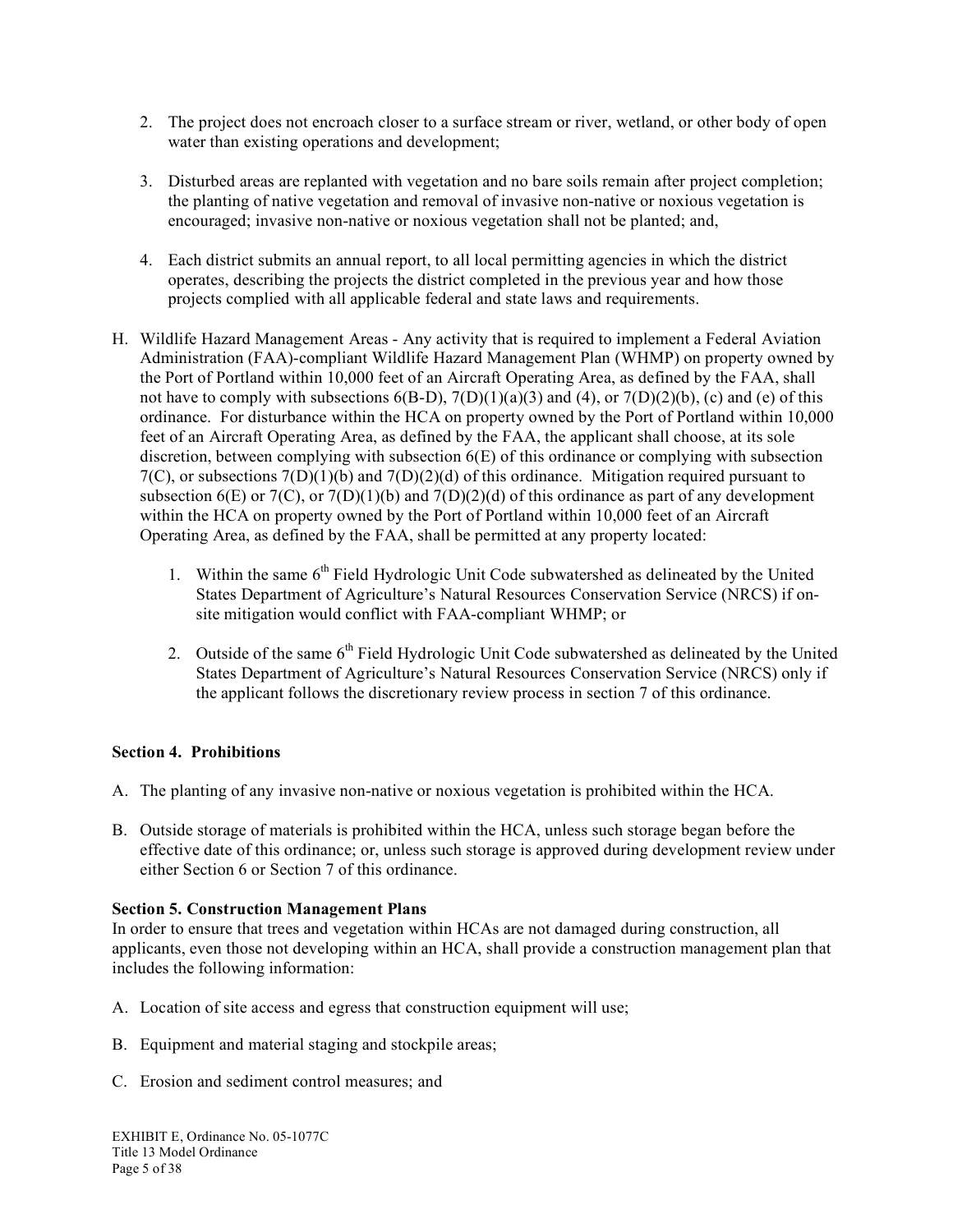- 2. The project does not encroach closer to a surface stream or river, wetland, or other body of open water than existing operations and development;
- 3. Disturbed areas are replanted with vegetation and no bare soils remain after project completion; the planting of native vegetation and removal of invasive non-native or noxious vegetation is encouraged; invasive non-native or noxious vegetation shall not be planted; and,
- 4. Each district submits an annual report, to all local permitting agencies in which the district operates, describing the projects the district completed in the previous year and how those projects complied with all applicable federal and state laws and requirements.
- H. Wildlife Hazard Management Areas Any activity that is required to implement a Federal Aviation Administration (FAA)-compliant Wildlife Hazard Management Plan (WHMP) on property owned by the Port of Portland within 10,000 feet of an Aircraft Operating Area, as defined by the FAA, shall not have to comply with subsections  $6(B-D)$ ,  $7(D)(1)(a)(3)$  and  $(4)$ , or  $7(D)(2)(b)$ , (c) and (e) of this ordinance. For disturbance within the HCA on property owned by the Port of Portland within 10,000 feet of an Aircraft Operating Area, as defined by the FAA, the applicant shall choose, at its sole discretion, between complying with subsection 6(E) of this ordinance or complying with subsection  $7(C)$ , or subsections  $7(D)(1)(b)$  and  $7(D)(2)(d)$  of this ordinance. Mitigation required pursuant to subsection  $6(E)$  or  $7(C)$ , or  $7(D)(1)(b)$  and  $7(D)(2)(d)$  of this ordinance as part of any development within the HCA on property owned by the Port of Portland within 10,000 feet of an Aircraft Operating Area, as defined by the FAA, shall be permitted at any property located:
	- 1. Within the same  $6<sup>th</sup>$  Field Hydrologic Unit Code subwatershed as delineated by the United States Department of Agriculture's Natural Resources Conservation Service (NRCS) if onsite mitigation would conflict with FAA-compliant WHMP; or
	- 2. Outside of the same  $6<sup>th</sup>$  Field Hydrologic Unit Code subwatershed as delineated by the United States Department of Agriculture's Natural Resources Conservation Service (NRCS) only if the applicant follows the discretionary review process in section 7 of this ordinance.

### **Section 4. Prohibitions**

- A. The planting of any invasive non-native or noxious vegetation is prohibited within the HCA.
- B. Outside storage of materials is prohibited within the HCA, unless such storage began before the effective date of this ordinance; or, unless such storage is approved during development review under either Section 6 or Section 7 of this ordinance.

### **Section 5. Construction Management Plans**

In order to ensure that trees and vegetation within HCAs are not damaged during construction, all applicants, even those not developing within an HCA, shall provide a construction management plan that includes the following information:

- A. Location of site access and egress that construction equipment will use;
- B. Equipment and material staging and stockpile areas;
- C. Erosion and sediment control measures; and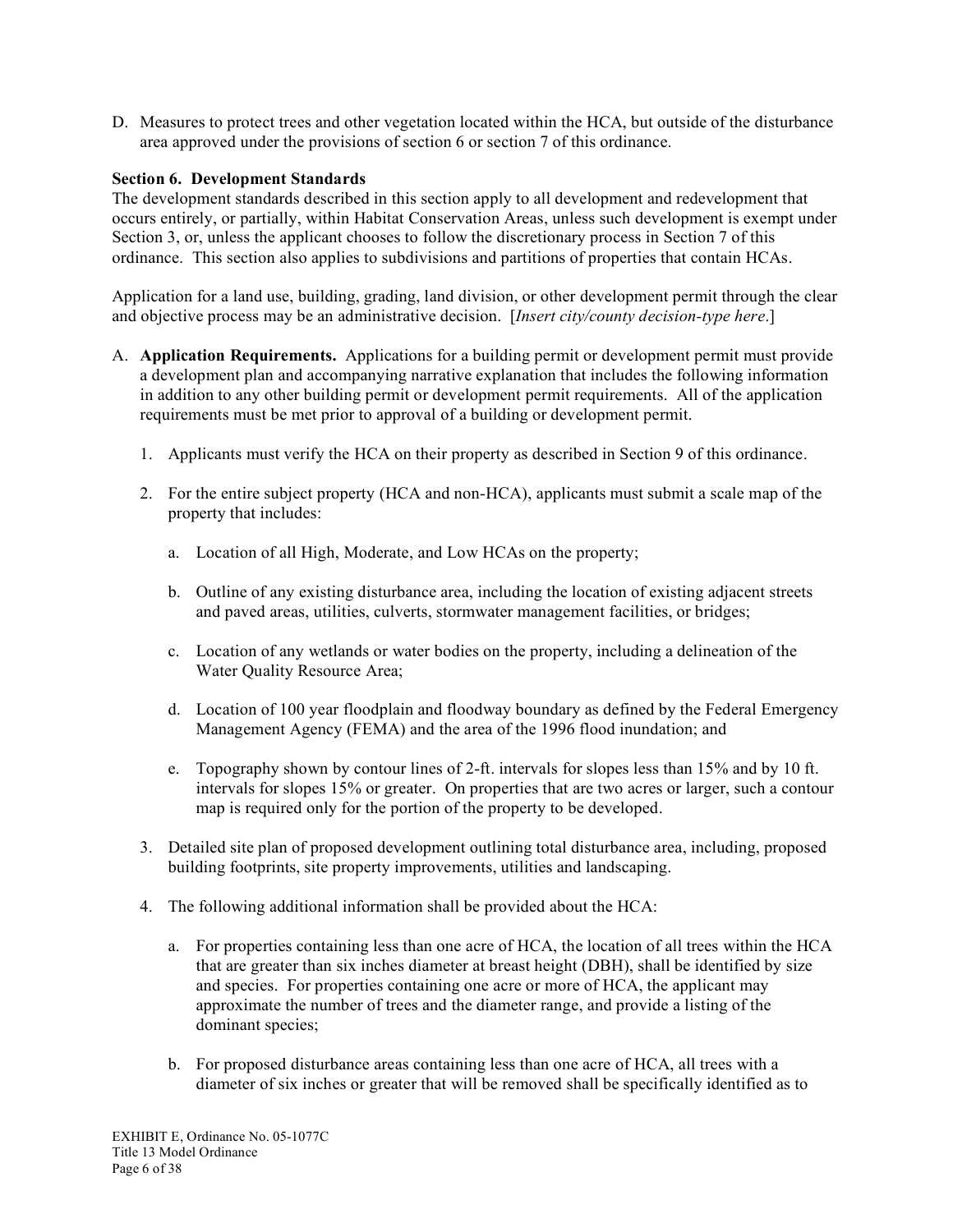D. Measures to protect trees and other vegetation located within the HCA, but outside of the disturbance area approved under the provisions of section 6 or section 7 of this ordinance.

### **Section 6. Development Standards**

The development standards described in this section apply to all development and redevelopment that occurs entirely, or partially, within Habitat Conservation Areas, unless such development is exempt under Section 3, or, unless the applicant chooses to follow the discretionary process in Section 7 of this ordinance. This section also applies to subdivisions and partitions of properties that contain HCAs.

Application for a land use, building, grading, land division, or other development permit through the clear and objective process may be an administrative decision. [*Insert city/county decision-type here*.]

- A. **Application Requirements.** Applications for a building permit or development permit must provide a development plan and accompanying narrative explanation that includes the following information in addition to any other building permit or development permit requirements. All of the application requirements must be met prior to approval of a building or development permit.
	- 1. Applicants must verify the HCA on their property as described in Section 9 of this ordinance.
	- 2. For the entire subject property (HCA and non-HCA), applicants must submit a scale map of the property that includes:
		- a. Location of all High, Moderate, and Low HCAs on the property;
		- b. Outline of any existing disturbance area, including the location of existing adjacent streets and paved areas, utilities, culverts, stormwater management facilities, or bridges;
		- c. Location of any wetlands or water bodies on the property, including a delineation of the Water Quality Resource Area;
		- d. Location of 100 year floodplain and floodway boundary as defined by the Federal Emergency Management Agency (FEMA) and the area of the 1996 flood inundation; and
		- e. Topography shown by contour lines of 2-ft. intervals for slopes less than 15% and by 10 ft. intervals for slopes 15% or greater. On properties that are two acres or larger, such a contour map is required only for the portion of the property to be developed.
	- 3. Detailed site plan of proposed development outlining total disturbance area, including, proposed building footprints, site property improvements, utilities and landscaping.
	- 4. The following additional information shall be provided about the HCA:
		- a. For properties containing less than one acre of HCA, the location of all trees within the HCA that are greater than six inches diameter at breast height (DBH), shall be identified by size and species. For properties containing one acre or more of HCA, the applicant may approximate the number of trees and the diameter range, and provide a listing of the dominant species;
		- b. For proposed disturbance areas containing less than one acre of HCA, all trees with a diameter of six inches or greater that will be removed shall be specifically identified as to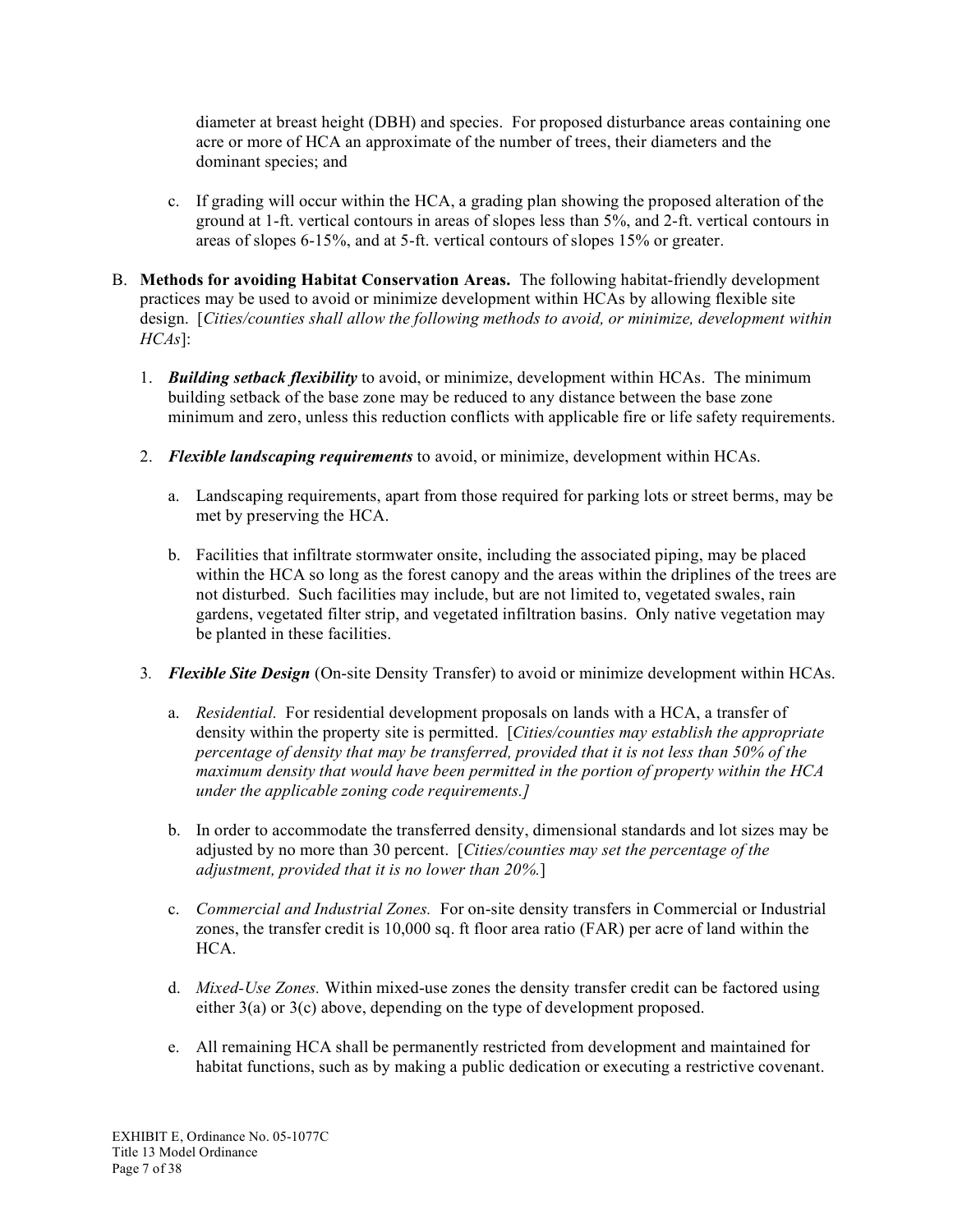diameter at breast height (DBH) and species. For proposed disturbance areas containing one acre or more of HCA an approximate of the number of trees, their diameters and the dominant species; and

- c. If grading will occur within the HCA, a grading plan showing the proposed alteration of the ground at 1-ft. vertical contours in areas of slopes less than 5%, and 2-ft. vertical contours in areas of slopes 6-15%, and at 5-ft. vertical contours of slopes 15% or greater.
- B. **Methods for avoiding Habitat Conservation Areas.** The following habitat-friendly development practices may be used to avoid or minimize development within HCAs by allowing flexible site design. [*Cities/counties shall allow the following methods to avoid, or minimize, development within HCAs*]:
	- 1. *Building setback flexibility* to avoid, or minimize, development within HCAs. The minimum building setback of the base zone may be reduced to any distance between the base zone minimum and zero, unless this reduction conflicts with applicable fire or life safety requirements.
	- 2. *Flexible landscaping requirements* to avoid, or minimize, development within HCAs.
		- a. Landscaping requirements, apart from those required for parking lots or street berms, may be met by preserving the HCA.
		- b. Facilities that infiltrate stormwater onsite, including the associated piping, may be placed within the HCA so long as the forest canopy and the areas within the driplines of the trees are not disturbed. Such facilities may include, but are not limited to, vegetated swales, rain gardens, vegetated filter strip, and vegetated infiltration basins. Only native vegetation may be planted in these facilities.
	- 3*. Flexible Site Design* (On-site Density Transfer) to avoid or minimize development within HCAs.
		- a. *Residential.* For residential development proposals on lands with a HCA, a transfer of density within the property site is permitted. [*Cities/counties may establish the appropriate percentage of density that may be transferred, provided that it is not less than 50% of the maximum density that would have been permitted in the portion of property within the HCA under the applicable zoning code requirements.]*
		- b. In order to accommodate the transferred density, dimensional standards and lot sizes may be adjusted by no more than 30 percent. [*Cities/counties may set the percentage of the adjustment, provided that it is no lower than 20%.*]
		- c. *Commercial and Industrial Zones.* For on-site density transfers in Commercial or Industrial zones, the transfer credit is 10,000 sq. ft floor area ratio (FAR) per acre of land within the HCA.
		- d. *Mixed-Use Zones.* Within mixed-use zones the density transfer credit can be factored using either 3(a) or 3(c) above, depending on the type of development proposed.
		- e. All remaining HCA shall be permanently restricted from development and maintained for habitat functions, such as by making a public dedication or executing a restrictive covenant.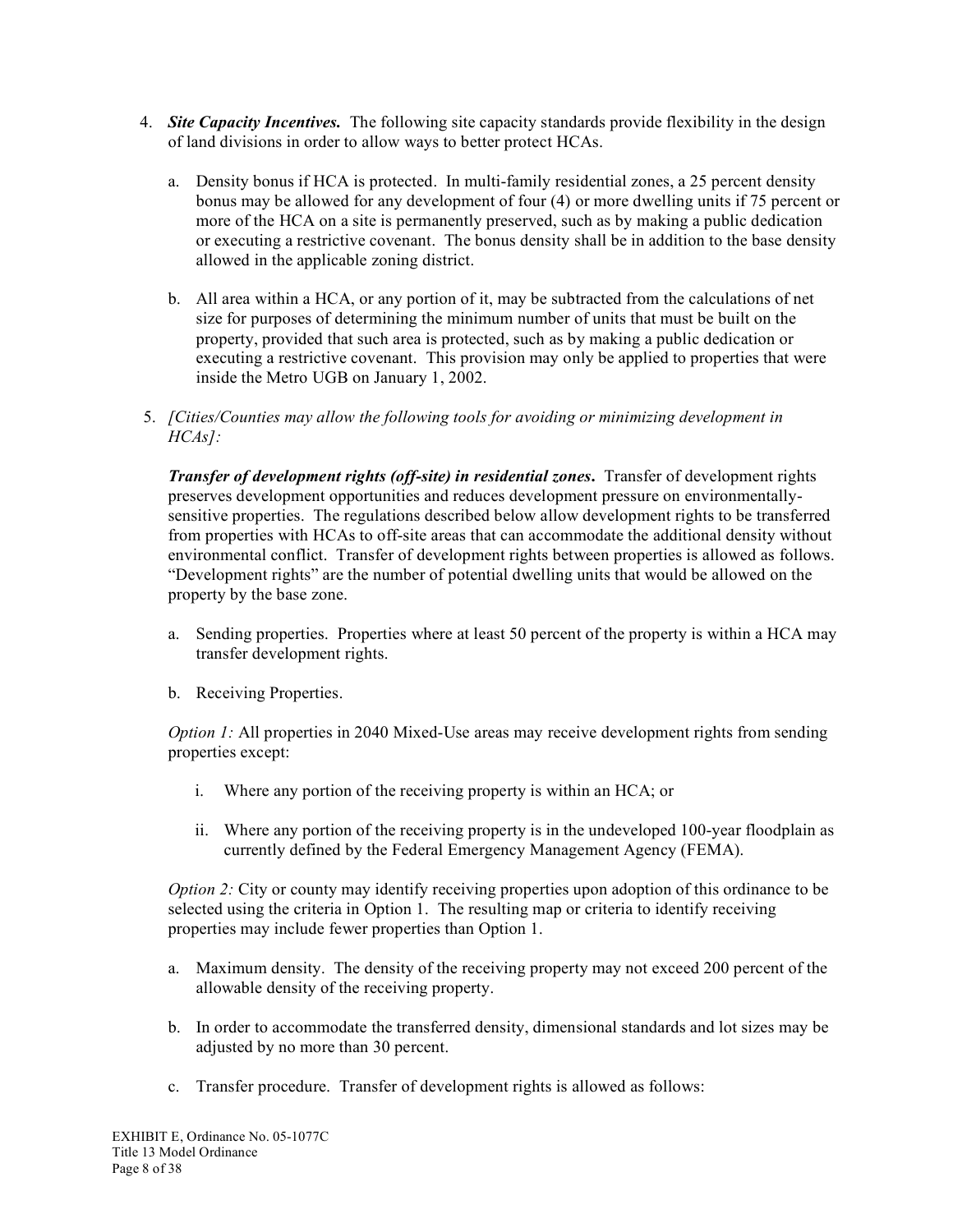- 4. *Site Capacity Incentives.* The following site capacity standards provide flexibility in the design of land divisions in order to allow ways to better protect HCAs.
	- a. Density bonus if HCA is protected. In multi-family residential zones, a 25 percent density bonus may be allowed for any development of four (4) or more dwelling units if 75 percent or more of the HCA on a site is permanently preserved, such as by making a public dedication or executing a restrictive covenant. The bonus density shall be in addition to the base density allowed in the applicable zoning district.
	- b. All area within a HCA, or any portion of it, may be subtracted from the calculations of net size for purposes of determining the minimum number of units that must be built on the property, provided that such area is protected, such as by making a public dedication or executing a restrictive covenant. This provision may only be applied to properties that were inside the Metro UGB on January 1, 2002.
- 5. *[Cities/Counties may allow the following tools for avoiding or minimizing development in HCAs]:*

*Transfer of development rights (off-site) in residential zones***.** Transfer of development rights preserves development opportunities and reduces development pressure on environmentallysensitive properties. The regulations described below allow development rights to be transferred from properties with HCAs to off-site areas that can accommodate the additional density without environmental conflict. Transfer of development rights between properties is allowed as follows. "Development rights" are the number of potential dwelling units that would be allowed on the property by the base zone.

- a. Sending properties. Properties where at least 50 percent of the property is within a HCA may transfer development rights.
- b. Receiving Properties.

*Option 1:* All properties in 2040 Mixed-Use areas may receive development rights from sending properties except:

- i. Where any portion of the receiving property is within an HCA; or
- ii. Where any portion of the receiving property is in the undeveloped 100-year floodplain as currently defined by the Federal Emergency Management Agency (FEMA).

*Option 2:* City or county may identify receiving properties upon adoption of this ordinance to be selected using the criteria in Option 1. The resulting map or criteria to identify receiving properties may include fewer properties than Option 1.

- a. Maximum density. The density of the receiving property may not exceed 200 percent of the allowable density of the receiving property.
- b. In order to accommodate the transferred density, dimensional standards and lot sizes may be adjusted by no more than 30 percent.
- c. Transfer procedure. Transfer of development rights is allowed as follows: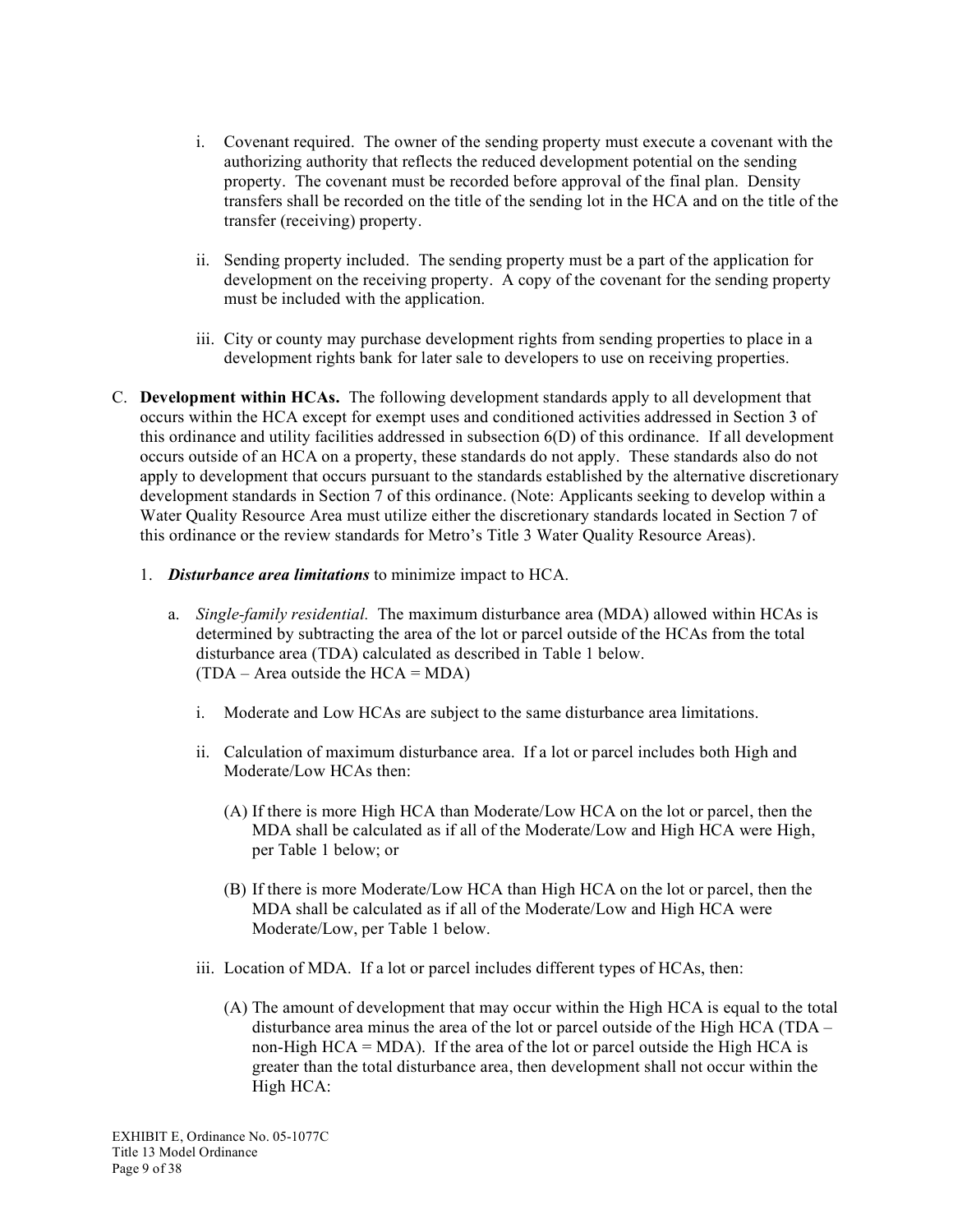- i. Covenant required. The owner of the sending property must execute a covenant with the authorizing authority that reflects the reduced development potential on the sending property. The covenant must be recorded before approval of the final plan. Density transfers shall be recorded on the title of the sending lot in the HCA and on the title of the transfer (receiving) property.
- ii. Sending property included. The sending property must be a part of the application for development on the receiving property. A copy of the covenant for the sending property must be included with the application.
- iii. City or county may purchase development rights from sending properties to place in a development rights bank for later sale to developers to use on receiving properties.
- C. **Development within HCAs.** The following development standards apply to all development that occurs within the HCA except for exempt uses and conditioned activities addressed in Section 3 of this ordinance and utility facilities addressed in subsection 6(D) of this ordinance. If all development occurs outside of an HCA on a property, these standards do not apply. These standards also do not apply to development that occurs pursuant to the standards established by the alternative discretionary development standards in Section 7 of this ordinance. (Note: Applicants seeking to develop within a Water Quality Resource Area must utilize either the discretionary standards located in Section 7 of this ordinance or the review standards for Metro's Title 3 Water Quality Resource Areas).
	- 1. *Disturbance area limitations* to minimize impact to HCA.
		- a. *Single-family residential.* The maximum disturbance area (MDA) allowed within HCAs is determined by subtracting the area of the lot or parcel outside of the HCAs from the total disturbance area (TDA) calculated as described in Table 1 below.  $(TDA - Area outside the HCA = MDA)$ 
			- i. Moderate and Low HCAs are subject to the same disturbance area limitations.
			- ii. Calculation of maximum disturbance area. If a lot or parcel includes both High and Moderate/Low HCAs then:
				- (A) If there is more High HCA than Moderate/Low HCA on the lot or parcel, then the MDA shall be calculated as if all of the Moderate/Low and High HCA were High, per Table 1 below; or
				- (B) If there is more Moderate/Low HCA than High HCA on the lot or parcel, then the MDA shall be calculated as if all of the Moderate/Low and High HCA were Moderate/Low, per Table 1 below.
			- iii. Location of MDA. If a lot or parcel includes different types of HCAs, then:
				- (A) The amount of development that may occur within the High HCA is equal to the total disturbance area minus the area of the lot or parcel outside of the High HCA (TDA – non-High  $HCA = MDA$ ). If the area of the lot or parcel outside the High  $HCA$  is greater than the total disturbance area, then development shall not occur within the High HCA: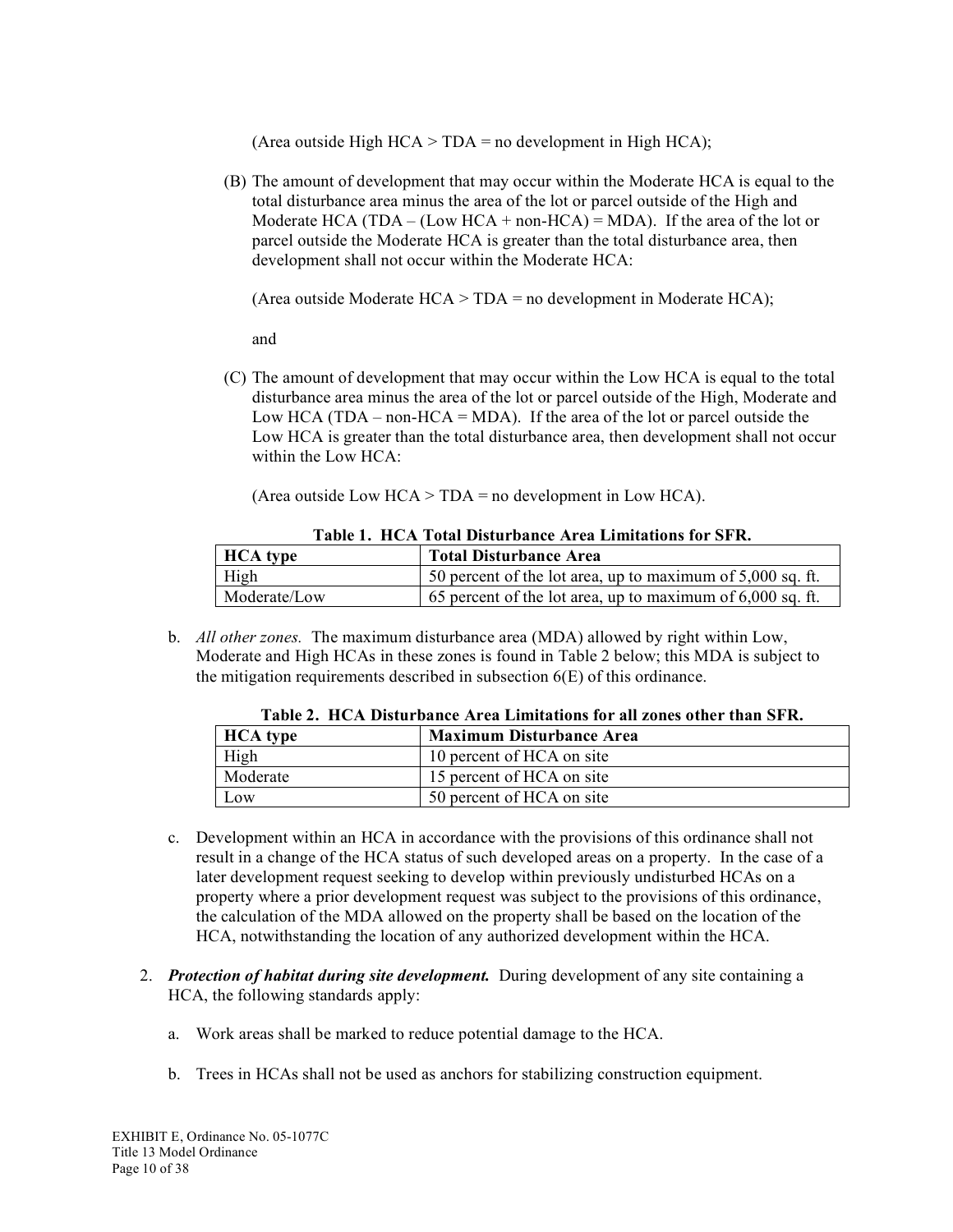(Area outside High  $HCA > TDA$  = no development in High  $HCA$ );

(B) The amount of development that may occur within the Moderate HCA is equal to the total disturbance area minus the area of the lot or parcel outside of the High and Moderate HCA (TDA – (Low HCA + non-HCA) = MDA). If the area of the lot or parcel outside the Moderate HCA is greater than the total disturbance area, then development shall not occur within the Moderate HCA:

(Area outside Moderate HCA > TDA = no development in Moderate HCA);

and

(C) The amount of development that may occur within the Low HCA is equal to the total disturbance area minus the area of the lot or parcel outside of the High, Moderate and Low HCA (TDA – non-HCA = MDA). If the area of the lot or parcel outside the Low HCA is greater than the total disturbance area, then development shall not occur within the Low HCA:

|  |  |  |  |  | (Area outside Low $HCA > TDA =$ no development in Low $HCA$ ). |  |
|--|--|--|--|--|----------------------------------------------------------------|--|
|  |  |  |  |  |                                                                |  |

| <b>HCA</b> type | <b>Total Disturbance Area</b>                                |
|-----------------|--------------------------------------------------------------|
| High            | 50 percent of the lot area, up to maximum of $5,000$ sq. ft. |
| Moderate/Low    | 65 percent of the lot area, up to maximum of $6,000$ sq. ft. |

#### **Table 1. HCA Total Disturbance Area Limitations for SFR.**

b. *All other zones.* The maximum disturbance area (MDA) allowed by right within Low, Moderate and High HCAs in these zones is found in Table 2 below; this MDA is subject to the mitigation requirements described in subsection 6(E) of this ordinance.

| <b>HCA</b> type | <b>Maximum Disturbance Area</b> |
|-----------------|---------------------------------|
| High            | 10 percent of HCA on site       |
| Moderate        | 15 percent of HCA on site       |
| LOW.            | 50 percent of HCA on site       |

- **Table 2. HCA Disturbance Area Limitations for all zones other than SFR.**
- c. Development within an HCA in accordance with the provisions of this ordinance shall not result in a change of the HCA status of such developed areas on a property. In the case of a later development request seeking to develop within previously undisturbed HCAs on a property where a prior development request was subject to the provisions of this ordinance, the calculation of the MDA allowed on the property shall be based on the location of the HCA, notwithstanding the location of any authorized development within the HCA.
- 2. *Protection of habitat during site development.* During development of any site containing a HCA, the following standards apply:
	- a. Work areas shall be marked to reduce potential damage to the HCA.
	- b. Trees in HCAs shall not be used as anchors for stabilizing construction equipment.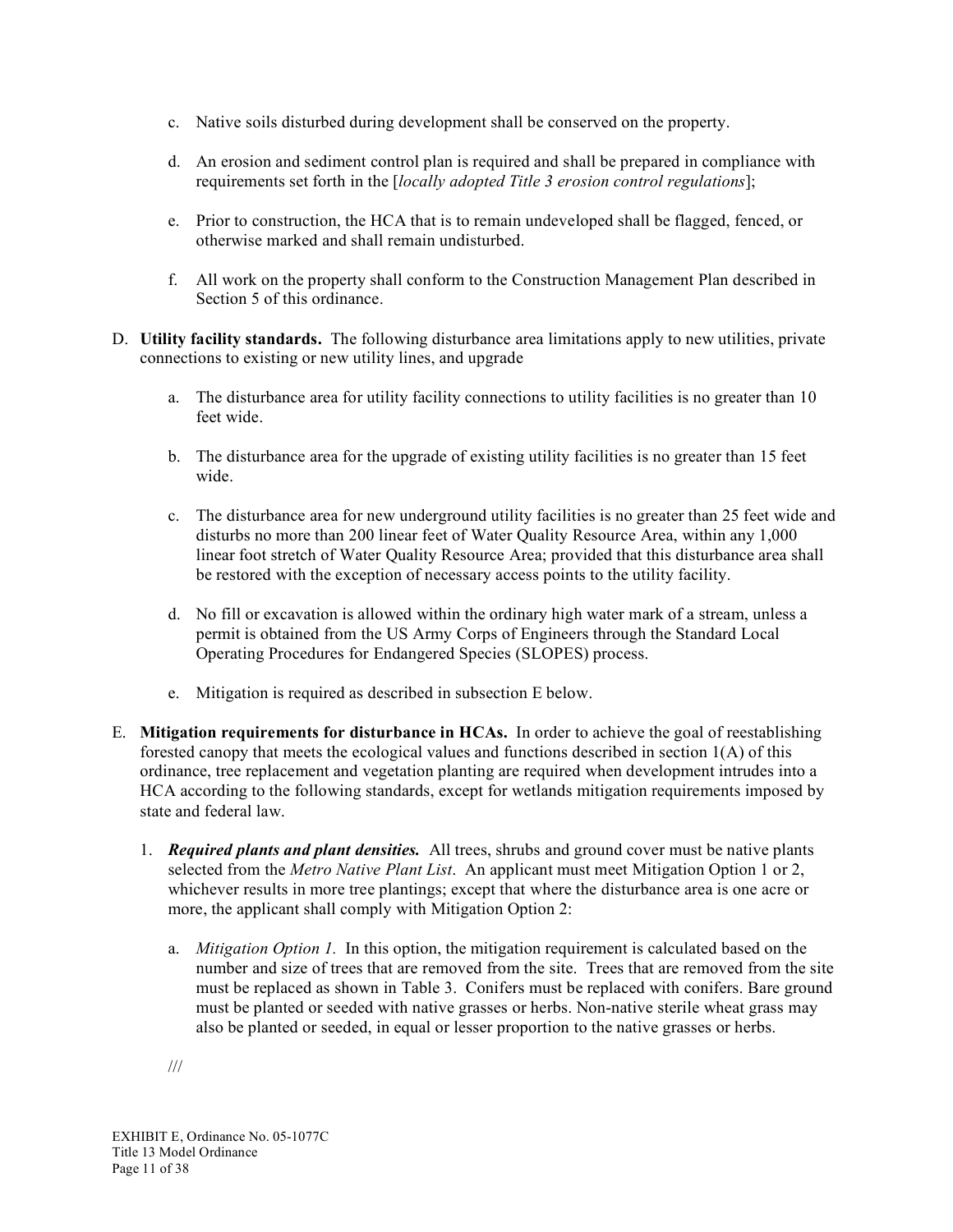- c. Native soils disturbed during development shall be conserved on the property.
- d. An erosion and sediment control plan is required and shall be prepared in compliance with requirements set forth in the [*locally adopted Title 3 erosion control regulations*];
- e. Prior to construction, the HCA that is to remain undeveloped shall be flagged, fenced, or otherwise marked and shall remain undisturbed.
- f. All work on the property shall conform to the Construction Management Plan described in Section 5 of this ordinance.
- D. **Utility facility standards.** The following disturbance area limitations apply to new utilities, private connections to existing or new utility lines, and upgrade
	- a. The disturbance area for utility facility connections to utility facilities is no greater than 10 feet wide.
	- b. The disturbance area for the upgrade of existing utility facilities is no greater than 15 feet wide.
	- c. The disturbance area for new underground utility facilities is no greater than 25 feet wide and disturbs no more than 200 linear feet of Water Quality Resource Area, within any 1,000 linear foot stretch of Water Quality Resource Area; provided that this disturbance area shall be restored with the exception of necessary access points to the utility facility.
	- d. No fill or excavation is allowed within the ordinary high water mark of a stream, unless a permit is obtained from the US Army Corps of Engineers through the Standard Local Operating Procedures for Endangered Species (SLOPES) process.
	- e. Mitigation is required as described in subsection E below.
- E. **Mitigation requirements for disturbance in HCAs.** In order to achieve the goal of reestablishing forested canopy that meets the ecological values and functions described in section 1(A) of this ordinance, tree replacement and vegetation planting are required when development intrudes into a HCA according to the following standards, except for wetlands mitigation requirements imposed by state and federal law.
	- 1. *Required plants and plant densities.* All trees, shrubs and ground cover must be native plants selected from the *Metro Native Plant List*. An applicant must meet Mitigation Option 1 or 2, whichever results in more tree plantings; except that where the disturbance area is one acre or more, the applicant shall comply with Mitigation Option 2:
		- a. *Mitigation Option 1.* In this option, the mitigation requirement is calculated based on the number and size of trees that are removed from the site. Trees that are removed from the site must be replaced as shown in Table 3. Conifers must be replaced with conifers. Bare ground must be planted or seeded with native grasses or herbs. Non-native sterile wheat grass may also be planted or seeded, in equal or lesser proportion to the native grasses or herbs.

///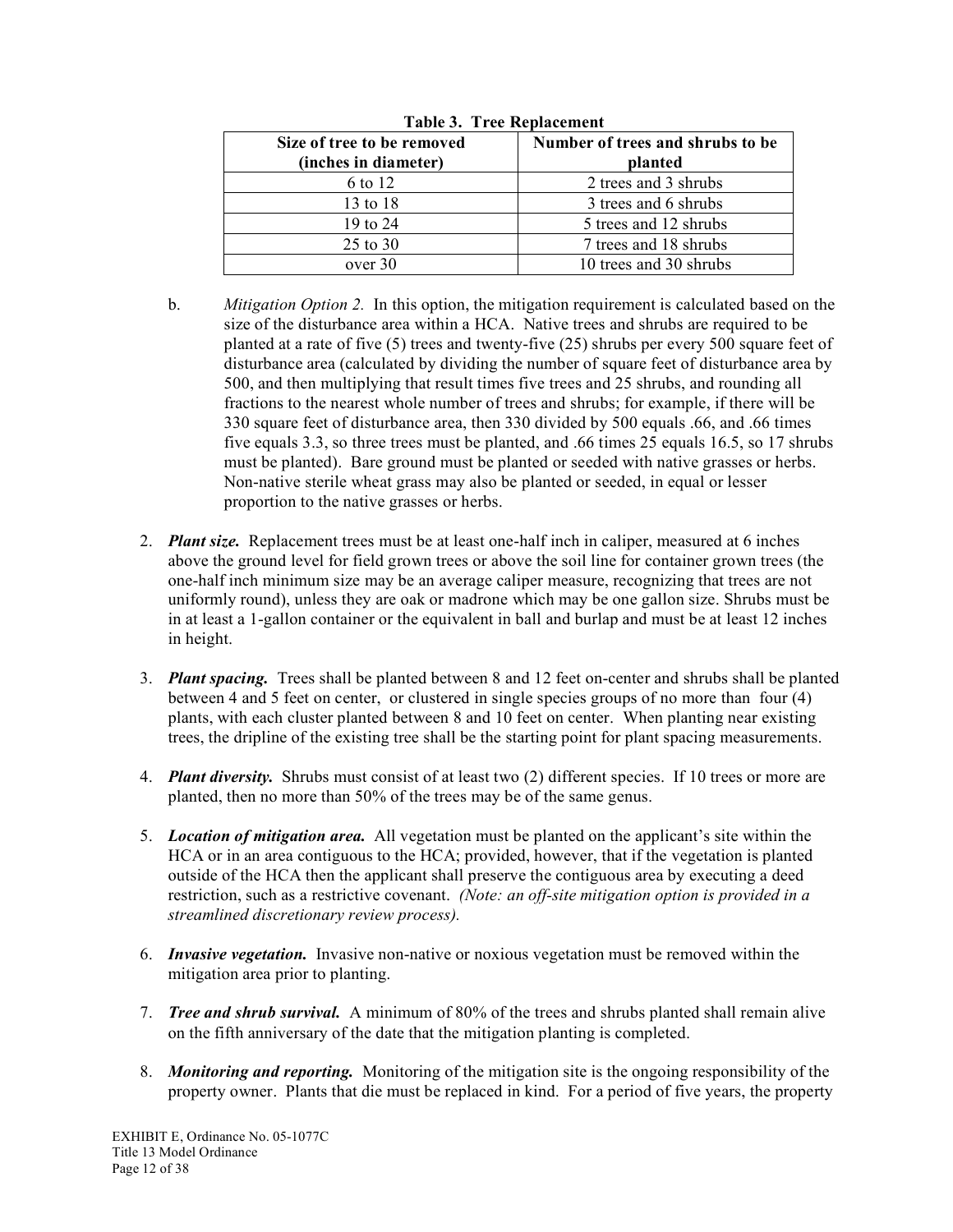| Size of tree to be removed<br>(inches in diameter) | Number of trees and shrubs to be<br>planted |
|----------------------------------------------------|---------------------------------------------|
| 6 to 12                                            | 2 trees and 3 shrubs                        |
| 13 to 18                                           | 3 trees and 6 shrubs                        |
| 19 to 24                                           | 5 trees and 12 shrubs                       |
| 25 to 30                                           | 7 trees and 18 shrubs                       |
| over 30                                            | 10 trees and 30 shrubs                      |

**Table 3. Tree Replacement**

- b. *Mitigation Option 2.* In this option, the mitigation requirement is calculated based on the size of the disturbance area within a HCA. Native trees and shrubs are required to be planted at a rate of five (5) trees and twenty-five (25) shrubs per every 500 square feet of disturbance area (calculated by dividing the number of square feet of disturbance area by 500, and then multiplying that result times five trees and 25 shrubs, and rounding all fractions to the nearest whole number of trees and shrubs; for example, if there will be 330 square feet of disturbance area, then 330 divided by 500 equals .66, and .66 times five equals 3.3, so three trees must be planted, and .66 times 25 equals 16.5, so 17 shrubs must be planted). Bare ground must be planted or seeded with native grasses or herbs. Non-native sterile wheat grass may also be planted or seeded, in equal or lesser proportion to the native grasses or herbs.
- 2. *Plant size.* Replacement trees must be at least one-half inch in caliper, measured at 6 inches above the ground level for field grown trees or above the soil line for container grown trees (the one-half inch minimum size may be an average caliper measure, recognizing that trees are not uniformly round), unless they are oak or madrone which may be one gallon size. Shrubs must be in at least a 1-gallon container or the equivalent in ball and burlap and must be at least 12 inches in height.
- 3. *Plant spacing.* Trees shall be planted between 8 and 12 feet on-center and shrubs shall be planted between 4 and 5 feet on center, or clustered in single species groups of no more than four (4) plants, with each cluster planted between 8 and 10 feet on center. When planting near existing trees, the dripline of the existing tree shall be the starting point for plant spacing measurements.
- 4. *Plant diversity.* Shrubs must consist of at least two (2) different species. If 10 trees or more are planted, then no more than 50% of the trees may be of the same genus.
- 5. *Location of mitigation area.* All vegetation must be planted on the applicant's site within the HCA or in an area contiguous to the HCA; provided, however, that if the vegetation is planted outside of the HCA then the applicant shall preserve the contiguous area by executing a deed restriction, such as a restrictive covenant. *(Note: an off-site mitigation option is provided in a streamlined discretionary review process).*
- 6. *Invasive vegetation.* Invasive non-native or noxious vegetation must be removed within the mitigation area prior to planting.
- 7. *Tree and shrub survival.* A minimum of 80% of the trees and shrubs planted shall remain alive on the fifth anniversary of the date that the mitigation planting is completed.
- 8. *Monitoring and reporting.* Monitoring of the mitigation site is the ongoing responsibility of the property owner. Plants that die must be replaced in kind. For a period of five years, the property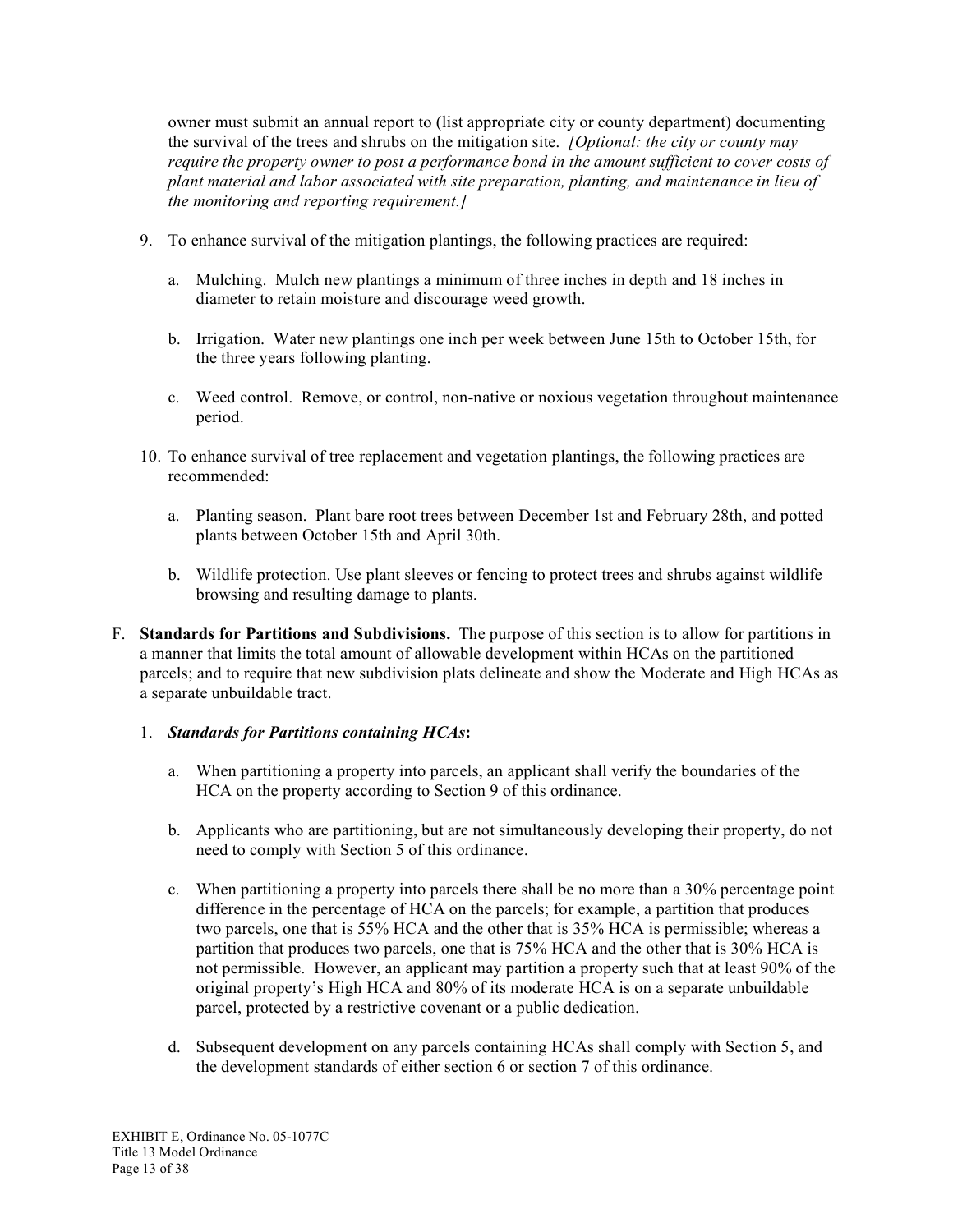owner must submit an annual report to (list appropriate city or county department) documenting the survival of the trees and shrubs on the mitigation site. *[Optional: the city or county may require the property owner to post a performance bond in the amount sufficient to cover costs of plant material and labor associated with site preparation, planting, and maintenance in lieu of the monitoring and reporting requirement.]*

- 9. To enhance survival of the mitigation plantings, the following practices are required:
	- a. Mulching. Mulch new plantings a minimum of three inches in depth and 18 inches in diameter to retain moisture and discourage weed growth.
	- b. Irrigation. Water new plantings one inch per week between June 15th to October 15th, for the three years following planting.
	- c. Weed control. Remove, or control, non-native or noxious vegetation throughout maintenance period.
- 10. To enhance survival of tree replacement and vegetation plantings, the following practices are recommended:
	- a. Planting season. Plant bare root trees between December 1st and February 28th, and potted plants between October 15th and April 30th.
	- b. Wildlife protection. Use plant sleeves or fencing to protect trees and shrubs against wildlife browsing and resulting damage to plants.
- F. **Standards for Partitions and Subdivisions.** The purpose of this section is to allow for partitions in a manner that limits the total amount of allowable development within HCAs on the partitioned parcels; and to require that new subdivision plats delineate and show the Moderate and High HCAs as a separate unbuildable tract.
	- 1. *Standards for Partitions containing HCAs***:**
		- a. When partitioning a property into parcels, an applicant shall verify the boundaries of the HCA on the property according to Section 9 of this ordinance.
		- b. Applicants who are partitioning, but are not simultaneously developing their property, do not need to comply with Section 5 of this ordinance.
		- c. When partitioning a property into parcels there shall be no more than a 30% percentage point difference in the percentage of HCA on the parcels; for example, a partition that produces two parcels, one that is 55% HCA and the other that is 35% HCA is permissible; whereas a partition that produces two parcels, one that is 75% HCA and the other that is 30% HCA is not permissible. However, an applicant may partition a property such that at least 90% of the original property's High HCA and 80% of its moderate HCA is on a separate unbuildable parcel, protected by a restrictive covenant or a public dedication.
		- d. Subsequent development on any parcels containing HCAs shall comply with Section 5, and the development standards of either section 6 or section 7 of this ordinance.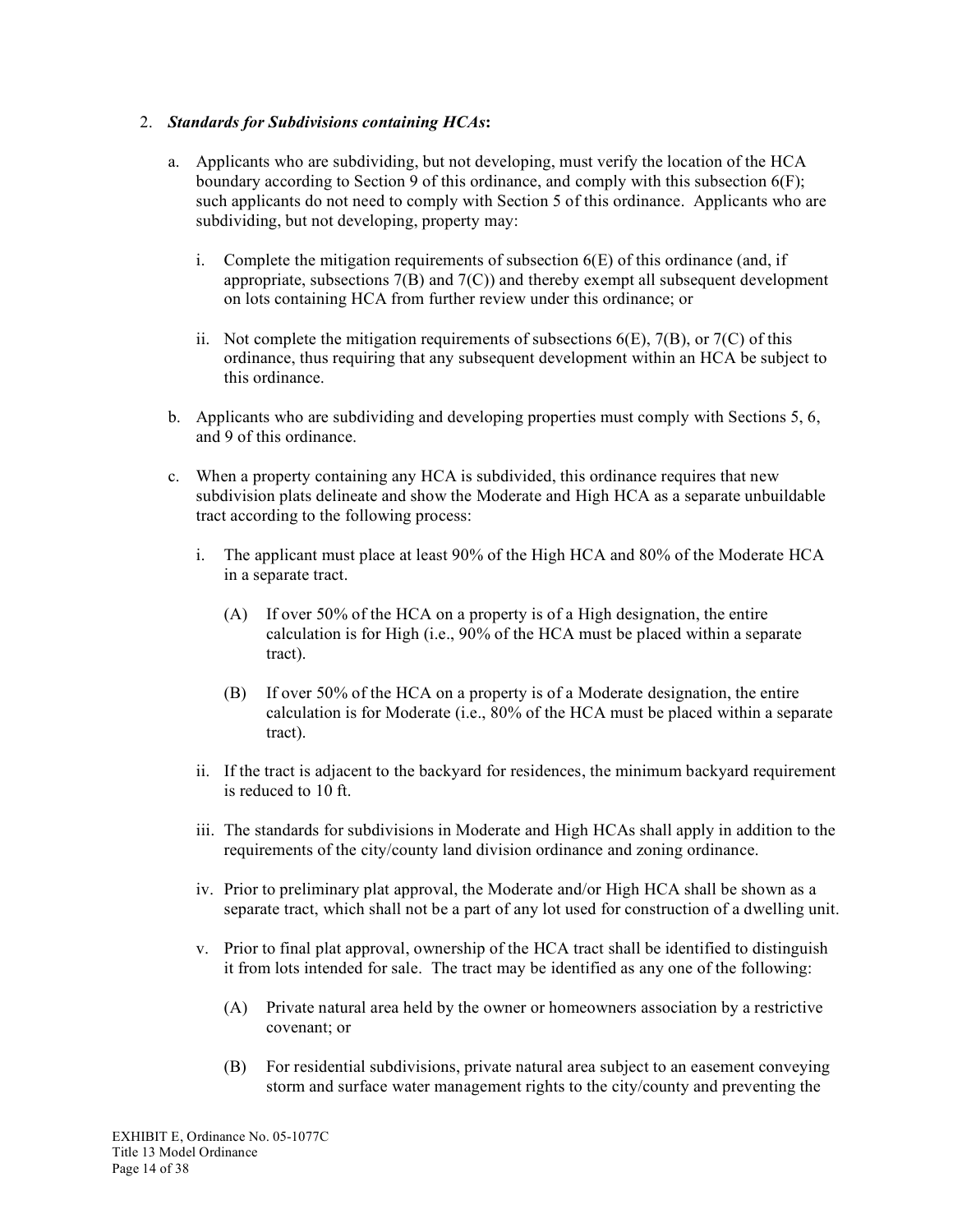### 2. *Standards for Subdivisions containing HCAs***:**

- a. Applicants who are subdividing, but not developing, must verify the location of the HCA boundary according to Section 9 of this ordinance, and comply with this subsection 6(F); such applicants do not need to comply with Section 5 of this ordinance. Applicants who are subdividing, but not developing, property may:
	- i. Complete the mitigation requirements of subsection  $6(E)$  of this ordinance (and, if appropriate, subsections  $7(B)$  and  $7(C)$ ) and thereby exempt all subsequent development on lots containing HCA from further review under this ordinance; or
	- ii. Not complete the mitigation requirements of subsections  $6(E)$ ,  $7(B)$ , or  $7(C)$  of this ordinance, thus requiring that any subsequent development within an HCA be subject to this ordinance.
- b. Applicants who are subdividing and developing properties must comply with Sections 5, 6, and 9 of this ordinance.
- c. When a property containing any HCA is subdivided, this ordinance requires that new subdivision plats delineate and show the Moderate and High HCA as a separate unbuildable tract according to the following process:
	- i. The applicant must place at least 90% of the High HCA and 80% of the Moderate HCA in a separate tract.
		- (A) If over 50% of the HCA on a property is of a High designation, the entire calculation is for High (i.e., 90% of the HCA must be placed within a separate tract).
		- (B) If over 50% of the HCA on a property is of a Moderate designation, the entire calculation is for Moderate (i.e., 80% of the HCA must be placed within a separate tract).
	- ii. If the tract is adjacent to the backyard for residences, the minimum backyard requirement is reduced to 10 ft.
	- iii. The standards for subdivisions in Moderate and High HCAs shall apply in addition to the requirements of the city/county land division ordinance and zoning ordinance.
	- iv. Prior to preliminary plat approval, the Moderate and/or High HCA shall be shown as a separate tract, which shall not be a part of any lot used for construction of a dwelling unit.
	- v. Prior to final plat approval, ownership of the HCA tract shall be identified to distinguish it from lots intended for sale. The tract may be identified as any one of the following:
		- (A) Private natural area held by the owner or homeowners association by a restrictive covenant; or
		- (B) For residential subdivisions, private natural area subject to an easement conveying storm and surface water management rights to the city/county and preventing the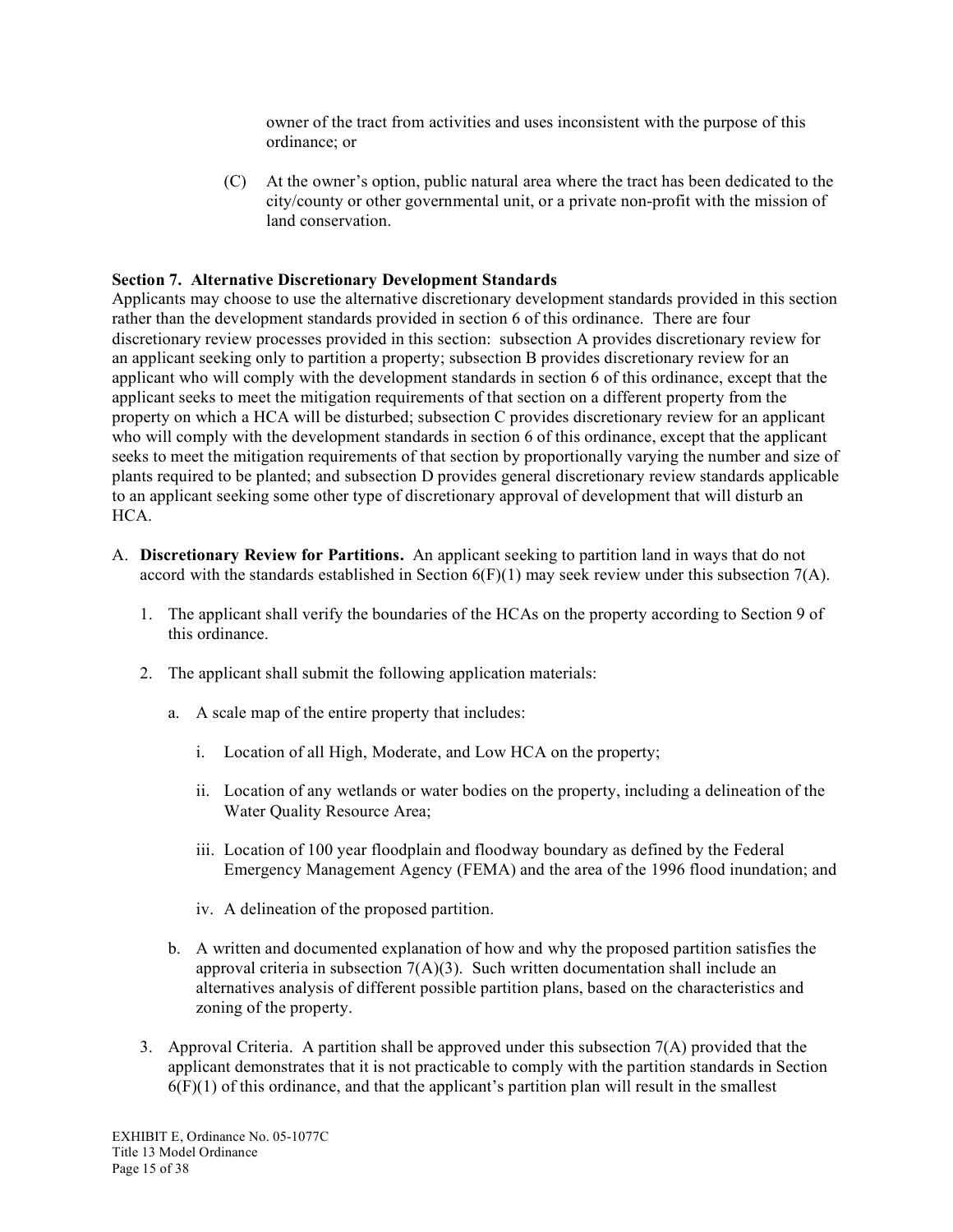owner of the tract from activities and uses inconsistent with the purpose of this ordinance; or

(C) At the owner's option, public natural area where the tract has been dedicated to the city/county or other governmental unit, or a private non-profit with the mission of land conservation.

### **Section 7. Alternative Discretionary Development Standards**

Applicants may choose to use the alternative discretionary development standards provided in this section rather than the development standards provided in section 6 of this ordinance. There are four discretionary review processes provided in this section: subsection A provides discretionary review for an applicant seeking only to partition a property; subsection B provides discretionary review for an applicant who will comply with the development standards in section 6 of this ordinance, except that the applicant seeks to meet the mitigation requirements of that section on a different property from the property on which a HCA will be disturbed; subsection C provides discretionary review for an applicant who will comply with the development standards in section 6 of this ordinance, except that the applicant seeks to meet the mitigation requirements of that section by proportionally varying the number and size of plants required to be planted; and subsection D provides general discretionary review standards applicable to an applicant seeking some other type of discretionary approval of development that will disturb an HCA.

- A. **Discretionary Review for Partitions.** An applicant seeking to partition land in ways that do not accord with the standards established in Section 6(F)(1) may seek review under this subsection 7(A).
	- 1. The applicant shall verify the boundaries of the HCAs on the property according to Section 9 of this ordinance.
	- 2. The applicant shall submit the following application materials:
		- a. A scale map of the entire property that includes:
			- i. Location of all High, Moderate, and Low HCA on the property;
			- ii. Location of any wetlands or water bodies on the property, including a delineation of the Water Quality Resource Area;
			- iii. Location of 100 year floodplain and floodway boundary as defined by the Federal Emergency Management Agency (FEMA) and the area of the 1996 flood inundation; and
			- iv. A delineation of the proposed partition.
		- b. A written and documented explanation of how and why the proposed partition satisfies the approval criteria in subsection  $7(A)(3)$ . Such written documentation shall include an alternatives analysis of different possible partition plans, based on the characteristics and zoning of the property.
	- 3. Approval Criteria. A partition shall be approved under this subsection 7(A) provided that the applicant demonstrates that it is not practicable to comply with the partition standards in Section  $6(F)(1)$  of this ordinance, and that the applicant's partition plan will result in the smallest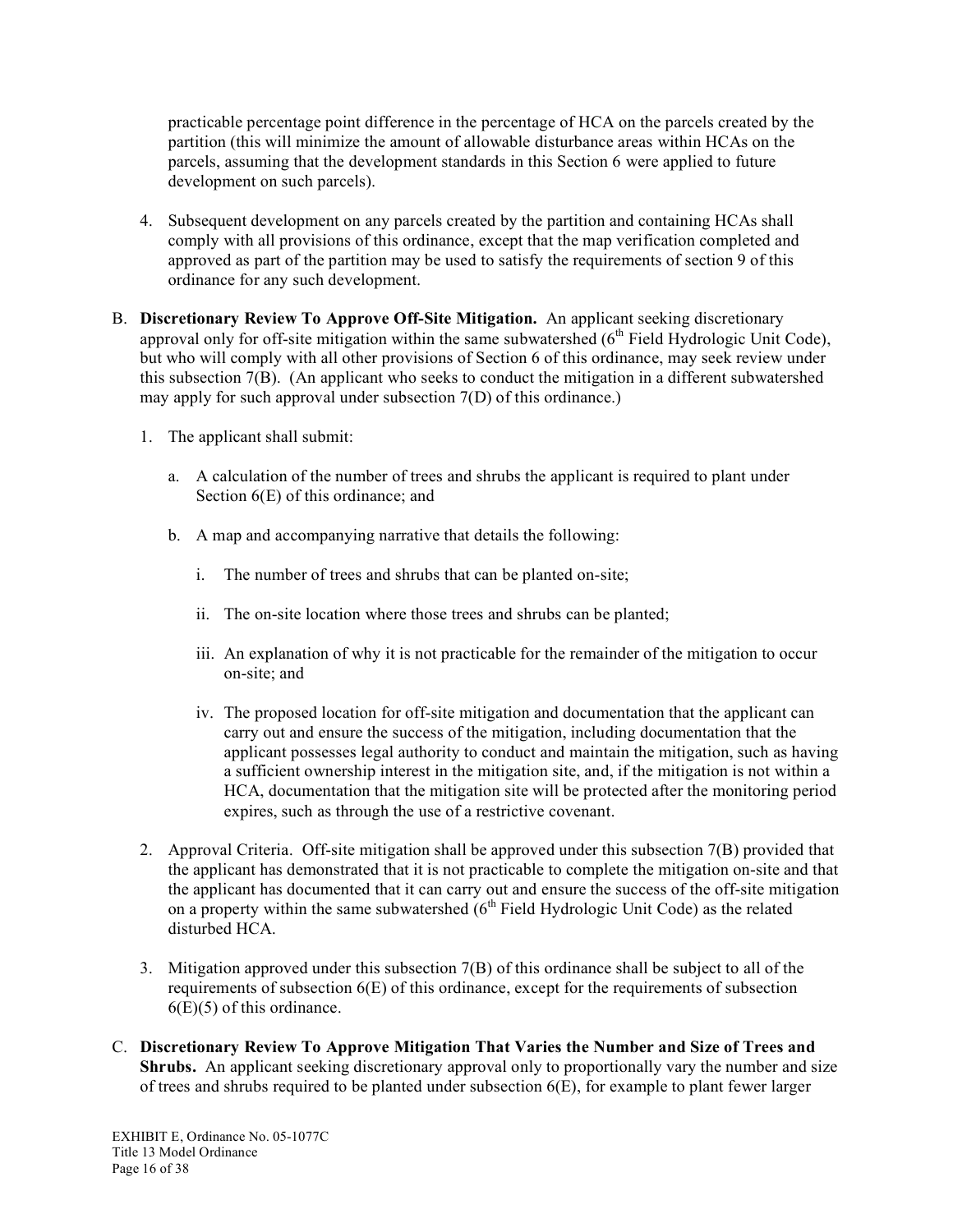practicable percentage point difference in the percentage of HCA on the parcels created by the partition (this will minimize the amount of allowable disturbance areas within HCAs on the parcels, assuming that the development standards in this Section 6 were applied to future development on such parcels).

- 4. Subsequent development on any parcels created by the partition and containing HCAs shall comply with all provisions of this ordinance, except that the map verification completed and approved as part of the partition may be used to satisfy the requirements of section 9 of this ordinance for any such development.
- B. **Discretionary Review To Approve Off-Site Mitigation.** An applicant seeking discretionary approval only for off-site mitigation within the same subwatershed  $(6<sup>th</sup>$  Field Hydrologic Unit Code), but who will comply with all other provisions of Section 6 of this ordinance, may seek review under this subsection  $7(B)$ . (An applicant who seeks to conduct the mitigation in a different subwatershed may apply for such approval under subsection 7(D) of this ordinance.)
	- 1. The applicant shall submit:
		- a. A calculation of the number of trees and shrubs the applicant is required to plant under Section  $6(E)$  of this ordinance; and
		- b. A map and accompanying narrative that details the following:
			- i. The number of trees and shrubs that can be planted on-site;
			- ii. The on-site location where those trees and shrubs can be planted;
			- iii. An explanation of why it is not practicable for the remainder of the mitigation to occur on-site; and
			- iv. The proposed location for off-site mitigation and documentation that the applicant can carry out and ensure the success of the mitigation, including documentation that the applicant possesses legal authority to conduct and maintain the mitigation, such as having a sufficient ownership interest in the mitigation site, and, if the mitigation is not within a HCA, documentation that the mitigation site will be protected after the monitoring period expires, such as through the use of a restrictive covenant.
	- 2. Approval Criteria. Off-site mitigation shall be approved under this subsection 7(B) provided that the applicant has demonstrated that it is not practicable to complete the mitigation on-site and that the applicant has documented that it can carry out and ensure the success of the off-site mitigation on a property within the same subwatershed  $(6<sup>th</sup>$  Field Hydrologic Unit Code) as the related disturbed HCA.
	- 3. Mitigation approved under this subsection 7(B) of this ordinance shall be subject to all of the requirements of subsection 6(E) of this ordinance, except for the requirements of subsection  $6(E)(5)$  of this ordinance.
- C. **Discretionary Review To Approve Mitigation That Varies the Number and Size of Trees and Shrubs.** An applicant seeking discretionary approval only to proportionally vary the number and size of trees and shrubs required to be planted under subsection 6(E), for example to plant fewer larger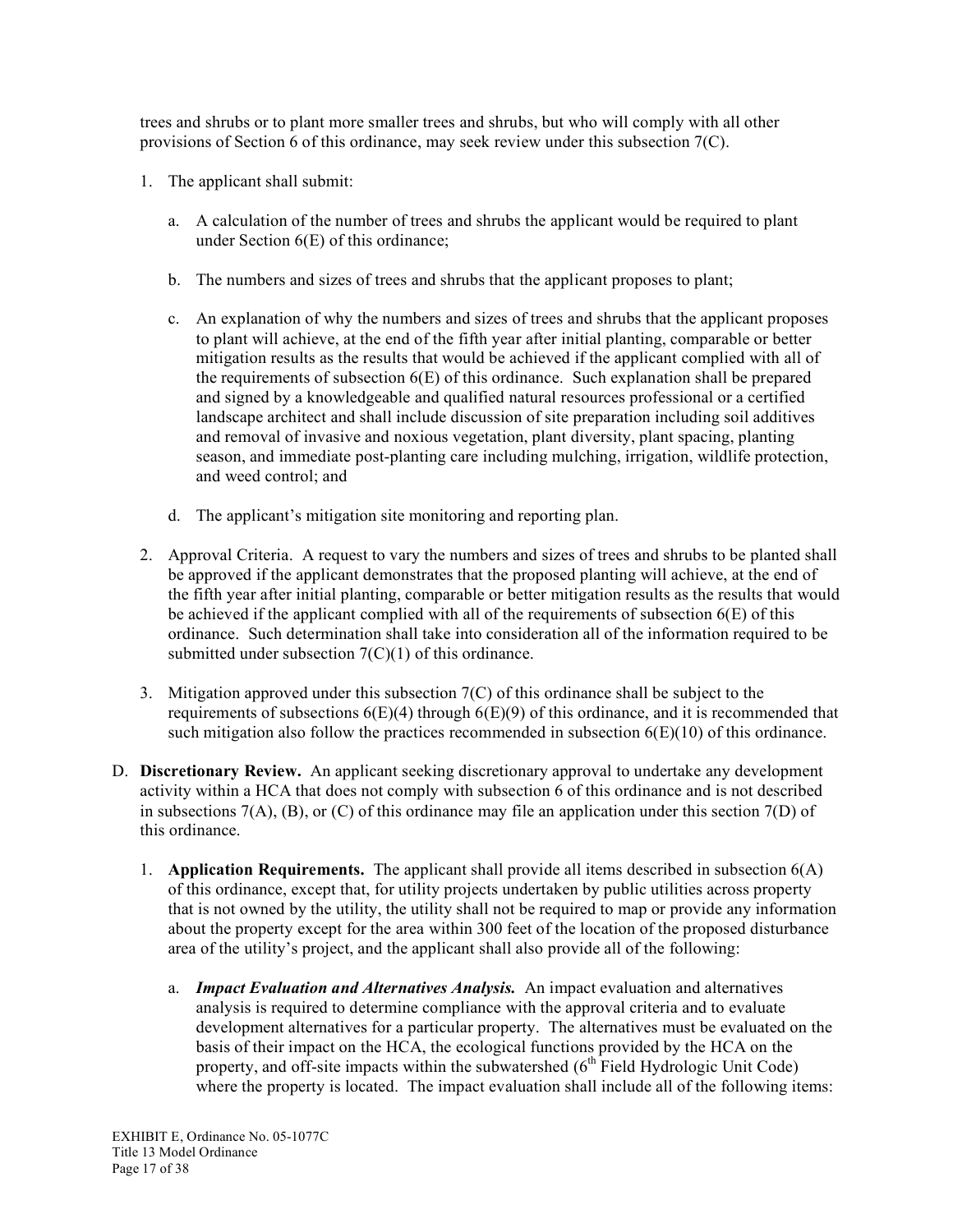trees and shrubs or to plant more smaller trees and shrubs, but who will comply with all other provisions of Section 6 of this ordinance, may seek review under this subsection 7(C).

- 1. The applicant shall submit:
	- a. A calculation of the number of trees and shrubs the applicant would be required to plant under Section 6(E) of this ordinance;
	- b. The numbers and sizes of trees and shrubs that the applicant proposes to plant;
	- c. An explanation of why the numbers and sizes of trees and shrubs that the applicant proposes to plant will achieve, at the end of the fifth year after initial planting, comparable or better mitigation results as the results that would be achieved if the applicant complied with all of the requirements of subsection  $6(E)$  of this ordinance. Such explanation shall be prepared and signed by a knowledgeable and qualified natural resources professional or a certified landscape architect and shall include discussion of site preparation including soil additives and removal of invasive and noxious vegetation, plant diversity, plant spacing, planting season, and immediate post-planting care including mulching, irrigation, wildlife protection, and weed control; and
	- d. The applicant's mitigation site monitoring and reporting plan.
- 2. Approval Criteria. A request to vary the numbers and sizes of trees and shrubs to be planted shall be approved if the applicant demonstrates that the proposed planting will achieve, at the end of the fifth year after initial planting, comparable or better mitigation results as the results that would be achieved if the applicant complied with all of the requirements of subsection 6(E) of this ordinance. Such determination shall take into consideration all of the information required to be submitted under subsection  $7(C)(1)$  of this ordinance.
- 3. Mitigation approved under this subsection 7(C) of this ordinance shall be subject to the requirements of subsections  $6(E)(4)$  through  $6(E)(9)$  of this ordinance, and it is recommended that such mitigation also follow the practices recommended in subsection  $6(E)(10)$  of this ordinance.
- D. **Discretionary Review.** An applicant seeking discretionary approval to undertake any development activity within a HCA that does not comply with subsection 6 of this ordinance and is not described in subsections  $7(A)$ ,  $(B)$ , or  $(C)$  of this ordinance may file an application under this section  $7(D)$  of this ordinance.
	- 1. **Application Requirements.** The applicant shall provide all items described in subsection 6(A) of this ordinance, except that, for utility projects undertaken by public utilities across property that is not owned by the utility, the utility shall not be required to map or provide any information about the property except for the area within 300 feet of the location of the proposed disturbance area of the utility's project, and the applicant shall also provide all of the following:
		- a. *Impact Evaluation and Alternatives Analysis.* An impact evaluation and alternatives analysis is required to determine compliance with the approval criteria and to evaluate development alternatives for a particular property. The alternatives must be evaluated on the basis of their impact on the HCA, the ecological functions provided by the HCA on the property, and off-site impacts within the subwatershed  $(6<sup>th</sup>$  Field Hydrologic Unit Code) where the property is located. The impact evaluation shall include all of the following items: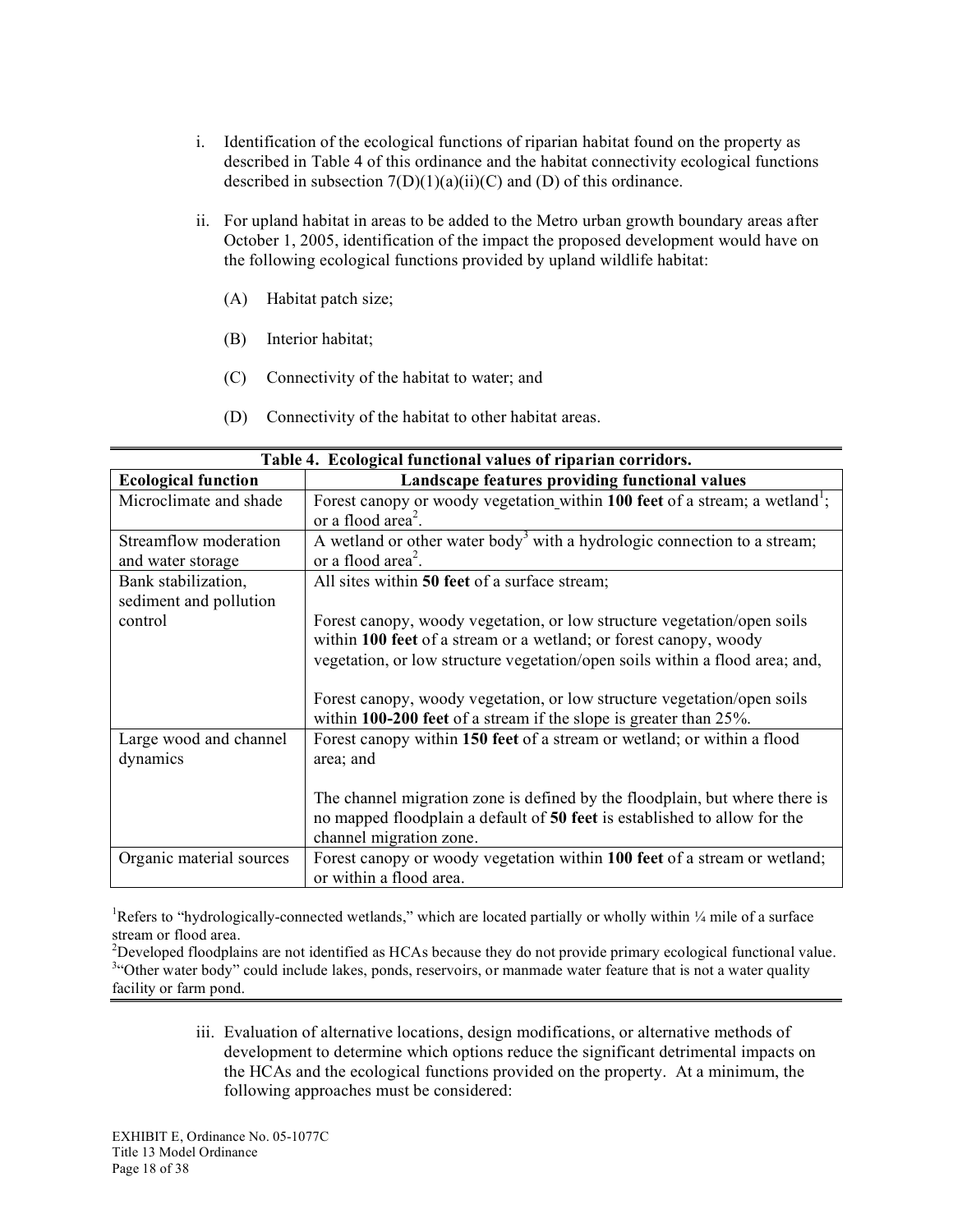- i. Identification of the ecological functions of riparian habitat found on the property as described in Table 4 of this ordinance and the habitat connectivity ecological functions described in subsection  $7(D)(1)(a)(ii)(C)$  and  $(D)$  of this ordinance.
- ii. For upland habitat in areas to be added to the Metro urban growth boundary areas after October 1, 2005, identification of the impact the proposed development would have on the following ecological functions provided by upland wildlife habitat:
	- (A) Habitat patch size;
	- (B) Interior habitat;
	- (C) Connectivity of the habitat to water; and
	- (D) Connectivity of the habitat to other habitat areas.

| Table 4. Ecological functional values of riparian corridors. |                                                                                                                                                                                                                              |  |  |  |  |
|--------------------------------------------------------------|------------------------------------------------------------------------------------------------------------------------------------------------------------------------------------------------------------------------------|--|--|--|--|
| <b>Ecological function</b>                                   | Landscape features providing functional values                                                                                                                                                                               |  |  |  |  |
| Microclimate and shade                                       | Forest canopy or woody vegetation within 100 feet of a stream; a wetland <sup>1</sup> ;<br>or a flood area <sup>2</sup> .                                                                                                    |  |  |  |  |
| Streamflow moderation<br>and water storage                   | A wetland or other water body <sup>3</sup> with a hydrologic connection to a stream;<br>or a flood area <sup>2</sup> .                                                                                                       |  |  |  |  |
| Bank stabilization,<br>sediment and pollution                | All sites within 50 feet of a surface stream;                                                                                                                                                                                |  |  |  |  |
| control                                                      | Forest canopy, woody vegetation, or low structure vegetation/open soils<br>within 100 feet of a stream or a wetland; or forest canopy, woody<br>vegetation, or low structure vegetation/open soils within a flood area; and, |  |  |  |  |
|                                                              | Forest canopy, woody vegetation, or low structure vegetation/open soils<br>within 100-200 feet of a stream if the slope is greater than $25\%$ .                                                                             |  |  |  |  |
| Large wood and channel<br>dynamics                           | Forest canopy within 150 feet of a stream or wetland; or within a flood<br>area; and                                                                                                                                         |  |  |  |  |
|                                                              | The channel migration zone is defined by the floodplain, but where there is<br>no mapped floodplain a default of 50 feet is established to allow for the<br>channel migration zone.                                          |  |  |  |  |
| Organic material sources                                     | Forest canopy or woody vegetation within 100 feet of a stream or wetland;<br>or within a flood area.                                                                                                                         |  |  |  |  |

<sup>1</sup>Refers to "hydrologically-connected wetlands," which are located partially or wholly within  $\frac{1}{4}$  mile of a surface stream or flood area.

<sup>2</sup>Developed floodplains are not identified as HCAs because they do not provide primary ecological functional value. <sup>3.c</sup>Other water body" could include lakes, ponds, reservoirs, or manmade water feature that is not a water quality facility or farm pond.

> iii. Evaluation of alternative locations, design modifications, or alternative methods of development to determine which options reduce the significant detrimental impacts on the HCAs and the ecological functions provided on the property. At a minimum, the following approaches must be considered: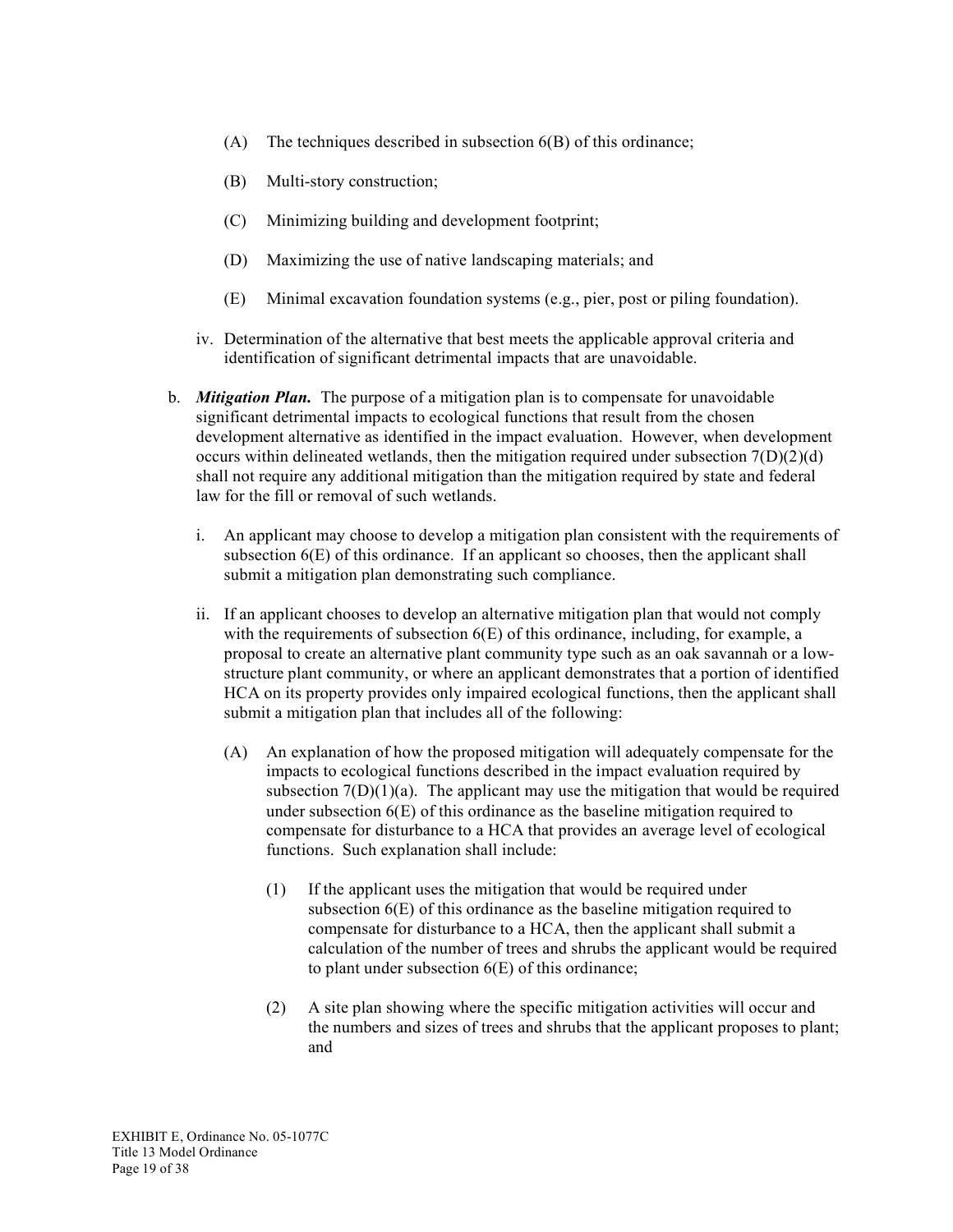- (A) The techniques described in subsection 6(B) of this ordinance;
- (B) Multi-story construction;
- (C) Minimizing building and development footprint;
- (D) Maximizing the use of native landscaping materials; and
- (E) Minimal excavation foundation systems (e.g., pier, post or piling foundation).
- iv. Determination of the alternative that best meets the applicable approval criteria and identification of significant detrimental impacts that are unavoidable.
- b. *Mitigation Plan.* The purpose of a mitigation plan is to compensate for unavoidable significant detrimental impacts to ecological functions that result from the chosen development alternative as identified in the impact evaluation. However, when development occurs within delineated wetlands, then the mitigation required under subsection  $7(D)(2)(d)$ shall not require any additional mitigation than the mitigation required by state and federal law for the fill or removal of such wetlands.
	- i. An applicant may choose to develop a mitigation plan consistent with the requirements of subsection  $6(E)$  of this ordinance. If an applicant so chooses, then the applicant shall submit a mitigation plan demonstrating such compliance.
	- ii. If an applicant chooses to develop an alternative mitigation plan that would not comply with the requirements of subsection  $6(E)$  of this ordinance, including, for example, a proposal to create an alternative plant community type such as an oak savannah or a lowstructure plant community, or where an applicant demonstrates that a portion of identified HCA on its property provides only impaired ecological functions, then the applicant shall submit a mitigation plan that includes all of the following:
		- (A) An explanation of how the proposed mitigation will adequately compensate for the impacts to ecological functions described in the impact evaluation required by subsection  $7(D)(1)(a)$ . The applicant may use the mitigation that would be required under subsection 6(E) of this ordinance as the baseline mitigation required to compensate for disturbance to a HCA that provides an average level of ecological functions. Such explanation shall include:
			- (1) If the applicant uses the mitigation that would be required under subsection 6(E) of this ordinance as the baseline mitigation required to compensate for disturbance to a HCA, then the applicant shall submit a calculation of the number of trees and shrubs the applicant would be required to plant under subsection 6(E) of this ordinance;
			- (2) A site plan showing where the specific mitigation activities will occur and the numbers and sizes of trees and shrubs that the applicant proposes to plant; and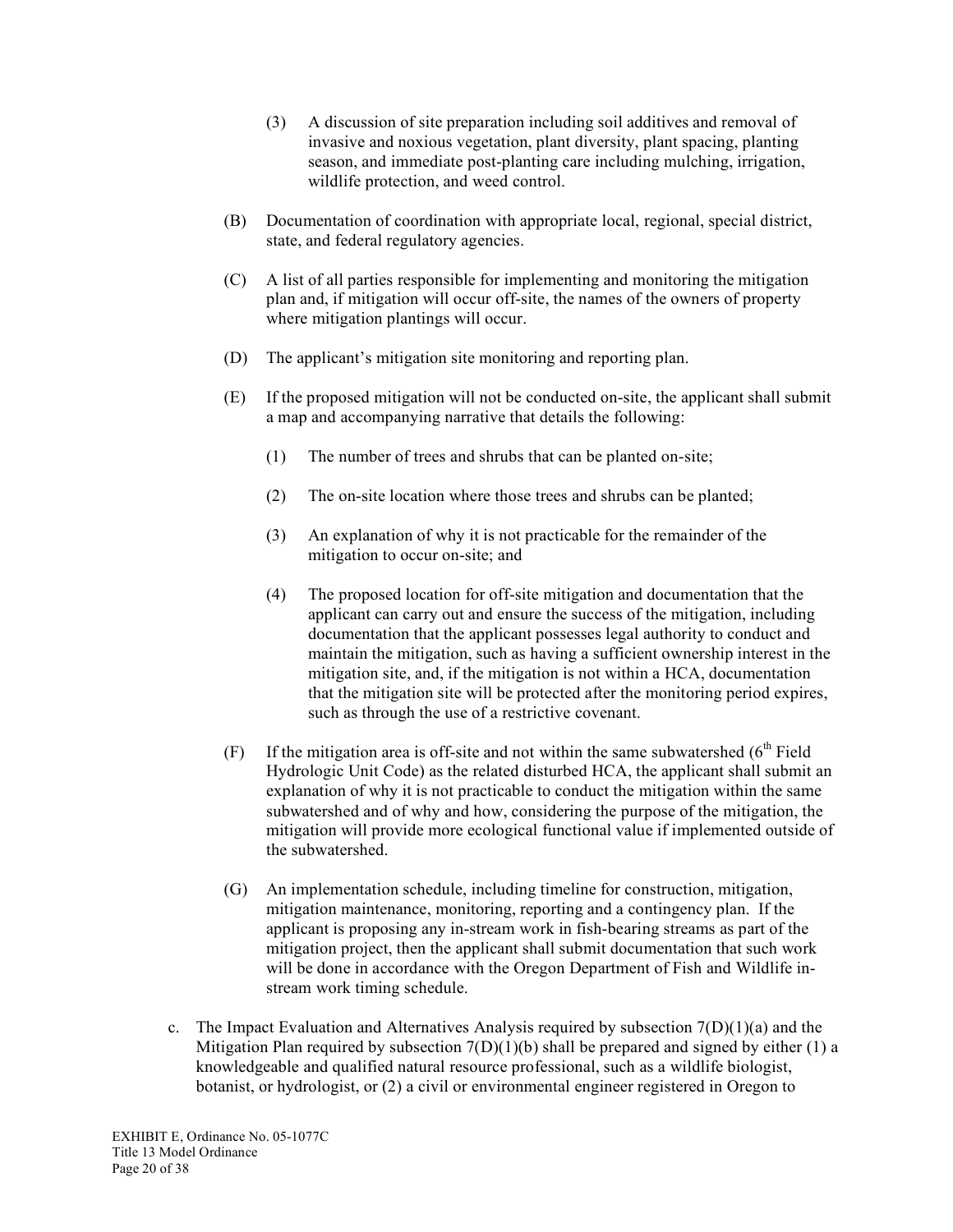- (3) A discussion of site preparation including soil additives and removal of invasive and noxious vegetation, plant diversity, plant spacing, planting season, and immediate post-planting care including mulching, irrigation, wildlife protection, and weed control.
- (B) Documentation of coordination with appropriate local, regional, special district, state, and federal regulatory agencies.
- (C) A list of all parties responsible for implementing and monitoring the mitigation plan and, if mitigation will occur off-site, the names of the owners of property where mitigation plantings will occur.
- (D) The applicant's mitigation site monitoring and reporting plan.
- (E) If the proposed mitigation will not be conducted on-site, the applicant shall submit a map and accompanying narrative that details the following:
	- (1) The number of trees and shrubs that can be planted on-site;
	- (2) The on-site location where those trees and shrubs can be planted;
	- (3) An explanation of why it is not practicable for the remainder of the mitigation to occur on-site; and
	- (4) The proposed location for off-site mitigation and documentation that the applicant can carry out and ensure the success of the mitigation, including documentation that the applicant possesses legal authority to conduct and maintain the mitigation, such as having a sufficient ownership interest in the mitigation site, and, if the mitigation is not within a HCA, documentation that the mitigation site will be protected after the monitoring period expires, such as through the use of a restrictive covenant.
- (F) If the mitigation area is off-site and not within the same subwatershed  $(6<sup>th</sup>$  Field Hydrologic Unit Code) as the related disturbed HCA, the applicant shall submit an explanation of why it is not practicable to conduct the mitigation within the same subwatershed and of why and how, considering the purpose of the mitigation, the mitigation will provide more ecological functional value if implemented outside of the subwatershed.
- (G) An implementation schedule, including timeline for construction, mitigation, mitigation maintenance, monitoring, reporting and a contingency plan. If the applicant is proposing any in-stream work in fish-bearing streams as part of the mitigation project, then the applicant shall submit documentation that such work will be done in accordance with the Oregon Department of Fish and Wildlife instream work timing schedule.
- c. The Impact Evaluation and Alternatives Analysis required by subsection  $7(D)(1)(a)$  and the Mitigation Plan required by subsection  $7(D)(1)(b)$  shall be prepared and signed by either (1) a knowledgeable and qualified natural resource professional, such as a wildlife biologist, botanist, or hydrologist, or (2) a civil or environmental engineer registered in Oregon to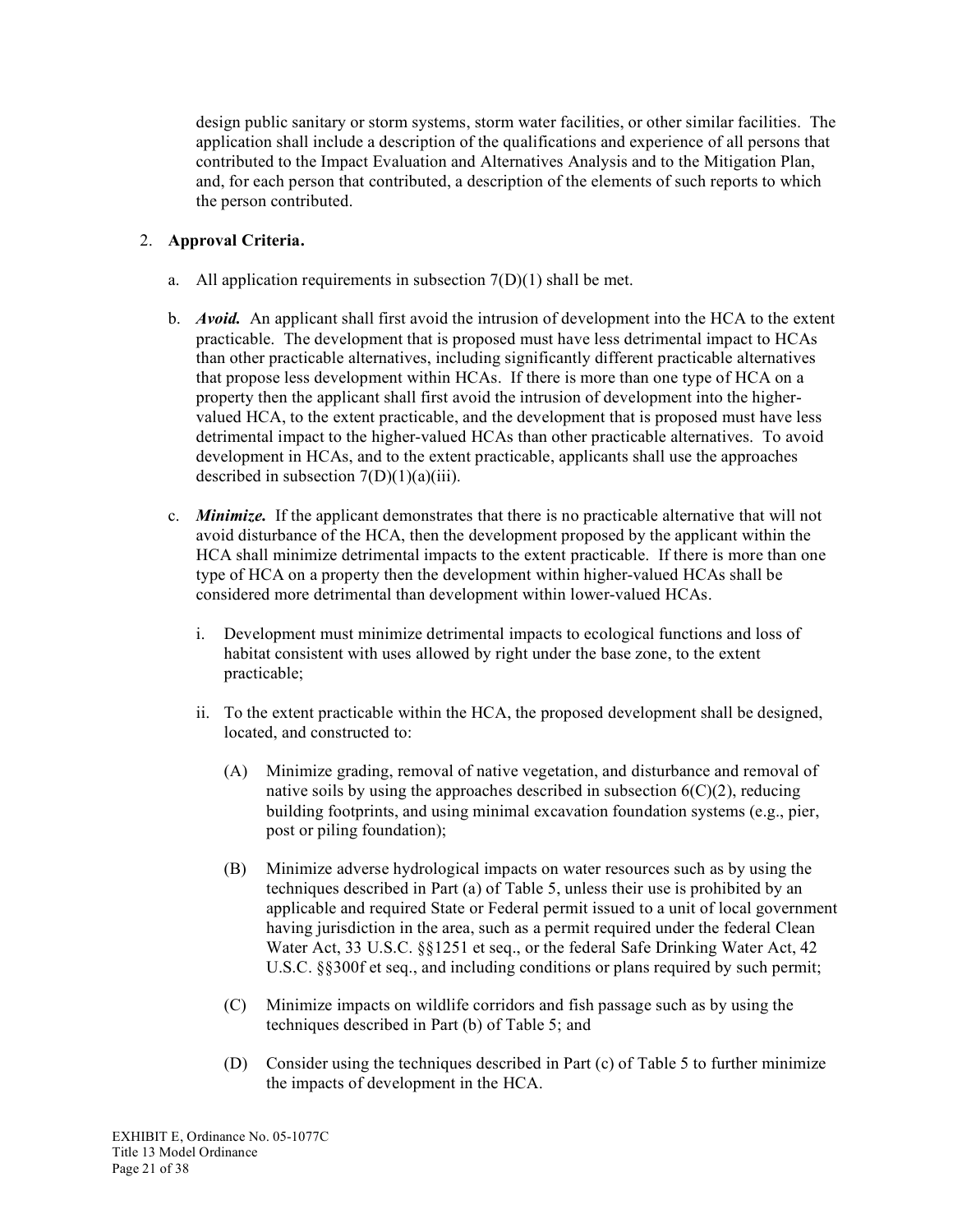design public sanitary or storm systems, storm water facilities, or other similar facilities. The application shall include a description of the qualifications and experience of all persons that contributed to the Impact Evaluation and Alternatives Analysis and to the Mitigation Plan, and, for each person that contributed, a description of the elements of such reports to which the person contributed.

## 2. **Approval Criteria.**

- a. All application requirements in subsection  $7(D)(1)$  shall be met.
- b. *Avoid.* An applicant shall first avoid the intrusion of development into the HCA to the extent practicable. The development that is proposed must have less detrimental impact to HCAs than other practicable alternatives, including significantly different practicable alternatives that propose less development within HCAs. If there is more than one type of HCA on a property then the applicant shall first avoid the intrusion of development into the highervalued HCA, to the extent practicable, and the development that is proposed must have less detrimental impact to the higher-valued HCAs than other practicable alternatives. To avoid development in HCAs, and to the extent practicable, applicants shall use the approaches described in subsection  $7(D)(1)(a)(iii)$ .
- c. *Minimize.* If the applicant demonstrates that there is no practicable alternative that will not avoid disturbance of the HCA, then the development proposed by the applicant within the HCA shall minimize detrimental impacts to the extent practicable. If there is more than one type of HCA on a property then the development within higher-valued HCAs shall be considered more detrimental than development within lower-valued HCAs.
	- i. Development must minimize detrimental impacts to ecological functions and loss of habitat consistent with uses allowed by right under the base zone, to the extent practicable;
	- ii. To the extent practicable within the HCA, the proposed development shall be designed, located, and constructed to:
		- (A) Minimize grading, removal of native vegetation, and disturbance and removal of native soils by using the approaches described in subsection  $6(C)(2)$ , reducing building footprints, and using minimal excavation foundation systems (e.g., pier, post or piling foundation);
		- (B) Minimize adverse hydrological impacts on water resources such as by using the techniques described in Part (a) of Table 5, unless their use is prohibited by an applicable and required State or Federal permit issued to a unit of local government having jurisdiction in the area, such as a permit required under the federal Clean Water Act, 33 U.S.C. §§1251 et seq., or the federal Safe Drinking Water Act, 42 U.S.C. §§300f et seq., and including conditions or plans required by such permit;
		- (C) Minimize impacts on wildlife corridors and fish passage such as by using the techniques described in Part (b) of Table 5; and
		- (D) Consider using the techniques described in Part (c) of Table 5 to further minimize the impacts of development in the HCA.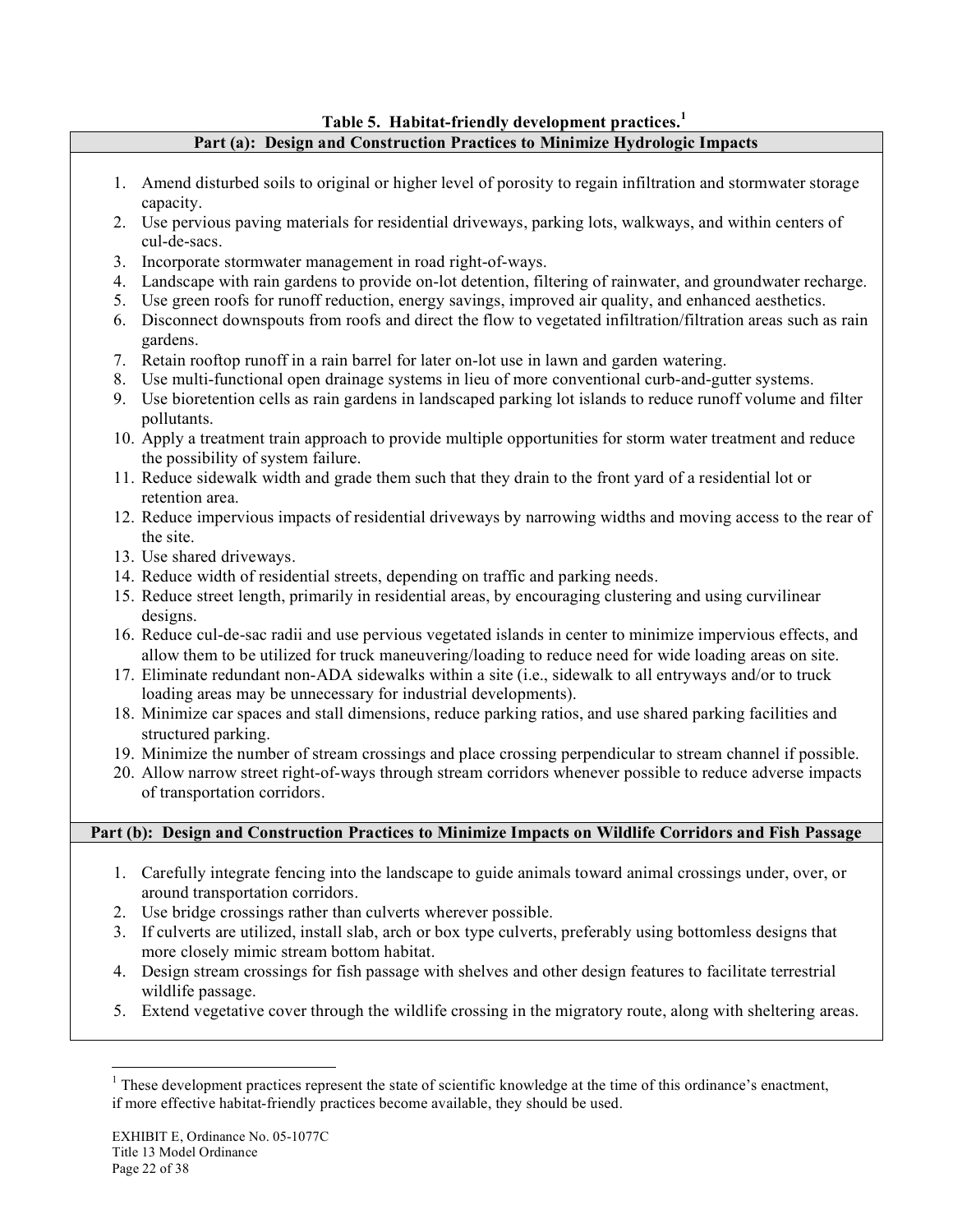## **Table 5. Habitat-friendly development practices.<sup>1</sup>**

# **Part (a): Design and Construction Practices to Minimize Hydrologic Impacts**

- 1. Amend disturbed soils to original or higher level of porosity to regain infiltration and stormwater storage capacity.
- 2. Use pervious paving materials for residential driveways, parking lots, walkways, and within centers of cul-de-sacs.
- 3. Incorporate stormwater management in road right-of-ways.
- 4. Landscape with rain gardens to provide on-lot detention, filtering of rainwater, and groundwater recharge.
- 5. Use green roofs for runoff reduction, energy savings, improved air quality, and enhanced aesthetics.
- 6. Disconnect downspouts from roofs and direct the flow to vegetated infiltration/filtration areas such as rain gardens.
- 7. Retain rooftop runoff in a rain barrel for later on-lot use in lawn and garden watering.
- 8. Use multi-functional open drainage systems in lieu of more conventional curb-and-gutter systems.
- 9. Use bioretention cells as rain gardens in landscaped parking lot islands to reduce runoff volume and filter pollutants.
- 10. Apply a treatment train approach to provide multiple opportunities for storm water treatment and reduce the possibility of system failure.
- 11. Reduce sidewalk width and grade them such that they drain to the front yard of a residential lot or retention area.
- 12. Reduce impervious impacts of residential driveways by narrowing widths and moving access to the rear of the site.
- 13. Use shared driveways.
- 14. Reduce width of residential streets, depending on traffic and parking needs.
- 15. Reduce street length, primarily in residential areas, by encouraging clustering and using curvilinear designs.
- 16. Reduce cul-de-sac radii and use pervious vegetated islands in center to minimize impervious effects, and allow them to be utilized for truck maneuvering/loading to reduce need for wide loading areas on site.
- 17. Eliminate redundant non-ADA sidewalks within a site (i.e., sidewalk to all entryways and/or to truck loading areas may be unnecessary for industrial developments).
- 18. Minimize car spaces and stall dimensions, reduce parking ratios, and use shared parking facilities and structured parking.
- 19. Minimize the number of stream crossings and place crossing perpendicular to stream channel if possible.
- 20. Allow narrow street right-of-ways through stream corridors whenever possible to reduce adverse impacts of transportation corridors.

## **Part (b): Design and Construction Practices to Minimize Impacts on Wildlife Corridors and Fish Passage**

- 1. Carefully integrate fencing into the landscape to guide animals toward animal crossings under, over, or around transportation corridors.
- 2. Use bridge crossings rather than culverts wherever possible.
- 3. If culverts are utilized, install slab, arch or box type culverts, preferably using bottomless designs that more closely mimic stream bottom habitat.
- 4. Design stream crossings for fish passage with shelves and other design features to facilitate terrestrial wildlife passage.
- 5. Extend vegetative cover through the wildlife crossing in the migratory route, along with sheltering areas.

 $\frac{1}{1}$ <sup>1</sup> These development practices represent the state of scientific knowledge at the time of this ordinance's enactment, if more effective habitat-friendly practices become available, they should be used.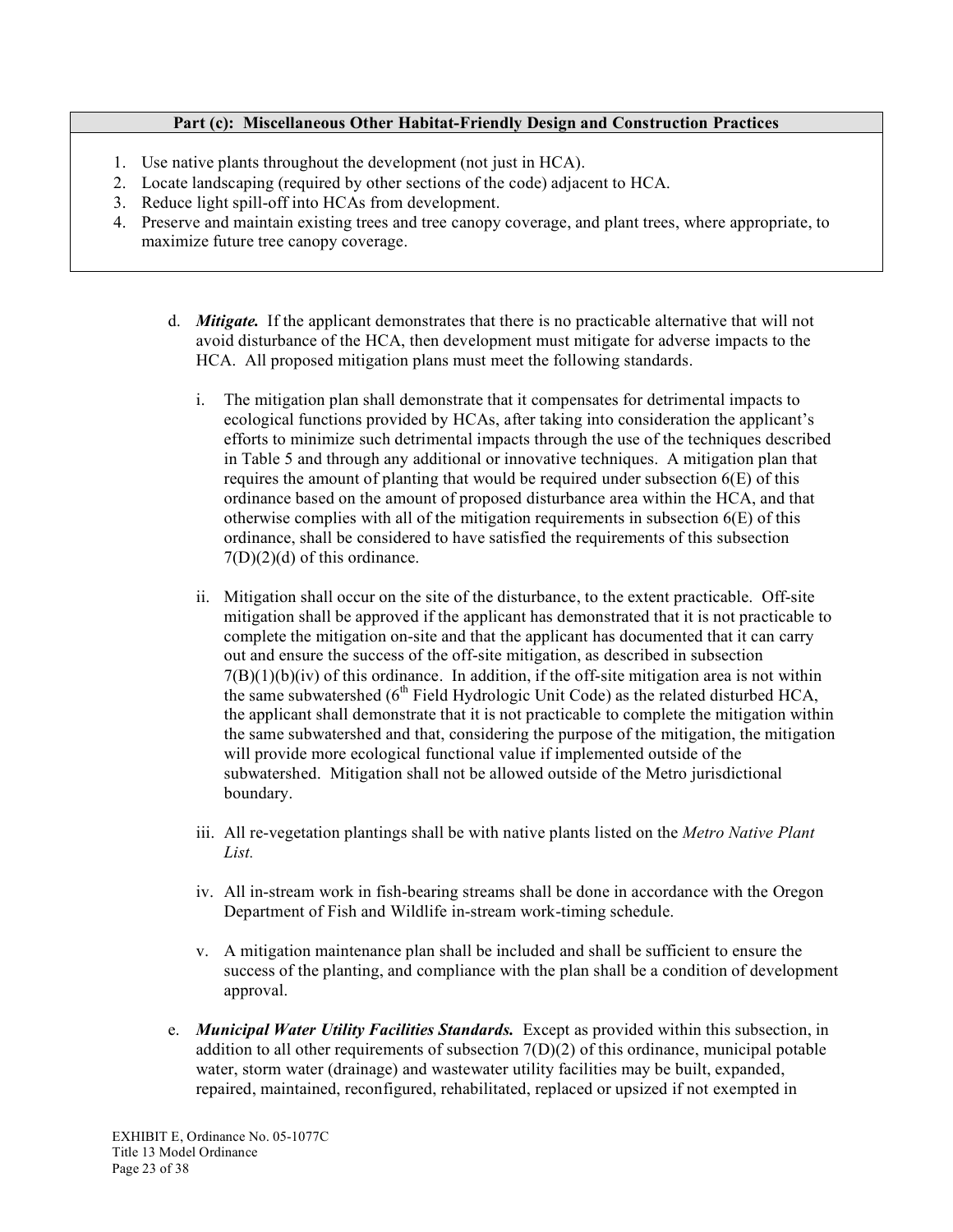## **Part (c): Miscellaneous Other Habitat-Friendly Design and Construction Practices**

- 1. Use native plants throughout the development (not just in HCA).
- 2. Locate landscaping (required by other sections of the code) adjacent to HCA.
- 3. Reduce light spill-off into HCAs from development.
- 4. Preserve and maintain existing trees and tree canopy coverage, and plant trees, where appropriate, to maximize future tree canopy coverage.
	- d. *Mitigate.* If the applicant demonstrates that there is no practicable alternative that will not avoid disturbance of the HCA, then development must mitigate for adverse impacts to the HCA. All proposed mitigation plans must meet the following standards.
		- i. The mitigation plan shall demonstrate that it compensates for detrimental impacts to ecological functions provided by HCAs, after taking into consideration the applicant's efforts to minimize such detrimental impacts through the use of the techniques described in Table 5 and through any additional or innovative techniques. A mitigation plan that requires the amount of planting that would be required under subsection 6(E) of this ordinance based on the amount of proposed disturbance area within the HCA, and that otherwise complies with all of the mitigation requirements in subsection  $6(E)$  of this ordinance, shall be considered to have satisfied the requirements of this subsection  $7(D)(2)(d)$  of this ordinance.
		- ii. Mitigation shall occur on the site of the disturbance, to the extent practicable. Off-site mitigation shall be approved if the applicant has demonstrated that it is not practicable to complete the mitigation on-site and that the applicant has documented that it can carry out and ensure the success of the off-site mitigation, as described in subsection  $7(B)(1)(b)(iv)$  of this ordinance. In addition, if the off-site mitigation area is not within the same subwatershed  $(6<sup>th</sup>$  Field Hydrologic Unit Code) as the related disturbed HCA, the applicant shall demonstrate that it is not practicable to complete the mitigation within the same subwatershed and that, considering the purpose of the mitigation, the mitigation will provide more ecological functional value if implemented outside of the subwatershed. Mitigation shall not be allowed outside of the Metro jurisdictional boundary.
		- iii. All re-vegetation plantings shall be with native plants listed on the *Metro Native Plant List.*
		- iv. All in-stream work in fish-bearing streams shall be done in accordance with the Oregon Department of Fish and Wildlife in-stream work-timing schedule.
		- v. A mitigation maintenance plan shall be included and shall be sufficient to ensure the success of the planting, and compliance with the plan shall be a condition of development approval.
	- e. *Municipal Water Utility Facilities Standards.* Except as provided within this subsection, in addition to all other requirements of subsection  $7(D)(2)$  of this ordinance, municipal potable water, storm water (drainage) and wastewater utility facilities may be built, expanded, repaired, maintained, reconfigured, rehabilitated, replaced or upsized if not exempted in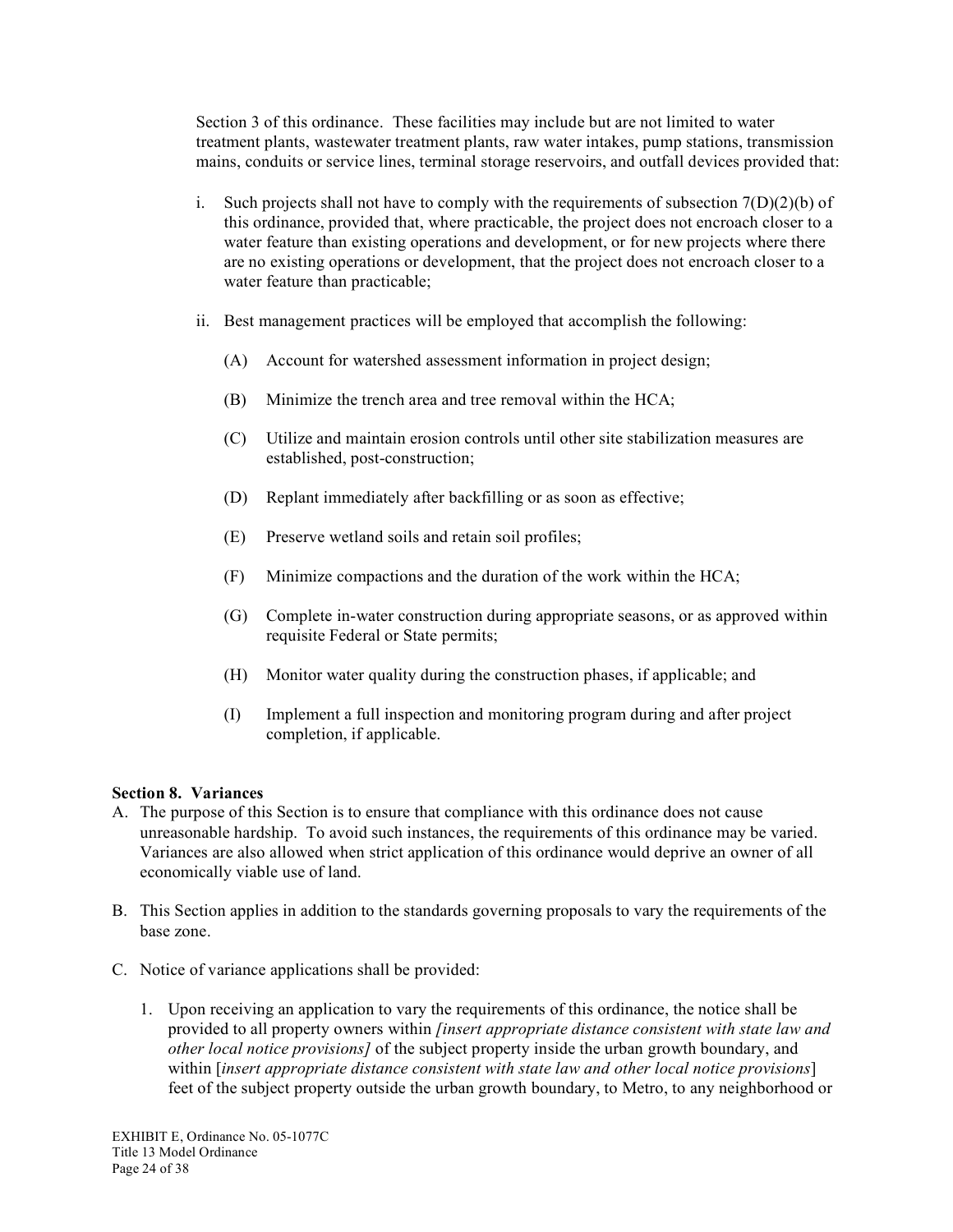Section 3 of this ordinance. These facilities may include but are not limited to water treatment plants, wastewater treatment plants, raw water intakes, pump stations, transmission mains, conduits or service lines, terminal storage reservoirs, and outfall devices provided that:

- i. Such projects shall not have to comply with the requirements of subsection  $7(D)(2)(b)$  of this ordinance, provided that, where practicable, the project does not encroach closer to a water feature than existing operations and development, or for new projects where there are no existing operations or development, that the project does not encroach closer to a water feature than practicable;
- ii. Best management practices will be employed that accomplish the following:
	- (A) Account for watershed assessment information in project design;
	- (B) Minimize the trench area and tree removal within the HCA;
	- (C) Utilize and maintain erosion controls until other site stabilization measures are established, post-construction;
	- (D) Replant immediately after backfilling or as soon as effective;
	- (E) Preserve wetland soils and retain soil profiles;
	- (F) Minimize compactions and the duration of the work within the HCA;
	- (G) Complete in-water construction during appropriate seasons, or as approved within requisite Federal or State permits;
	- (H) Monitor water quality during the construction phases, if applicable; and
	- (I) Implement a full inspection and monitoring program during and after project completion, if applicable.

### **Section 8. Variances**

- A. The purpose of this Section is to ensure that compliance with this ordinance does not cause unreasonable hardship. To avoid such instances, the requirements of this ordinance may be varied. Variances are also allowed when strict application of this ordinance would deprive an owner of all economically viable use of land.
- B. This Section applies in addition to the standards governing proposals to vary the requirements of the base zone.
- C. Notice of variance applications shall be provided:
	- 1. Upon receiving an application to vary the requirements of this ordinance, the notice shall be provided to all property owners within *[insert appropriate distance consistent with state law and other local notice provisions]* of the subject property inside the urban growth boundary, and within [*insert appropriate distance consistent with state law and other local notice provisions*] feet of the subject property outside the urban growth boundary, to Metro, to any neighborhood or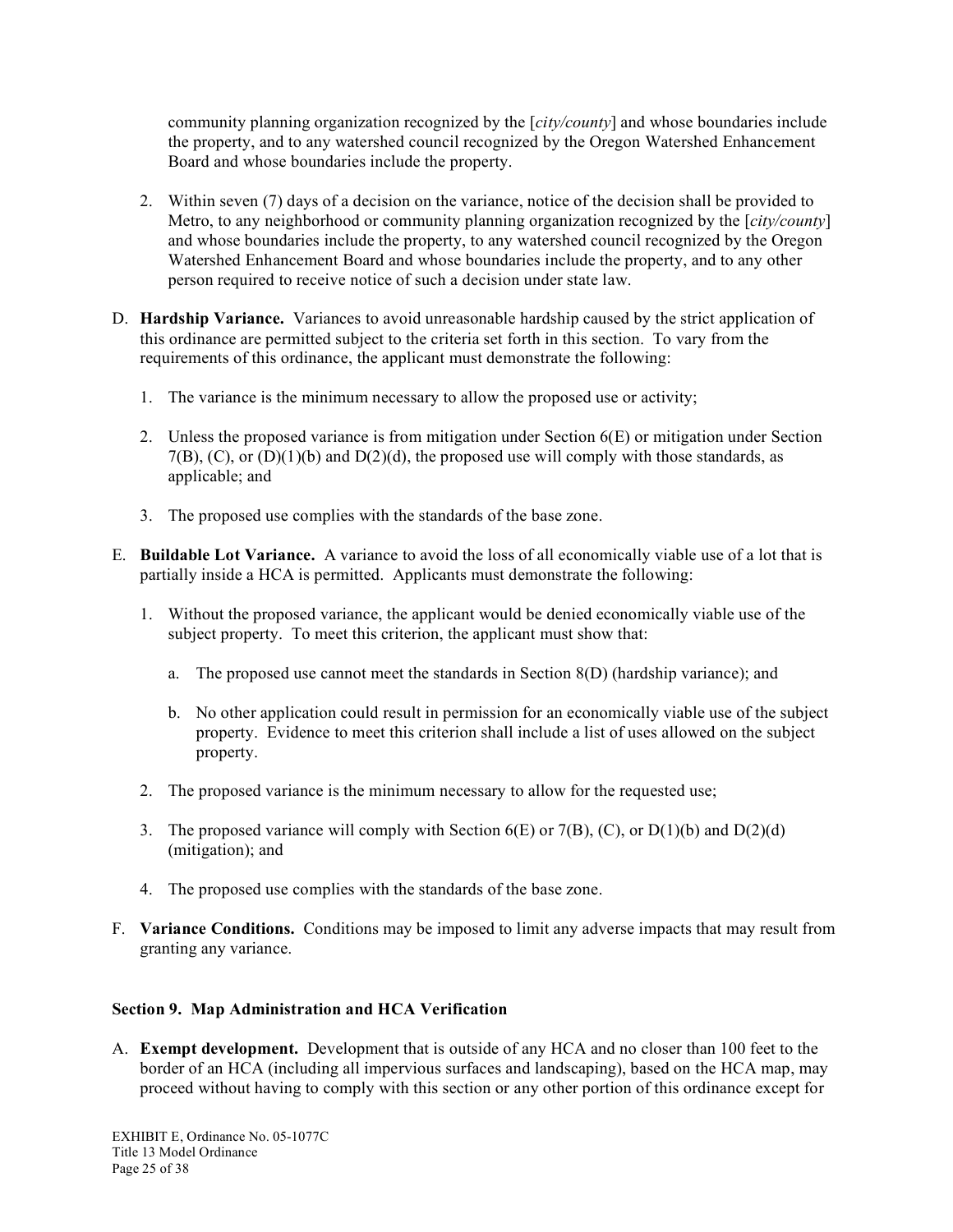community planning organization recognized by the [*city/county*] and whose boundaries include the property, and to any watershed council recognized by the Oregon Watershed Enhancement Board and whose boundaries include the property.

- 2. Within seven (7) days of a decision on the variance, notice of the decision shall be provided to Metro, to any neighborhood or community planning organization recognized by the [*city/county*] and whose boundaries include the property, to any watershed council recognized by the Oregon Watershed Enhancement Board and whose boundaries include the property, and to any other person required to receive notice of such a decision under state law.
- D. **Hardship Variance.** Variances to avoid unreasonable hardship caused by the strict application of this ordinance are permitted subject to the criteria set forth in this section. To vary from the requirements of this ordinance, the applicant must demonstrate the following:
	- 1. The variance is the minimum necessary to allow the proposed use or activity;
	- 2. Unless the proposed variance is from mitigation under Section 6(E) or mitigation under Section 7(B),  $(C)$ , or  $(D)(1)(b)$  and  $D(2)(d)$ , the proposed use will comply with those standards, as applicable; and
	- 3. The proposed use complies with the standards of the base zone.
- E. **Buildable Lot Variance.** A variance to avoid the loss of all economically viable use of a lot that is partially inside a HCA is permitted. Applicants must demonstrate the following:
	- 1. Without the proposed variance, the applicant would be denied economically viable use of the subject property. To meet this criterion, the applicant must show that:
		- a. The proposed use cannot meet the standards in Section 8(D) (hardship variance); and
		- b. No other application could result in permission for an economically viable use of the subject property. Evidence to meet this criterion shall include a list of uses allowed on the subject property.
	- 2. The proposed variance is the minimum necessary to allow for the requested use;
	- 3. The proposed variance will comply with Section  $6(E)$  or  $7(B)$ ,  $(C)$ , or  $D(1)(b)$  and  $D(2)(d)$ (mitigation); and
	- 4. The proposed use complies with the standards of the base zone.
- F. **Variance Conditions.** Conditions may be imposed to limit any adverse impacts that may result from granting any variance.

## **Section 9. Map Administration and HCA Verification**

A. **Exempt development.** Development that is outside of any HCA and no closer than 100 feet to the border of an HCA (including all impervious surfaces and landscaping), based on the HCA map, may proceed without having to comply with this section or any other portion of this ordinance except for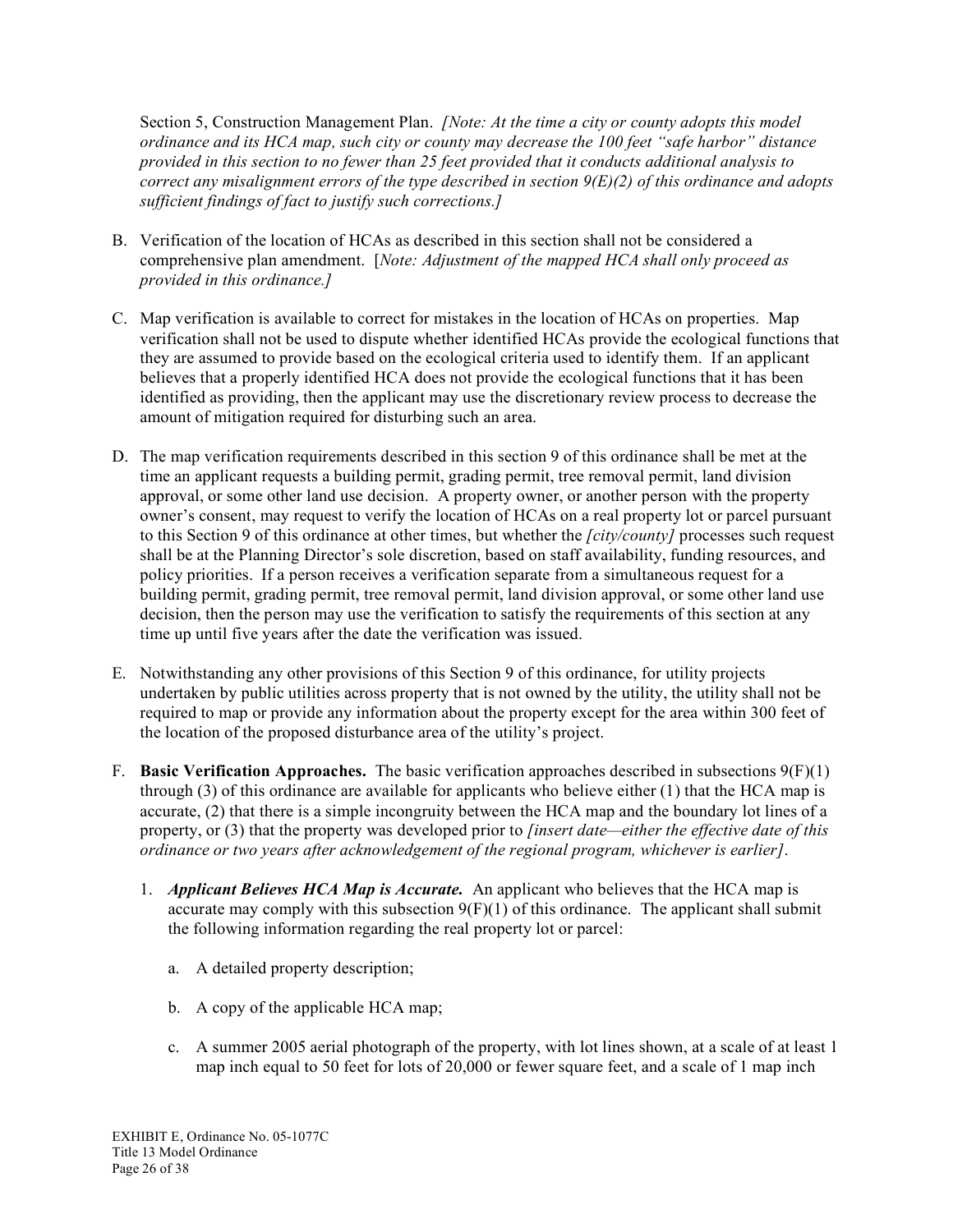Section 5, Construction Management Plan. *[Note: At the time a city or county adopts this model ordinance and its HCA map, such city or county may decrease the 100 feet "safe harbor" distance provided in this section to no fewer than 25 feet provided that it conducts additional analysis to correct any misalignment errors of the type described in section 9(E)(2) of this ordinance and adopts sufficient findings of fact to justify such corrections.]*

- B. Verification of the location of HCAs as described in this section shall not be considered a comprehensive plan amendment. [*Note: Adjustment of the mapped HCA shall only proceed as provided in this ordinance.]*
- C. Map verification is available to correct for mistakes in the location of HCAs on properties. Map verification shall not be used to dispute whether identified HCAs provide the ecological functions that they are assumed to provide based on the ecological criteria used to identify them. If an applicant believes that a properly identified HCA does not provide the ecological functions that it has been identified as providing, then the applicant may use the discretionary review process to decrease the amount of mitigation required for disturbing such an area.
- D. The map verification requirements described in this section 9 of this ordinance shall be met at the time an applicant requests a building permit, grading permit, tree removal permit, land division approval, or some other land use decision. A property owner, or another person with the property owner's consent, may request to verify the location of HCAs on a real property lot or parcel pursuant to this Section 9 of this ordinance at other times, but whether the *[city/county]* processes such request shall be at the Planning Director's sole discretion, based on staff availability, funding resources, and policy priorities. If a person receives a verification separate from a simultaneous request for a building permit, grading permit, tree removal permit, land division approval, or some other land use decision, then the person may use the verification to satisfy the requirements of this section at any time up until five years after the date the verification was issued.
- E. Notwithstanding any other provisions of this Section 9 of this ordinance, for utility projects undertaken by public utilities across property that is not owned by the utility, the utility shall not be required to map or provide any information about the property except for the area within 300 feet of the location of the proposed disturbance area of the utility's project.
- F. **Basic Verification Approaches.** The basic verification approaches described in subsections 9(F)(1) through (3) of this ordinance are available for applicants who believe either (1) that the HCA map is accurate, (2) that there is a simple incongruity between the HCA map and the boundary lot lines of a property, or (3) that the property was developed prior to *[insert date—either the effective date of this ordinance or two years after acknowledgement of the regional program, whichever is earlier]*.
	- 1. *Applicant Believes HCA Map is Accurate.* An applicant who believes that the HCA map is accurate may comply with this subsection  $9(F)(1)$  of this ordinance. The applicant shall submit the following information regarding the real property lot or parcel:
		- a. A detailed property description;
		- b. A copy of the applicable HCA map;
		- c. A summer 2005 aerial photograph of the property, with lot lines shown, at a scale of at least 1 map inch equal to 50 feet for lots of 20,000 or fewer square feet, and a scale of 1 map inch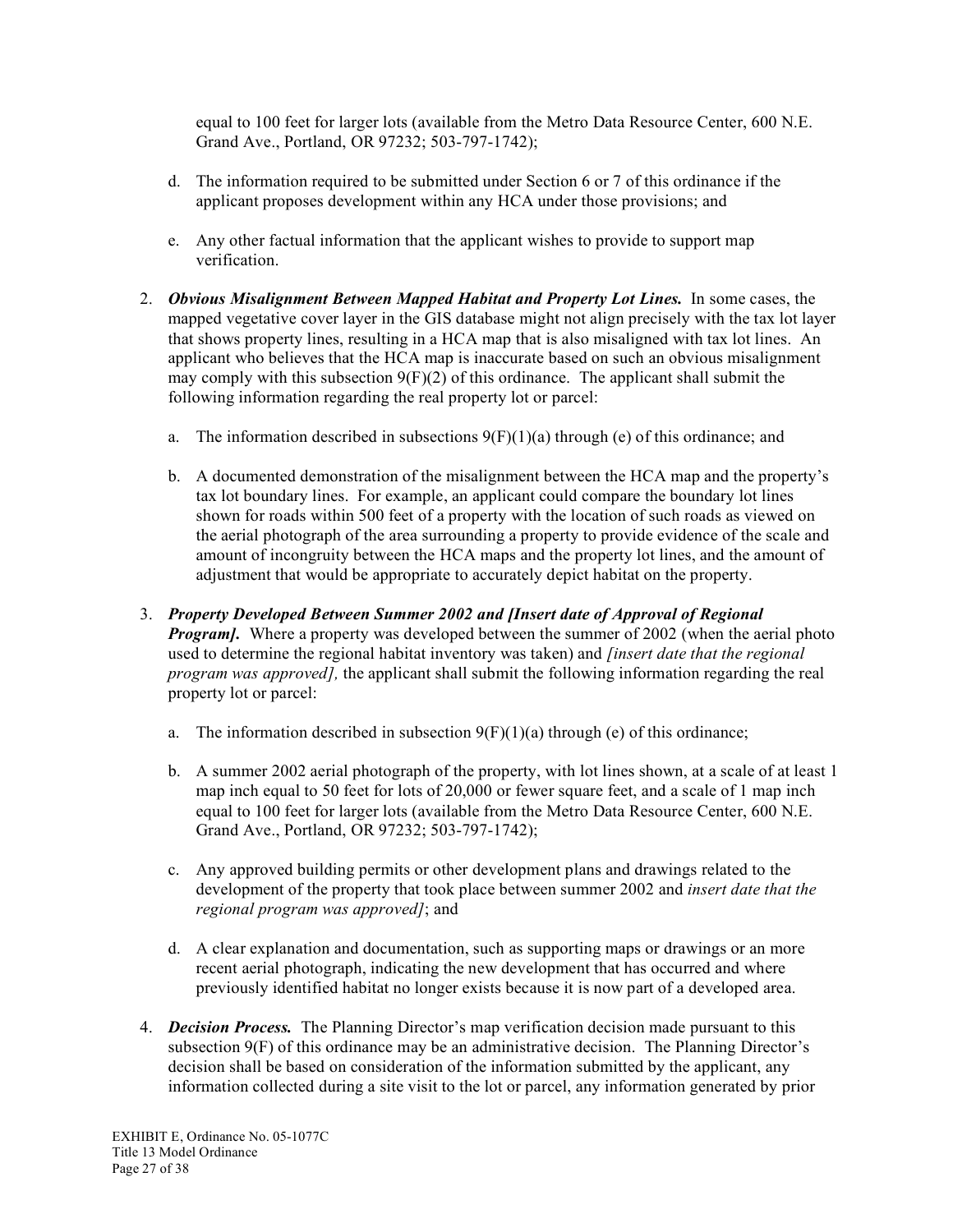equal to 100 feet for larger lots (available from the Metro Data Resource Center, 600 N.E. Grand Ave., Portland, OR 97232; 503-797-1742);

- d. The information required to be submitted under Section 6 or 7 of this ordinance if the applicant proposes development within any HCA under those provisions; and
- e. Any other factual information that the applicant wishes to provide to support map verification.
- 2. *Obvious Misalignment Between Mapped Habitat and Property Lot Lines.* In some cases, the mapped vegetative cover layer in the GIS database might not align precisely with the tax lot layer that shows property lines, resulting in a HCA map that is also misaligned with tax lot lines. An applicant who believes that the HCA map is inaccurate based on such an obvious misalignment may comply with this subsection  $9(F)(2)$  of this ordinance. The applicant shall submit the following information regarding the real property lot or parcel:
	- a. The information described in subsections  $9(F)(1)(a)$  through (e) of this ordinance; and
	- b. A documented demonstration of the misalignment between the HCA map and the property's tax lot boundary lines. For example, an applicant could compare the boundary lot lines shown for roads within 500 feet of a property with the location of such roads as viewed on the aerial photograph of the area surrounding a property to provide evidence of the scale and amount of incongruity between the HCA maps and the property lot lines, and the amount of adjustment that would be appropriate to accurately depict habitat on the property.
- 3. *Property Developed Between Summer 2002 and [Insert date of Approval of Regional Program].* Where a property was developed between the summer of 2002 (when the aerial photo used to determine the regional habitat inventory was taken) and *[insert date that the regional program was approved],* the applicant shall submit the following information regarding the real property lot or parcel:
	- a. The information described in subsection  $9(F)(1)(a)$  through (e) of this ordinance;
	- b. A summer 2002 aerial photograph of the property, with lot lines shown, at a scale of at least 1 map inch equal to 50 feet for lots of 20,000 or fewer square feet, and a scale of 1 map inch equal to 100 feet for larger lots (available from the Metro Data Resource Center, 600 N.E. Grand Ave., Portland, OR 97232; 503-797-1742);
	- c. Any approved building permits or other development plans and drawings related to the development of the property that took place between summer 2002 and *insert date that the regional program was approved]*; and
	- d. A clear explanation and documentation, such as supporting maps or drawings or an more recent aerial photograph, indicating the new development that has occurred and where previously identified habitat no longer exists because it is now part of a developed area.
- 4. *Decision Process.* The Planning Director's map verification decision made pursuant to this subsection 9(F) of this ordinance may be an administrative decision. The Planning Director's decision shall be based on consideration of the information submitted by the applicant, any information collected during a site visit to the lot or parcel, any information generated by prior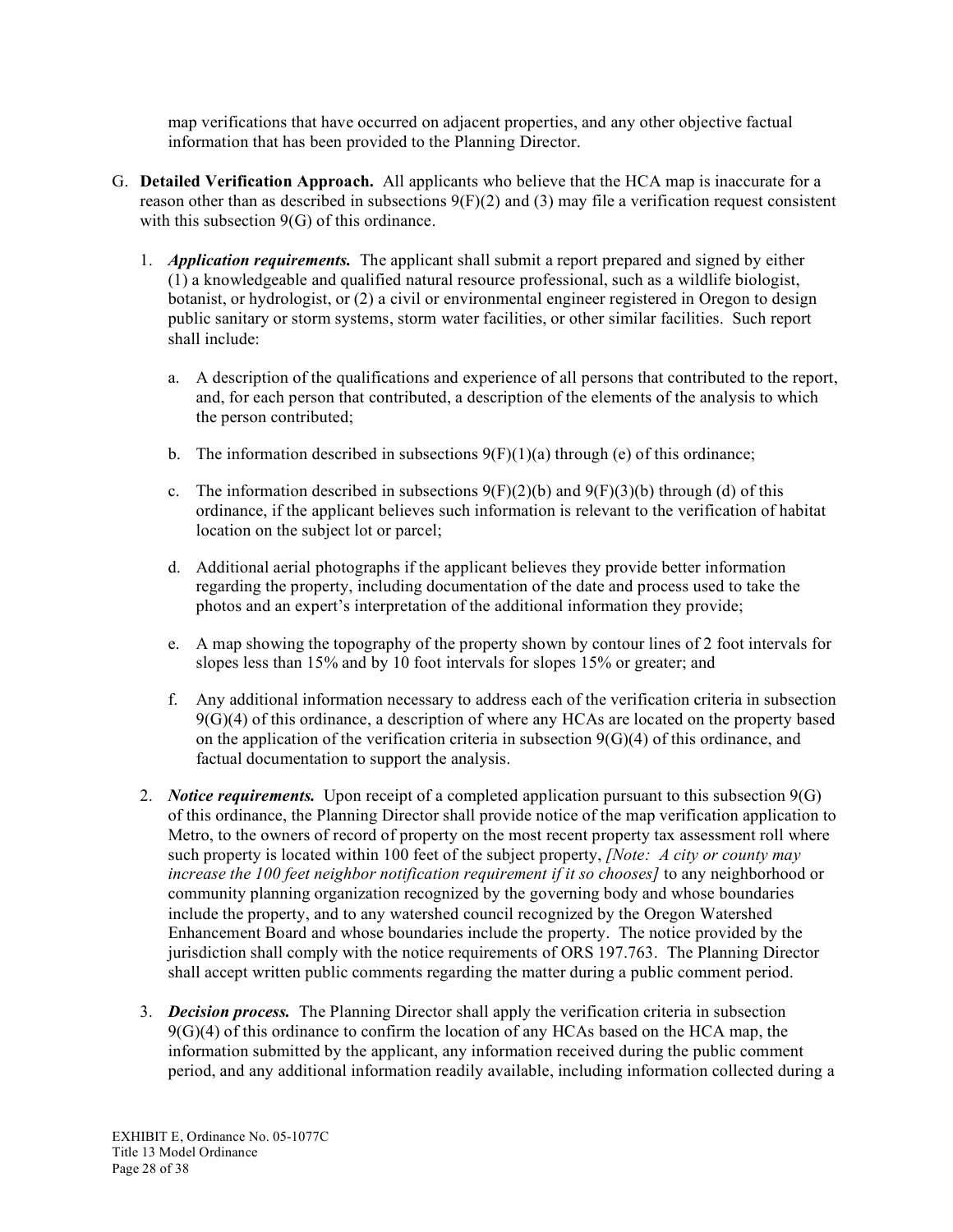map verifications that have occurred on adjacent properties, and any other objective factual information that has been provided to the Planning Director.

- G. **Detailed Verification Approach.** All applicants who believe that the HCA map is inaccurate for a reason other than as described in subsections  $9(F)(2)$  and (3) may file a verification request consistent with this subsection  $9(G)$  of this ordinance.
	- 1. *Application requirements.* The applicant shall submit a report prepared and signed by either (1) a knowledgeable and qualified natural resource professional, such as a wildlife biologist, botanist, or hydrologist, or (2) a civil or environmental engineer registered in Oregon to design public sanitary or storm systems, storm water facilities, or other similar facilities. Such report shall include:
		- a. A description of the qualifications and experience of all persons that contributed to the report, and, for each person that contributed, a description of the elements of the analysis to which the person contributed;
		- b. The information described in subsections  $9(F)(1)(a)$  through (e) of this ordinance;
		- c. The information described in subsections  $9(F)(2)(b)$  and  $9(F)(3)(b)$  through (d) of this ordinance, if the applicant believes such information is relevant to the verification of habitat location on the subject lot or parcel;
		- d. Additional aerial photographs if the applicant believes they provide better information regarding the property, including documentation of the date and process used to take the photos and an expert's interpretation of the additional information they provide;
		- e. A map showing the topography of the property shown by contour lines of 2 foot intervals for slopes less than 15% and by 10 foot intervals for slopes 15% or greater; and
		- f. Any additional information necessary to address each of the verification criteria in subsection 9(G)(4) of this ordinance, a description of where any HCAs are located on the property based on the application of the verification criteria in subsection  $9(G)(4)$  of this ordinance, and factual documentation to support the analysis.
	- 2. *Notice requirements.* Upon receipt of a completed application pursuant to this subsection 9(G) of this ordinance, the Planning Director shall provide notice of the map verification application to Metro, to the owners of record of property on the most recent property tax assessment roll where such property is located within 100 feet of the subject property, *[Note: A city or county may increase the 100 feet neighbor notification requirement if it so chooses]* to any neighborhood or community planning organization recognized by the governing body and whose boundaries include the property, and to any watershed council recognized by the Oregon Watershed Enhancement Board and whose boundaries include the property. The notice provided by the jurisdiction shall comply with the notice requirements of ORS 197.763. The Planning Director shall accept written public comments regarding the matter during a public comment period.
	- 3. *Decision process.* The Planning Director shall apply the verification criteria in subsection 9(G)(4) of this ordinance to confirm the location of any HCAs based on the HCA map, the information submitted by the applicant, any information received during the public comment period, and any additional information readily available, including information collected during a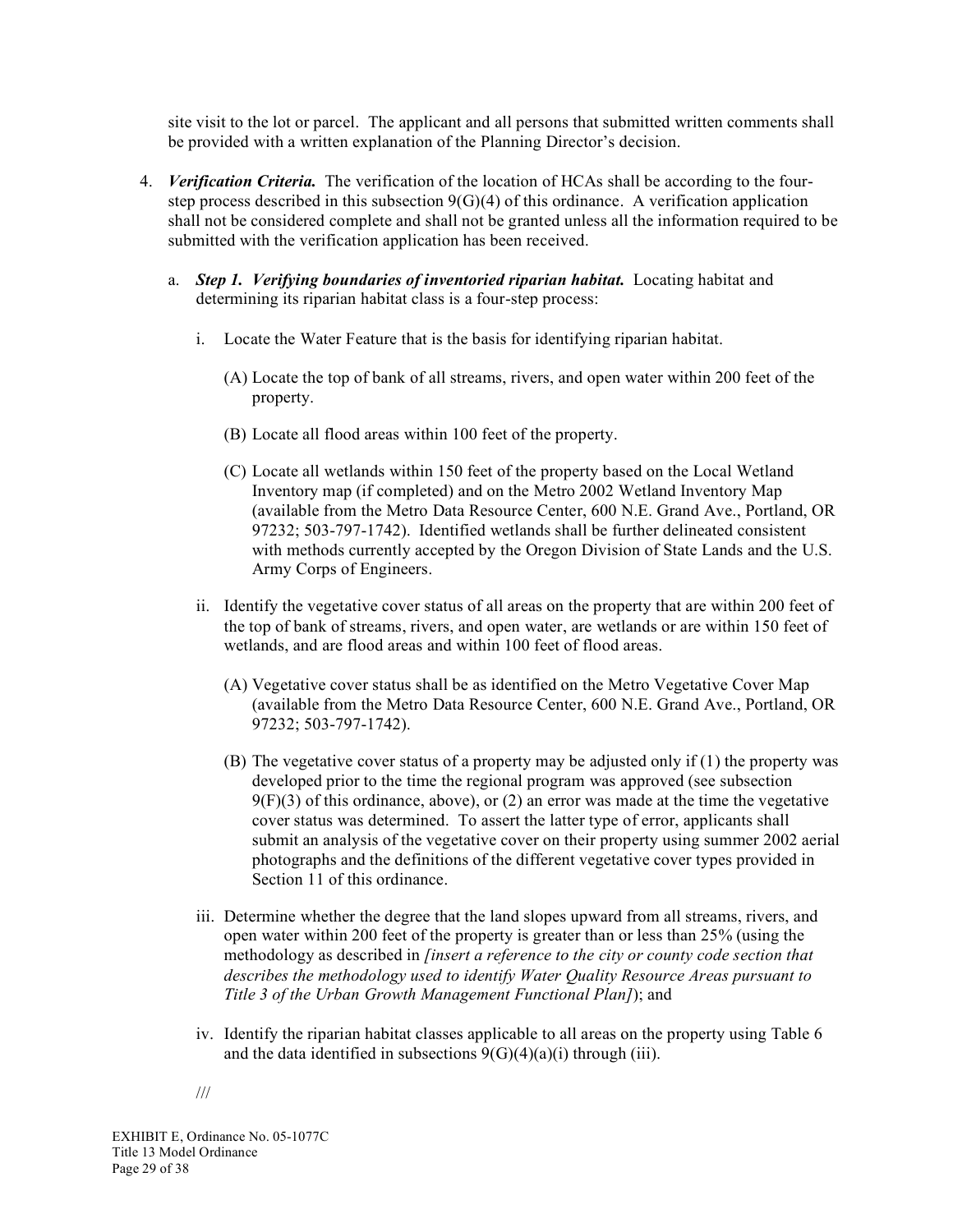site visit to the lot or parcel. The applicant and all persons that submitted written comments shall be provided with a written explanation of the Planning Director's decision.

- 4. *Verification Criteria.* The verification of the location of HCAs shall be according to the fourstep process described in this subsection  $9(G)(4)$  of this ordinance. A verification application shall not be considered complete and shall not be granted unless all the information required to be submitted with the verification application has been received.
	- a. *Step 1. Verifying boundaries of inventoried riparian habitat.* Locating habitat and determining its riparian habitat class is a four-step process:
		- i. Locate the Water Feature that is the basis for identifying riparian habitat.
			- (A) Locate the top of bank of all streams, rivers, and open water within 200 feet of the property.
			- (B) Locate all flood areas within 100 feet of the property.
			- (C) Locate all wetlands within 150 feet of the property based on the Local Wetland Inventory map (if completed) and on the Metro 2002 Wetland Inventory Map (available from the Metro Data Resource Center, 600 N.E. Grand Ave., Portland, OR 97232; 503-797-1742). Identified wetlands shall be further delineated consistent with methods currently accepted by the Oregon Division of State Lands and the U.S. Army Corps of Engineers.
		- ii. Identify the vegetative cover status of all areas on the property that are within 200 feet of the top of bank of streams, rivers, and open water, are wetlands or are within 150 feet of wetlands, and are flood areas and within 100 feet of flood areas.
			- (A) Vegetative cover status shall be as identified on the Metro Vegetative Cover Map (available from the Metro Data Resource Center, 600 N.E. Grand Ave., Portland, OR 97232; 503-797-1742).
			- (B) The vegetative cover status of a property may be adjusted only if (1) the property was developed prior to the time the regional program was approved (see subsection  $9(F)(3)$  of this ordinance, above), or (2) an error was made at the time the vegetative cover status was determined. To assert the latter type of error, applicants shall submit an analysis of the vegetative cover on their property using summer 2002 aerial photographs and the definitions of the different vegetative cover types provided in Section 11 of this ordinance.
		- iii. Determine whether the degree that the land slopes upward from all streams, rivers, and open water within 200 feet of the property is greater than or less than 25% (using the methodology as described in *[insert a reference to the city or county code section that describes the methodology used to identify Water Quality Resource Areas pursuant to Title 3 of the Urban Growth Management Functional Plan]*); and
		- iv. Identify the riparian habitat classes applicable to all areas on the property using Table 6 and the data identified in subsections  $9(G)(4)(a)(i)$  through (iii).
		- ///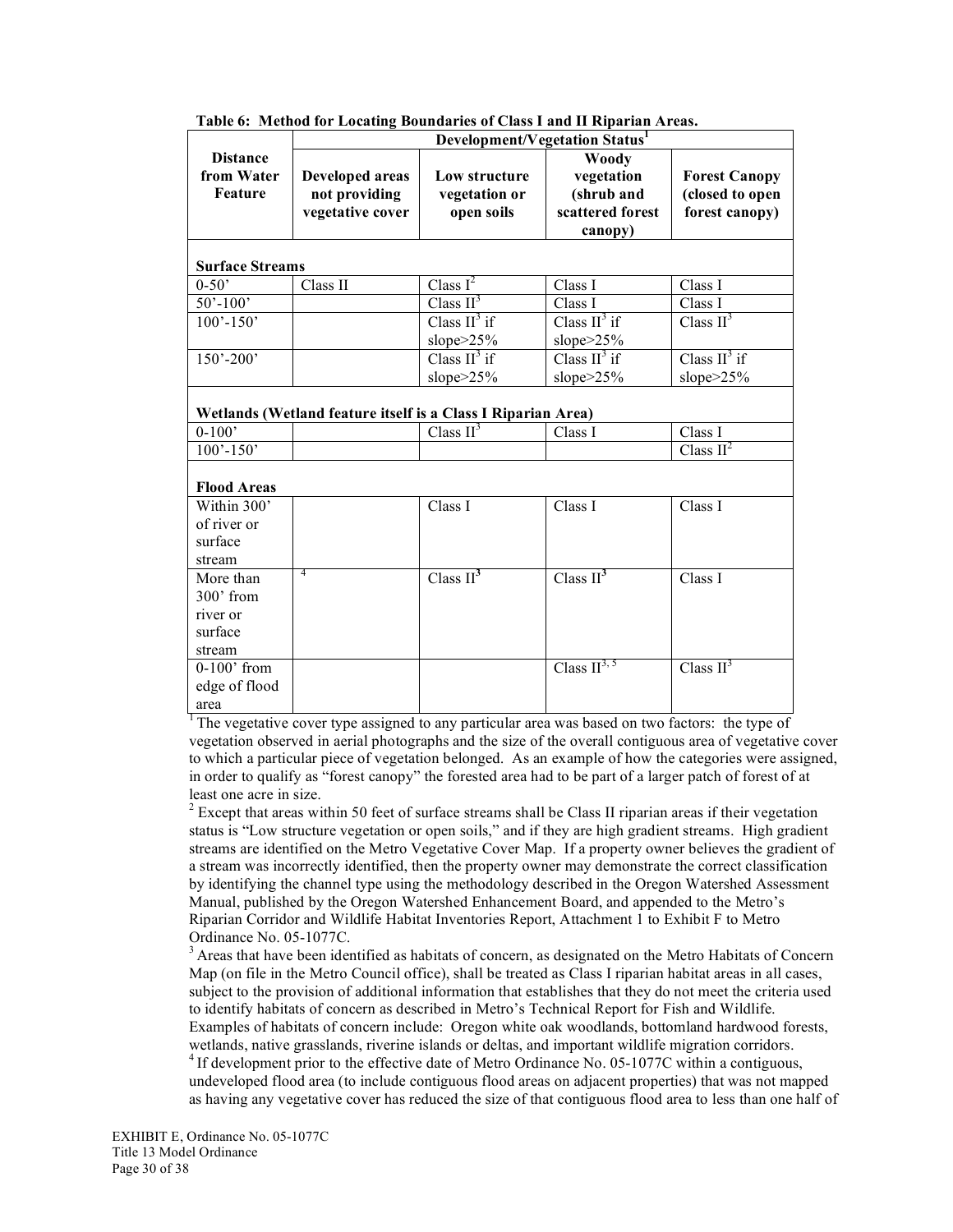|                        |                                                              | Development/Vegetation Status <sup>1</sup> |                       |                         |  |
|------------------------|--------------------------------------------------------------|--------------------------------------------|-----------------------|-------------------------|--|
| <b>Distance</b>        |                                                              |                                            | <b>Woody</b>          |                         |  |
| from Water             | <b>Developed areas</b>                                       | Low structure                              | vegetation            | <b>Forest Canopy</b>    |  |
| <b>Feature</b>         | not providing                                                | vegetation or                              | (shrub and            | (closed to open         |  |
|                        | vegetative cover                                             | open soils                                 | scattered forest      | forest canopy)          |  |
|                        |                                                              |                                            | canopy)               |                         |  |
|                        |                                                              |                                            |                       |                         |  |
| <b>Surface Streams</b> |                                                              |                                            |                       |                         |  |
| $0 - 50'$              | Class II                                                     | Class $I^2$                                | Class I               | Class I                 |  |
| $50' - 100'$           |                                                              | Class $II^3$                               | Class I               | Class I                 |  |
| $100' - 150'$          |                                                              | Class $II^3$ if                            | Class $II^3$ if       | Class $II^3$            |  |
|                        |                                                              | slope>25%                                  | slope>25%             |                         |  |
| $150' - 200'$          |                                                              | Class $II^3$ if                            | Class $II^3$ if       | Class $II^3$ if         |  |
|                        |                                                              | slope>25%                                  | slope>25%             | slope $>25\%$           |  |
|                        |                                                              |                                            |                       |                         |  |
|                        | Wetlands (Wetland feature itself is a Class I Riparian Area) |                                            |                       |                         |  |
| $0-100'$               |                                                              | Class II <sup>3</sup>                      | Class I               | Class I                 |  |
| $100' - 150'$          |                                                              |                                            |                       | Class $II^2$            |  |
|                        |                                                              |                                            |                       |                         |  |
| <b>Flood Areas</b>     |                                                              |                                            |                       |                         |  |
| Within 300'            |                                                              | Class I                                    | Class I               | Class I                 |  |
| of river or            |                                                              |                                            |                       |                         |  |
| surface                |                                                              |                                            |                       |                         |  |
| stream                 |                                                              |                                            |                       |                         |  |
| More than              | 4                                                            | Class $II^3$                               | Class II <sup>3</sup> | Class I                 |  |
| 300' from              |                                                              |                                            |                       |                         |  |
| river or               |                                                              |                                            |                       |                         |  |
| surface                |                                                              |                                            |                       |                         |  |
| stream                 |                                                              |                                            |                       |                         |  |
| $0-100$ ' from         |                                                              |                                            | Class $II^{3, 5}$     | Class $\overline{II}^3$ |  |
| edge of flood          |                                                              |                                            |                       |                         |  |
| area                   |                                                              |                                            |                       |                         |  |

**Table 6: Method for Locating Boundaries of Class I and II Riparian Areas.**

<sup>1</sup> The vegetative cover type assigned to any particular area was based on two factors: the type of vegetation observed in aerial photographs and the size of the overall contiguous area of vegetative cover to which a particular piece of vegetation belonged. As an example of how the categories were assigned, in order to qualify as "forest canopy" the forested area had to be part of a larger patch of forest of at least one acre in size.<br><sup>2</sup> Except that areas within 50 feet of surface streams shall be Class II riparian areas if their vegetation

status is "Low structure vegetation or open soils," and if they are high gradient streams. High gradient streams are identified on the Metro Vegetative Cover Map. If a property owner believes the gradient of a stream was incorrectly identified, then the property owner may demonstrate the correct classification by identifying the channel type using the methodology described in the Oregon Watershed Assessment Manual, published by the Oregon Watershed Enhancement Board, and appended to the Metro's Riparian Corridor and Wildlife Habitat Inventories Report, Attachment 1 to Exhibit F to Metro

Ordinance No. 05-1077C.<br><sup>3</sup> Areas that have been identified as habitats of concern, as designated on the Metro Habitats of Concern Map (on file in the Metro Council office), shall be treated as Class I riparian habitat areas in all cases, subject to the provision of additional information that establishes that they do not meet the criteria used to identify habitats of concern as described in Metro's Technical Report for Fish and Wildlife. Examples of habitats of concern include: Oregon white oak woodlands, bottomland hardwood forests, wetlands, native grasslands, riverine islands or deltas, and important wildlife migration corridors.<br><sup>4</sup> If development prior to the effective date of Metro Ordinance No. 05-1077C within a contiguous,

undeveloped flood area (to include contiguous flood areas on adjacent properties) that was not mapped as having any vegetative cover has reduced the size of that contiguous flood area to less than one half of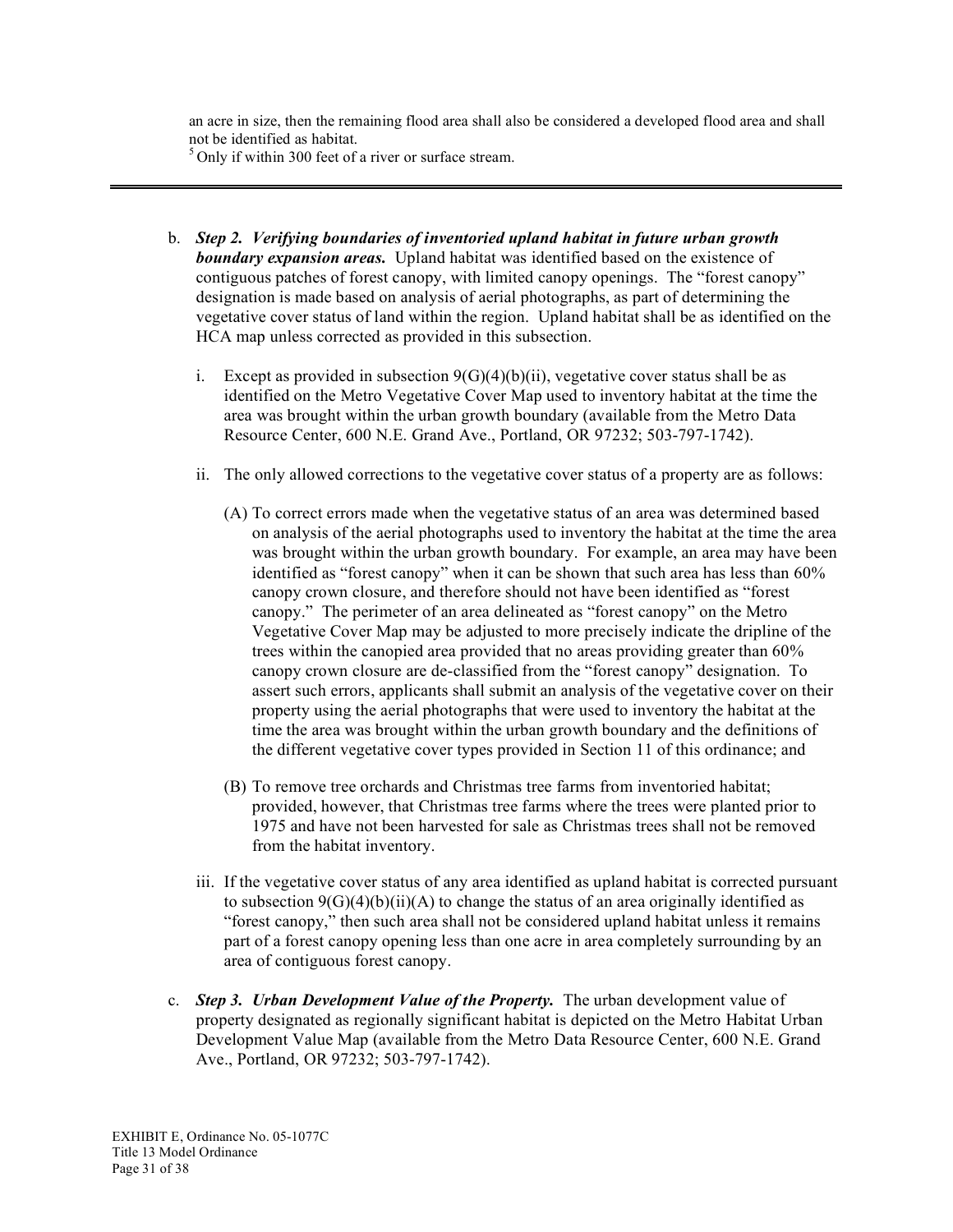an acre in size, then the remaining flood area shall also be considered a developed flood area and shall not be identified as habitat.

 $5$  Only if within 300 feet of a river or surface stream.

- b. *Step 2. Verifying boundaries of inventoried upland habitat in future urban growth*  **boundary expansion areas.** Upland habitat was identified based on the existence of contiguous patches of forest canopy, with limited canopy openings. The "forest canopy" designation is made based on analysis of aerial photographs, as part of determining the vegetative cover status of land within the region. Upland habitat shall be as identified on the HCA map unless corrected as provided in this subsection.
	- i. Except as provided in subsection  $9(G)(4)(b)(ii)$ , vegetative cover status shall be as identified on the Metro Vegetative Cover Map used to inventory habitat at the time the area was brought within the urban growth boundary (available from the Metro Data Resource Center, 600 N.E. Grand Ave., Portland, OR 97232; 503-797-1742).
	- ii. The only allowed corrections to the vegetative cover status of a property are as follows:
		- (A) To correct errors made when the vegetative status of an area was determined based on analysis of the aerial photographs used to inventory the habitat at the time the area was brought within the urban growth boundary. For example, an area may have been identified as "forest canopy" when it can be shown that such area has less than 60% canopy crown closure, and therefore should not have been identified as "forest canopy." The perimeter of an area delineated as "forest canopy" on the Metro Vegetative Cover Map may be adjusted to more precisely indicate the dripline of the trees within the canopied area provided that no areas providing greater than 60% canopy crown closure are de-classified from the "forest canopy" designation. To assert such errors, applicants shall submit an analysis of the vegetative cover on their property using the aerial photographs that were used to inventory the habitat at the time the area was brought within the urban growth boundary and the definitions of the different vegetative cover types provided in Section 11 of this ordinance; and
		- (B) To remove tree orchards and Christmas tree farms from inventoried habitat; provided, however, that Christmas tree farms where the trees were planted prior to 1975 and have not been harvested for sale as Christmas trees shall not be removed from the habitat inventory.
	- iii. If the vegetative cover status of any area identified as upland habitat is corrected pursuant to subsection  $9(G)(4)(b)(ii)(A)$  to change the status of an area originally identified as "forest canopy," then such area shall not be considered upland habitat unless it remains part of a forest canopy opening less than one acre in area completely surrounding by an area of contiguous forest canopy.
- c. *Step 3. Urban Development Value of the Property.* The urban development value of property designated as regionally significant habitat is depicted on the Metro Habitat Urban Development Value Map (available from the Metro Data Resource Center, 600 N.E. Grand Ave., Portland, OR 97232; 503-797-1742).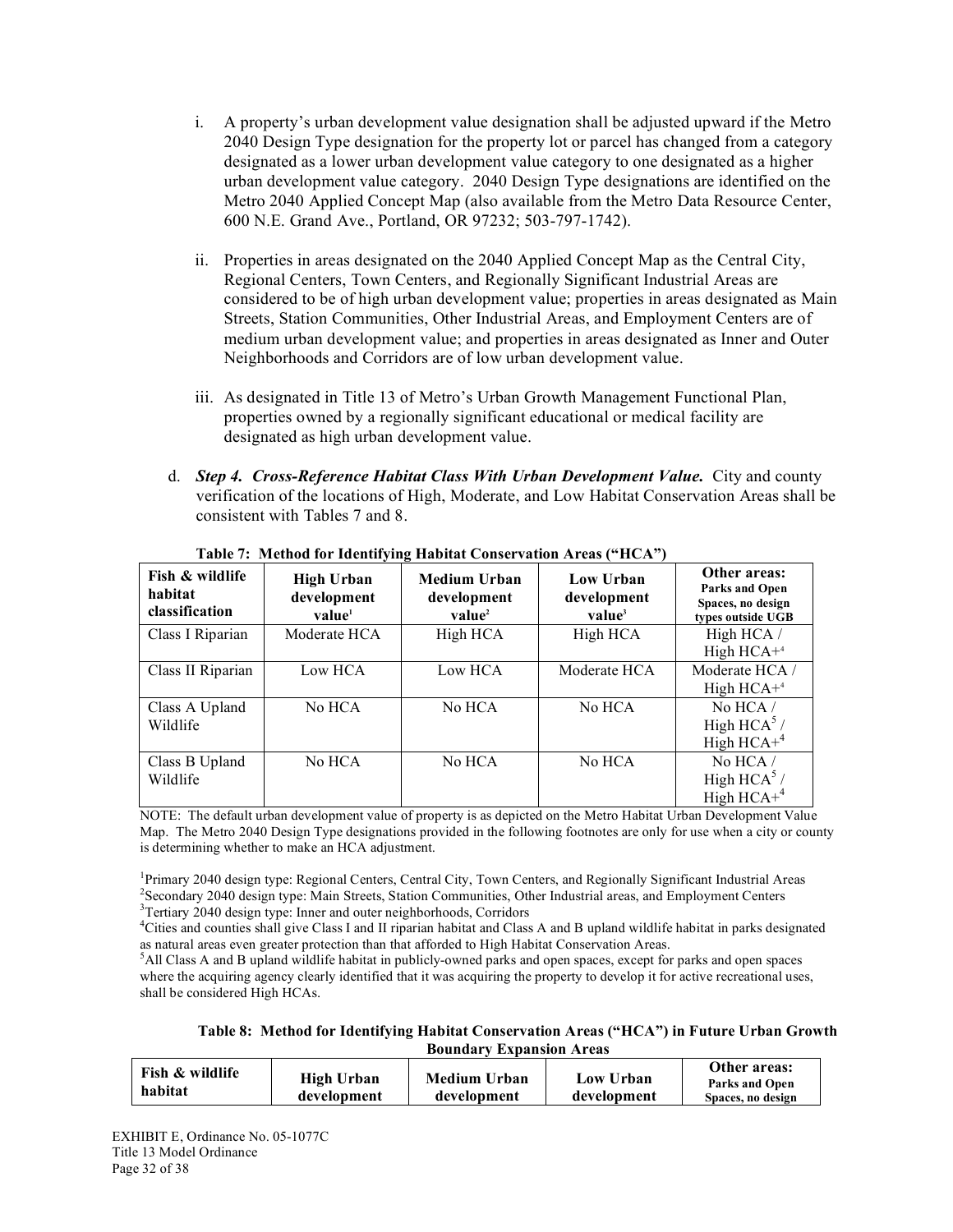- i. A property's urban development value designation shall be adjusted upward if the Metro 2040 Design Type designation for the property lot or parcel has changed from a category designated as a lower urban development value category to one designated as a higher urban development value category. 2040 Design Type designations are identified on the Metro 2040 Applied Concept Map (also available from the Metro Data Resource Center, 600 N.E. Grand Ave., Portland, OR 97232; 503-797-1742).
- ii. Properties in areas designated on the 2040 Applied Concept Map as the Central City, Regional Centers, Town Centers, and Regionally Significant Industrial Areas are considered to be of high urban development value; properties in areas designated as Main Streets, Station Communities, Other Industrial Areas, and Employment Centers are of medium urban development value; and properties in areas designated as Inner and Outer Neighborhoods and Corridors are of low urban development value.
- iii. As designated in Title 13 of Metro's Urban Growth Management Functional Plan, properties owned by a regionally significant educational or medical facility are designated as high urban development value.
- d. *Step 4.**Cross-Reference Habitat Class With Urban Development Value.* City and county verification of the locations of High, Moderate, and Low Habitat Conservation Areas shall be consistent with Tables 7 and 8.

| Fish & wildlife<br>habitat<br>classification | <b>High Urban</b><br>development<br>value <sup>1</sup> | Medium Urban<br>development<br>value <sup>2</sup> | Low Urban<br>development<br>value <sup>3</sup> | Other areas:<br><b>Parks and Open</b><br>Spaces, no design<br>types outside UGB |
|----------------------------------------------|--------------------------------------------------------|---------------------------------------------------|------------------------------------------------|---------------------------------------------------------------------------------|
| Class I Riparian                             | Moderate HCA                                           | High HCA                                          | High HCA                                       | High HCA /<br>High $HCA+4$                                                      |
| Class II Riparian                            | Low HCA                                                | Low HCA                                           | Moderate HCA                                   | Moderate HCA /<br>High $HCA+4$                                                  |
| Class A Upland<br>Wildlife                   | No HCA                                                 | No HCA                                            | No HCA                                         | No $HCA/$<br>High HCA $5/$<br>High $HCA+4$                                      |
| Class B Upland<br>Wildlife                   | No HCA                                                 | No HCA                                            | No HCA                                         | No $HCA/$<br>High $HCA^3/$<br>High $HCA+4$                                      |

**Table 7: Method for Identifying Habitat Conservation Areas ("HCA")**

NOTE: The default urban development value of property is as depicted on the Metro Habitat Urban Development Value Map. The Metro 2040 Design Type designations provided in the following footnotes are only for use when a city or county is determining whether to make an HCA adjustment.

<sup>1</sup>Primary 2040 design type: Regional Centers, Central City, Town Centers, and Regionally Significant Industrial Areas <sup>2</sup>Secondary 2040 design type: Main Stracts, Station Communities, Other Industrial areas and Employment <sup>2</sup>Secondary 2040 design type: Main Streets, Station Communities, Other Industrial areas, and Employment Centers <sup>3</sup>Tertiary 2040 design type: Inner and outer neighborhoods, Corridors

4 Cities and counties shall give Class I and II riparian habitat and Class A and B upland wildlife habitat in parks designated as natural areas even greater protection than that afforded to High Habitat Conservation Areas.

5 All Class A and B upland wildlife habitat in publicly-owned parks and open spaces, except for parks and open spaces where the acquiring agency clearly identified that it was acquiring the property to develop it for active recreational uses, shall be considered High HCAs.

**Table 8: Method for Identifying Habitat Conservation Areas ("HCA") in Future Urban Growth Boundary Expansion Areas**

| <b>Fish &amp; wildlife</b><br>habitat | <b>High Urban</b><br>development | <b>Medium Urban</b><br>development | Low Urban<br>development | Other areas:<br>Parks and Open<br>Spaces, no design |
|---------------------------------------|----------------------------------|------------------------------------|--------------------------|-----------------------------------------------------|
|---------------------------------------|----------------------------------|------------------------------------|--------------------------|-----------------------------------------------------|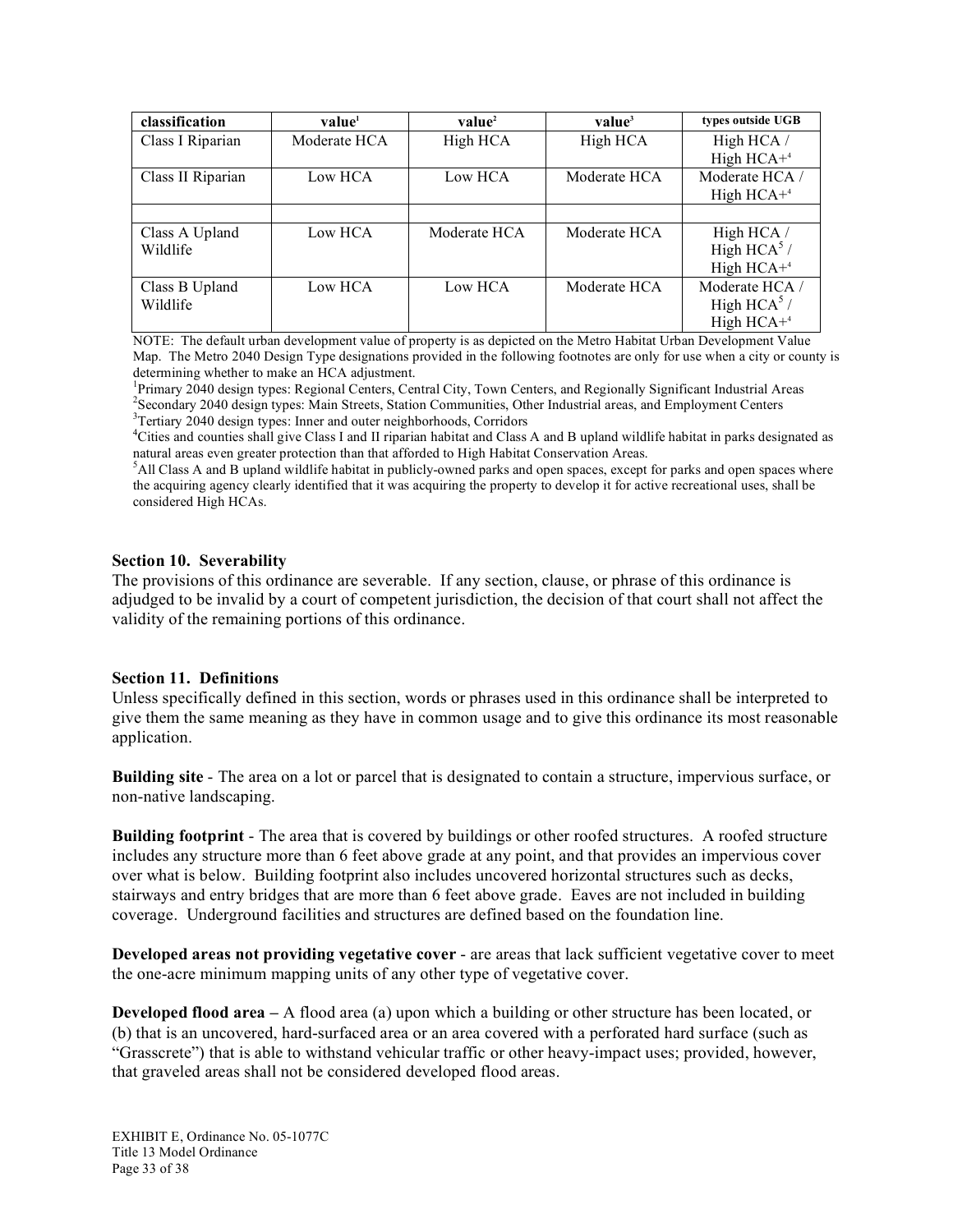| classification    | value <sup>1</sup> | value <sup>2</sup> | value <sup>3</sup> | types outside UGB |
|-------------------|--------------------|--------------------|--------------------|-------------------|
| Class I Riparian  | Moderate HCA       | High HCA           | High HCA           | High HCA /        |
|                   |                    |                    |                    | High $HCA+4$      |
| Class II Riparian | Low HCA            | Low HCA            | Moderate HCA       | Moderate HCA /    |
|                   |                    |                    |                    | High $HCA+4$      |
|                   |                    |                    |                    |                   |
| Class A Upland    | Low HCA            | Moderate HCA       | Moderate HCA       | High HCA /        |
| Wildlife          |                    |                    |                    | High HCA $5/$     |
|                   |                    |                    |                    | High $HCA+4$      |
| Class B Upland    | Low HCA            | Low HCA            | Moderate HCA       | Moderate HCA /    |
| Wildlife          |                    |                    |                    | High HCA $5/$     |
|                   |                    |                    |                    | High $HCA+4$      |

NOTE: The default urban development value of property is as depicted on the Metro Habitat Urban Development Value Map. The Metro 2040 Design Type designations provided in the following footnotes are only for use when a city or county is determining whether to make an HCA adjustment.

<sup>1</sup>Primary 2040 design types: Regional Centers, Central City, Town Centers, and Regionally Significant Industrial Areas <sup>2</sup> Secondary 2040 design types: Main Streets, Station Communities, Other Industrial areas, and Employment Centers <sup>3</sup><br><sup>3</sup> Equitary 2040 design types: Inner and outer neighborhoods. Corridors <sup>3</sup>Tertiary 2040 design types: Inner and outer neighborhoods, Corridors

4 Cities and counties shall give Class I and II riparian habitat and Class A and B upland wildlife habitat in parks designated as natural areas even greater protection than that afforded to High Habitat Conservation Areas.

5 All Class A and B upland wildlife habitat in publicly-owned parks and open spaces, except for parks and open spaces where the acquiring agency clearly identified that it was acquiring the property to develop it for active recreational uses, shall be considered High HCAs.

#### **Section 10. Severability**

The provisions of this ordinance are severable. If any section, clause, or phrase of this ordinance is adjudged to be invalid by a court of competent jurisdiction, the decision of that court shall not affect the validity of the remaining portions of this ordinance.

#### **Section 11. Definitions**

Unless specifically defined in this section, words or phrases used in this ordinance shall be interpreted to give them the same meaning as they have in common usage and to give this ordinance its most reasonable application.

**Building site** - The area on a lot or parcel that is designated to contain a structure, impervious surface, or non-native landscaping.

**Building footprint** - The area that is covered by buildings or other roofed structures. A roofed structure includes any structure more than 6 feet above grade at any point, and that provides an impervious cover over what is below. Building footprint also includes uncovered horizontal structures such as decks, stairways and entry bridges that are more than 6 feet above grade. Eaves are not included in building coverage. Underground facilities and structures are defined based on the foundation line.

**Developed areas not providing vegetative cover** - are areas that lack sufficient vegetative cover to meet the one-acre minimum mapping units of any other type of vegetative cover.

**Developed flood area** – A flood area (a) upon which a building or other structure has been located, or (b) that is an uncovered, hard-surfaced area or an area covered with a perforated hard surface (such as "Grasscrete") that is able to withstand vehicular traffic or other heavy-impact uses; provided, however, that graveled areas shall not be considered developed flood areas.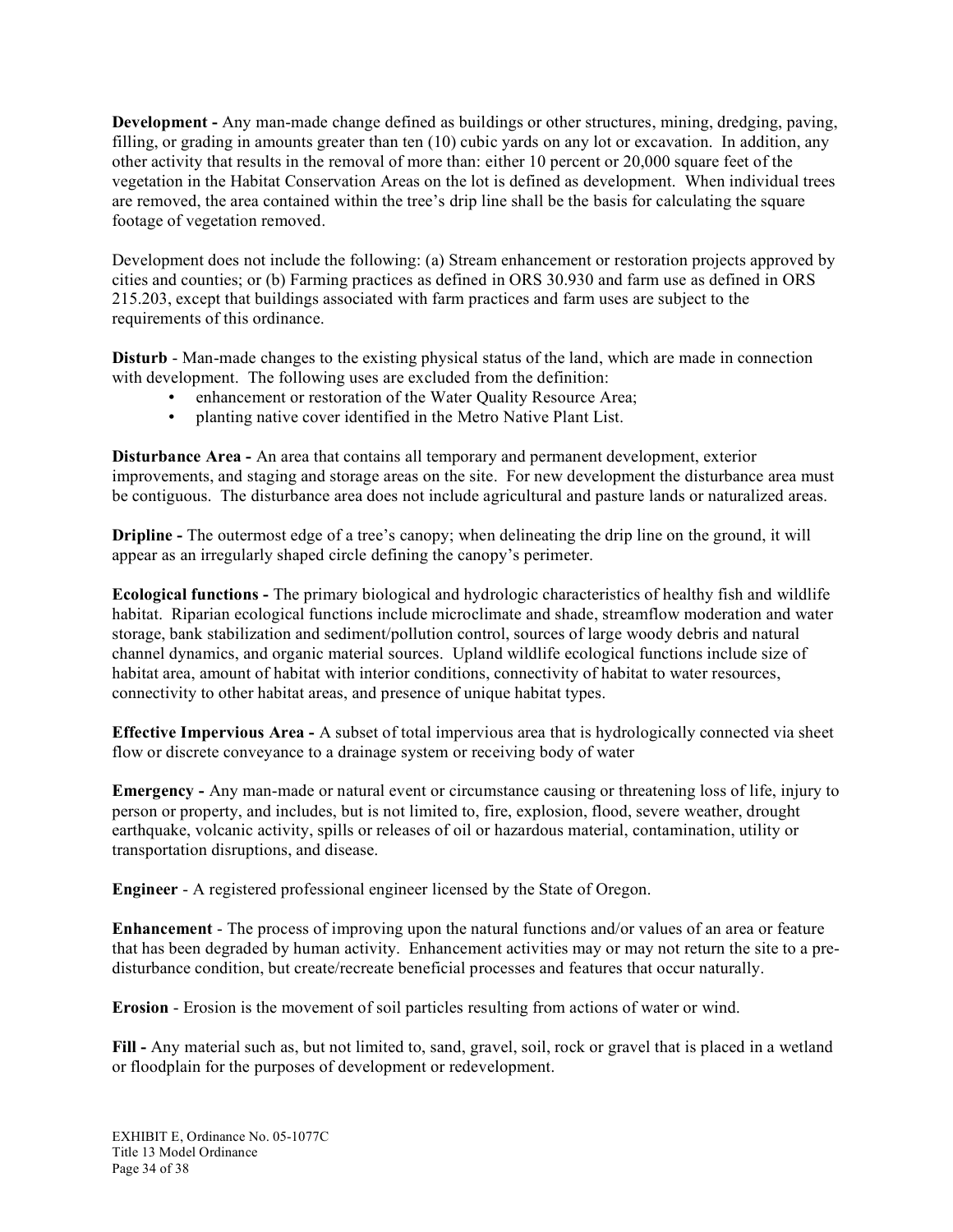**Development -** Any man-made change defined as buildings or other structures, mining, dredging, paving, filling, or grading in amounts greater than ten (10) cubic yards on any lot or excavation. In addition, any other activity that results in the removal of more than: either 10 percent or 20,000 square feet of the vegetation in the Habitat Conservation Areas on the lot is defined as development. When individual trees are removed, the area contained within the tree's drip line shall be the basis for calculating the square footage of vegetation removed.

Development does not include the following: (a) Stream enhancement or restoration projects approved by cities and counties; or (b) Farming practices as defined in ORS 30.930 and farm use as defined in ORS 215.203, except that buildings associated with farm practices and farm uses are subject to the requirements of this ordinance.

**Disturb** - Man-made changes to the existing physical status of the land, which are made in connection with development. The following uses are excluded from the definition:

- enhancement or restoration of the Water Quality Resource Area;
- planting native cover identified in the Metro Native Plant List.

**Disturbance Area -** An area that contains all temporary and permanent development, exterior improvements, and staging and storage areas on the site. For new development the disturbance area must be contiguous. The disturbance area does not include agricultural and pasture lands or naturalized areas.

**Dripline** - The outermost edge of a tree's canopy; when delineating the drip line on the ground, it will appear as an irregularly shaped circle defining the canopy's perimeter.

**Ecological functions -** The primary biological and hydrologic characteristics of healthy fish and wildlife habitat. Riparian ecological functions include microclimate and shade, streamflow moderation and water storage, bank stabilization and sediment/pollution control, sources of large woody debris and natural channel dynamics, and organic material sources. Upland wildlife ecological functions include size of habitat area, amount of habitat with interior conditions, connectivity of habitat to water resources, connectivity to other habitat areas, and presence of unique habitat types.

**Effective Impervious Area -** A subset of total impervious area that is hydrologically connected via sheet flow or discrete conveyance to a drainage system or receiving body of water

**Emergency -** Any man-made or natural event or circumstance causing or threatening loss of life, injury to person or property, and includes, but is not limited to, fire, explosion, flood, severe weather, drought earthquake, volcanic activity, spills or releases of oil or hazardous material, contamination, utility or transportation disruptions, and disease.

**Engineer** - A registered professional engineer licensed by the State of Oregon.

**Enhancement** - The process of improving upon the natural functions and/or values of an area or feature that has been degraded by human activity. Enhancement activities may or may not return the site to a predisturbance condition, but create/recreate beneficial processes and features that occur naturally.

**Erosion** - Erosion is the movement of soil particles resulting from actions of water or wind.

**Fill -** Any material such as, but not limited to, sand, gravel, soil, rock or gravel that is placed in a wetland or floodplain for the purposes of development or redevelopment.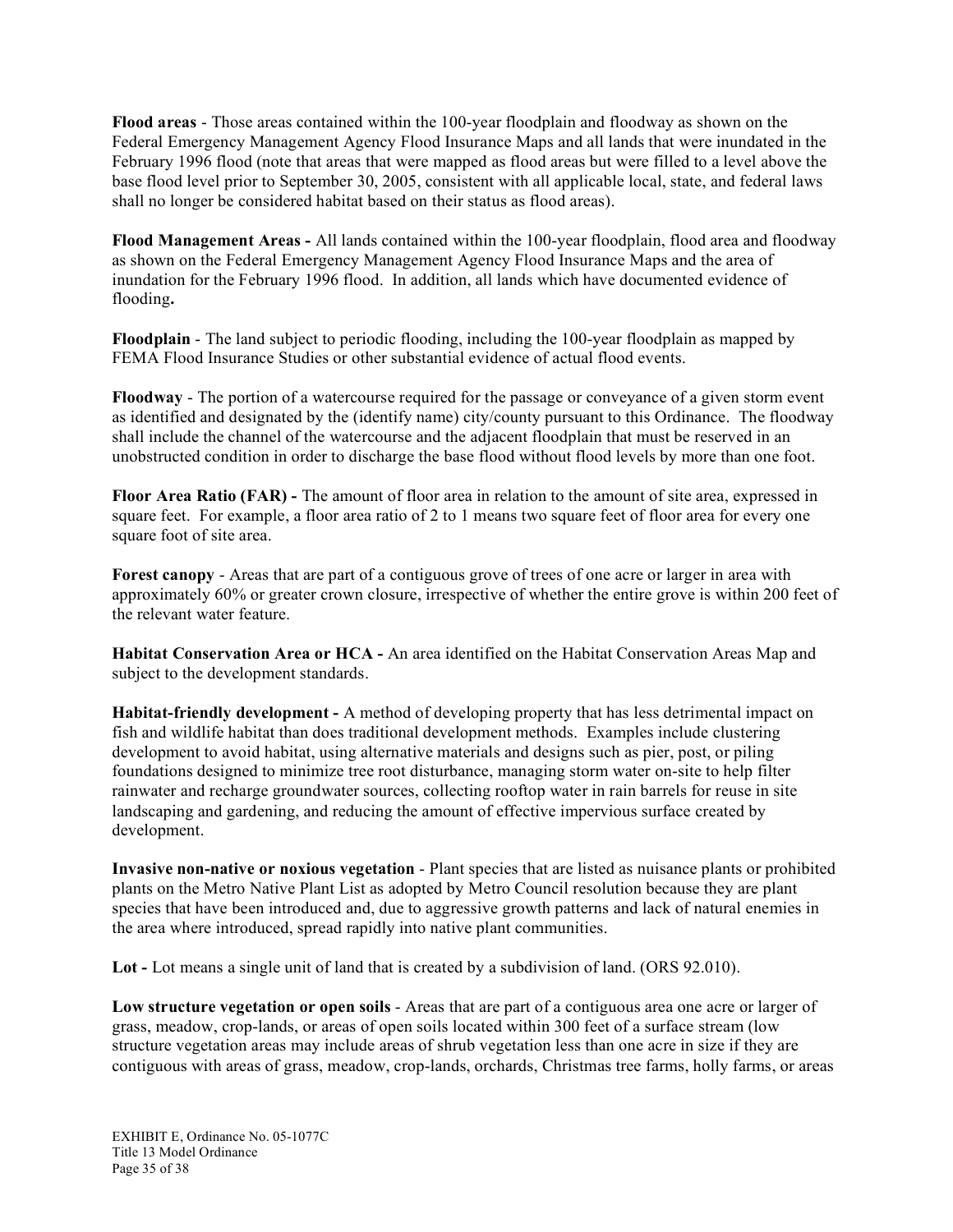**Flood areas** - Those areas contained within the 100-year floodplain and floodway as shown on the Federal Emergency Management Agency Flood Insurance Maps and all lands that were inundated in the February 1996 flood (note that areas that were mapped as flood areas but were filled to a level above the base flood level prior to September 30, 2005, consistent with all applicable local, state, and federal laws shall no longer be considered habitat based on their status as flood areas).

**Flood Management Areas -** All lands contained within the 100-year floodplain, flood area and floodway as shown on the Federal Emergency Management Agency Flood Insurance Maps and the area of inundation for the February 1996 flood. In addition, all lands which have documented evidence of flooding**.**

**Floodplain** - The land subject to periodic flooding, including the 100-year floodplain as mapped by FEMA Flood Insurance Studies or other substantial evidence of actual flood events.

**Floodway** - The portion of a watercourse required for the passage or conveyance of a given storm event as identified and designated by the (identify name) city/county pursuant to this Ordinance. The floodway shall include the channel of the watercourse and the adjacent floodplain that must be reserved in an unobstructed condition in order to discharge the base flood without flood levels by more than one foot.

**Floor Area Ratio (FAR) -** The amount of floor area in relation to the amount of site area, expressed in square feet. For example, a floor area ratio of 2 to 1 means two square feet of floor area for every one square foot of site area.

**Forest canopy** - Areas that are part of a contiguous grove of trees of one acre or larger in area with approximately 60% or greater crown closure, irrespective of whether the entire grove is within 200 feet of the relevant water feature.

**Habitat Conservation Area or HCA -** An area identified on the Habitat Conservation Areas Map and subject to the development standards.

**Habitat-friendly development -** A method of developing property that has less detrimental impact on fish and wildlife habitat than does traditional development methods. Examples include clustering development to avoid habitat, using alternative materials and designs such as pier, post, or piling foundations designed to minimize tree root disturbance, managing storm water on-site to help filter rainwater and recharge groundwater sources, collecting rooftop water in rain barrels for reuse in site landscaping and gardening, and reducing the amount of effective impervious surface created by development.

**Invasive non-native or noxious vegetation** - Plant species that are listed as nuisance plants or prohibited plants on the Metro Native Plant List as adopted by Metro Council resolution because they are plant species that have been introduced and, due to aggressive growth patterns and lack of natural enemies in the area where introduced, spread rapidly into native plant communities.

**Lot -** Lot means a single unit of land that is created by a subdivision of land. (ORS 92.010).

**Low structure vegetation or open soils** - Areas that are part of a contiguous area one acre or larger of grass, meadow, crop-lands, or areas of open soils located within 300 feet of a surface stream (low structure vegetation areas may include areas of shrub vegetation less than one acre in size if they are contiguous with areas of grass, meadow, crop-lands, orchards, Christmas tree farms, holly farms, or areas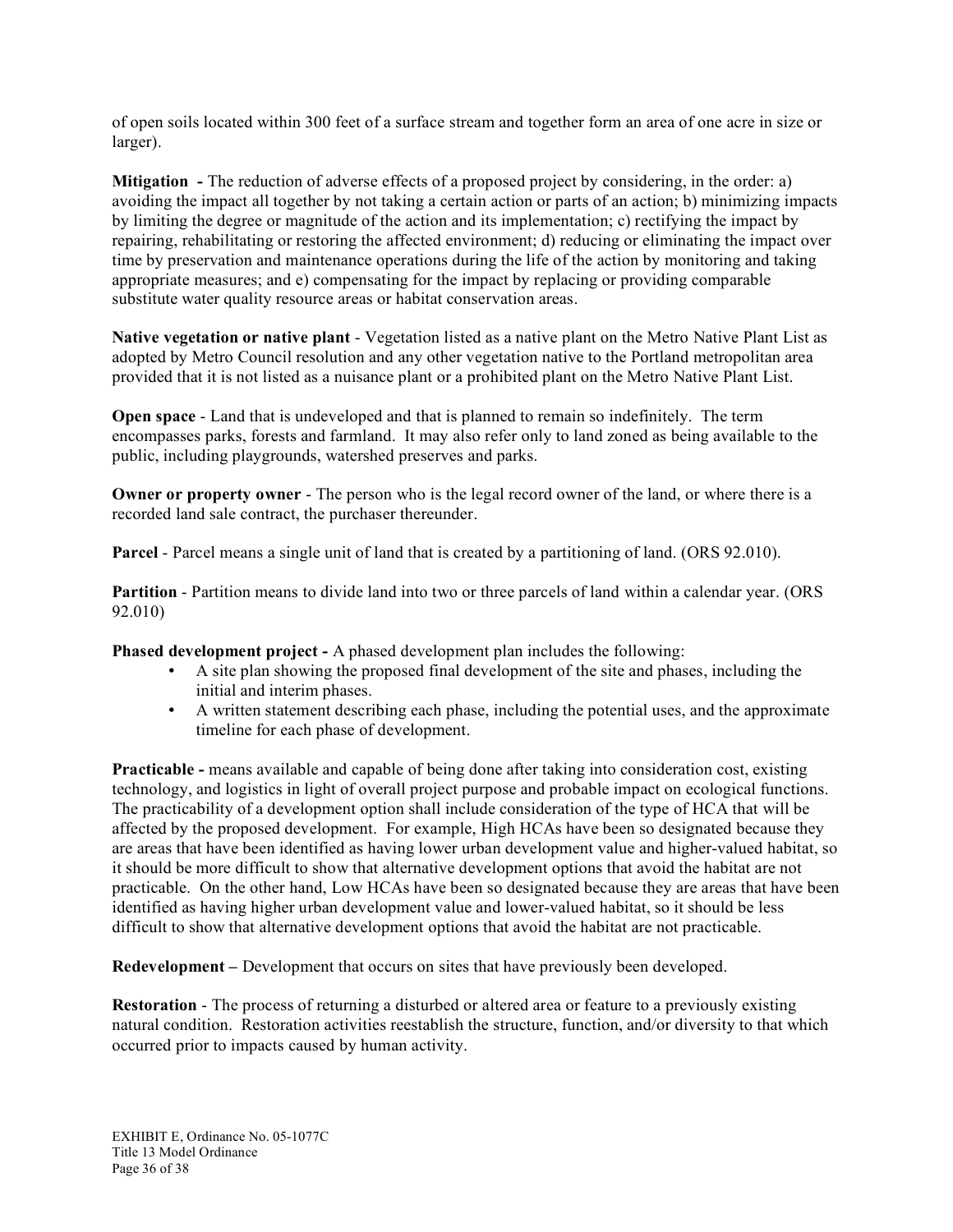of open soils located within 300 feet of a surface stream and together form an area of one acre in size or larger).

**Mitigation -** The reduction of adverse effects of a proposed project by considering, in the order: a) avoiding the impact all together by not taking a certain action or parts of an action; b) minimizing impacts by limiting the degree or magnitude of the action and its implementation; c) rectifying the impact by repairing, rehabilitating or restoring the affected environment; d) reducing or eliminating the impact over time by preservation and maintenance operations during the life of the action by monitoring and taking appropriate measures; and e) compensating for the impact by replacing or providing comparable substitute water quality resource areas or habitat conservation areas.

**Native vegetation or native plant** - Vegetation listed as a native plant on the Metro Native Plant List as adopted by Metro Council resolution and any other vegetation native to the Portland metropolitan area provided that it is not listed as a nuisance plant or a prohibited plant on the Metro Native Plant List.

**Open space** - Land that is undeveloped and that is planned to remain so indefinitely. The term encompasses parks, forests and farmland. It may also refer only to land zoned as being available to the public, including playgrounds, watershed preserves and parks.

**Owner or property owner** - The person who is the legal record owner of the land, or where there is a recorded land sale contract, the purchaser thereunder.

**Parcel** - Parcel means a single unit of land that is created by a partitioning of land. (ORS 92.010).

**Partition** - Partition means to divide land into two or three parcels of land within a calendar year. (ORS 92.010)

**Phased development project -** A phased development plan includes the following:

- A site plan showing the proposed final development of the site and phases, including the initial and interim phases.
- A written statement describing each phase, including the potential uses, and the approximate timeline for each phase of development.

**Practicable -** means available and capable of being done after taking into consideration cost, existing technology, and logistics in light of overall project purpose and probable impact on ecological functions. The practicability of a development option shall include consideration of the type of HCA that will be affected by the proposed development. For example, High HCAs have been so designated because they are areas that have been identified as having lower urban development value and higher-valued habitat, so it should be more difficult to show that alternative development options that avoid the habitat are not practicable. On the other hand, Low HCAs have been so designated because they are areas that have been identified as having higher urban development value and lower-valued habitat, so it should be less difficult to show that alternative development options that avoid the habitat are not practicable.

**Redevelopment –** Development that occurs on sites that have previously been developed.

**Restoration** - The process of returning a disturbed or altered area or feature to a previously existing natural condition. Restoration activities reestablish the structure, function, and/or diversity to that which occurred prior to impacts caused by human activity.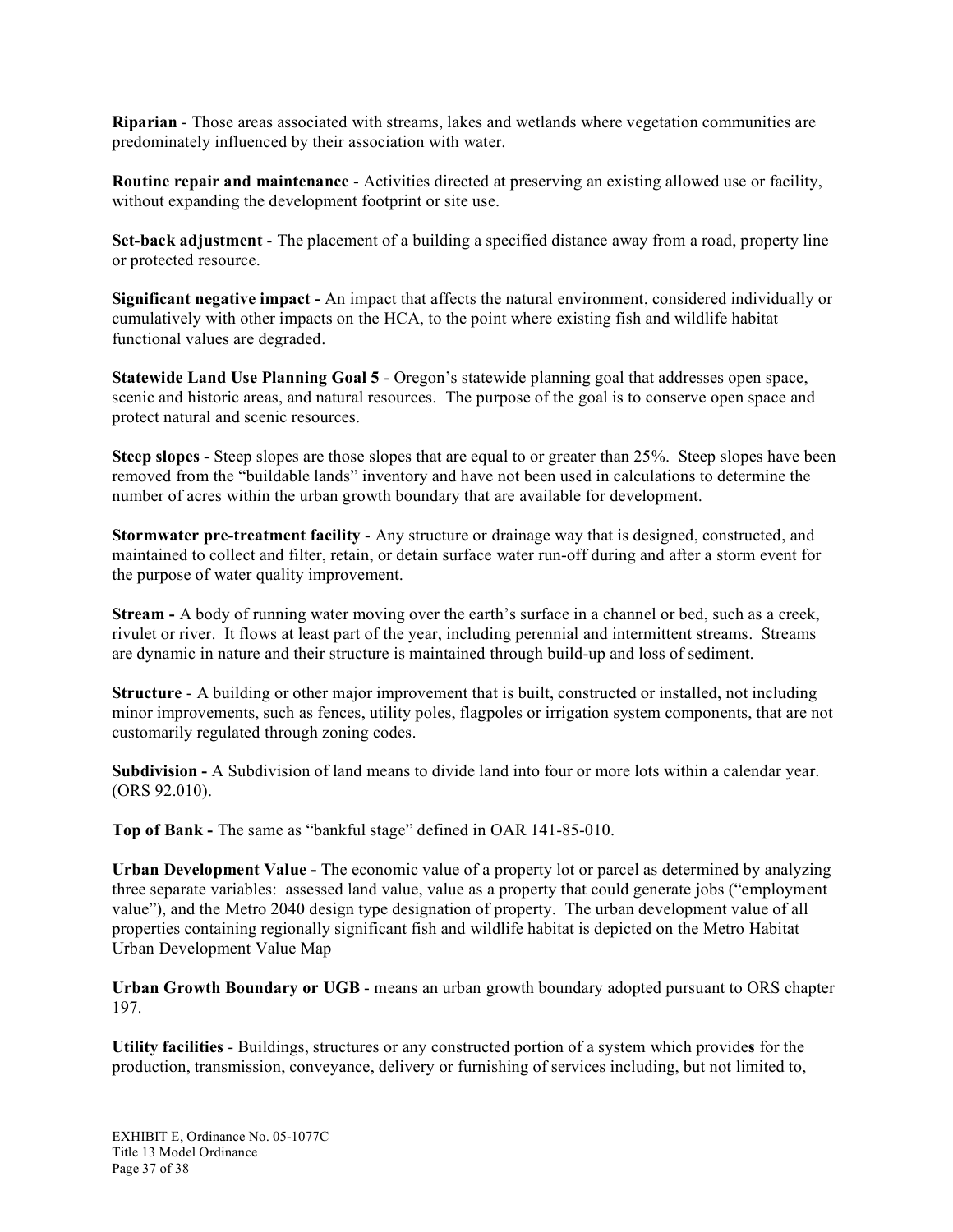**Riparian** - Those areas associated with streams, lakes and wetlands where vegetation communities are predominately influenced by their association with water.

**Routine repair and maintenance** - Activities directed at preserving an existing allowed use or facility, without expanding the development footprint or site use.

**Set-back adjustment** - The placement of a building a specified distance away from a road, property line or protected resource.

**Significant negative impact -** An impact that affects the natural environment, considered individually or cumulatively with other impacts on the HCA, to the point where existing fish and wildlife habitat functional values are degraded.

**Statewide Land Use Planning Goal 5** - Oregon's statewide planning goal that addresses open space, scenic and historic areas, and natural resources. The purpose of the goal is to conserve open space and protect natural and scenic resources.

**Steep slopes** - Steep slopes are those slopes that are equal to or greater than 25%. Steep slopes have been removed from the "buildable lands" inventory and have not been used in calculations to determine the number of acres within the urban growth boundary that are available for development.

**Stormwater pre-treatment facility** - Any structure or drainage way that is designed, constructed, and maintained to collect and filter, retain, or detain surface water run-off during and after a storm event for the purpose of water quality improvement.

**Stream -** A body of running water moving over the earth's surface in a channel or bed, such as a creek, rivulet or river. It flows at least part of the year, including perennial and intermittent streams. Streams are dynamic in nature and their structure is maintained through build-up and loss of sediment.

**Structure** - A building or other major improvement that is built, constructed or installed, not including minor improvements, such as fences, utility poles, flagpoles or irrigation system components, that are not customarily regulated through zoning codes.

**Subdivision -** A Subdivision of land means to divide land into four or more lots within a calendar year. (ORS 92.010).

**Top of Bank -** The same as "bankful stage" defined in OAR 141-85-010.

**Urban Development Value -** The economic value of a property lot or parcel as determined by analyzing three separate variables: assessed land value, value as a property that could generate jobs ("employment value"), and the Metro 2040 design type designation of property. The urban development value of all properties containing regionally significant fish and wildlife habitat is depicted on the Metro Habitat Urban Development Value Map

**Urban Growth Boundary or UGB** - means an urban growth boundary adopted pursuant to ORS chapter 197.

**Utility facilities** - Buildings, structures or any constructed portion of a system which provide**s** for the production, transmission, conveyance, delivery or furnishing of services including, but not limited to,